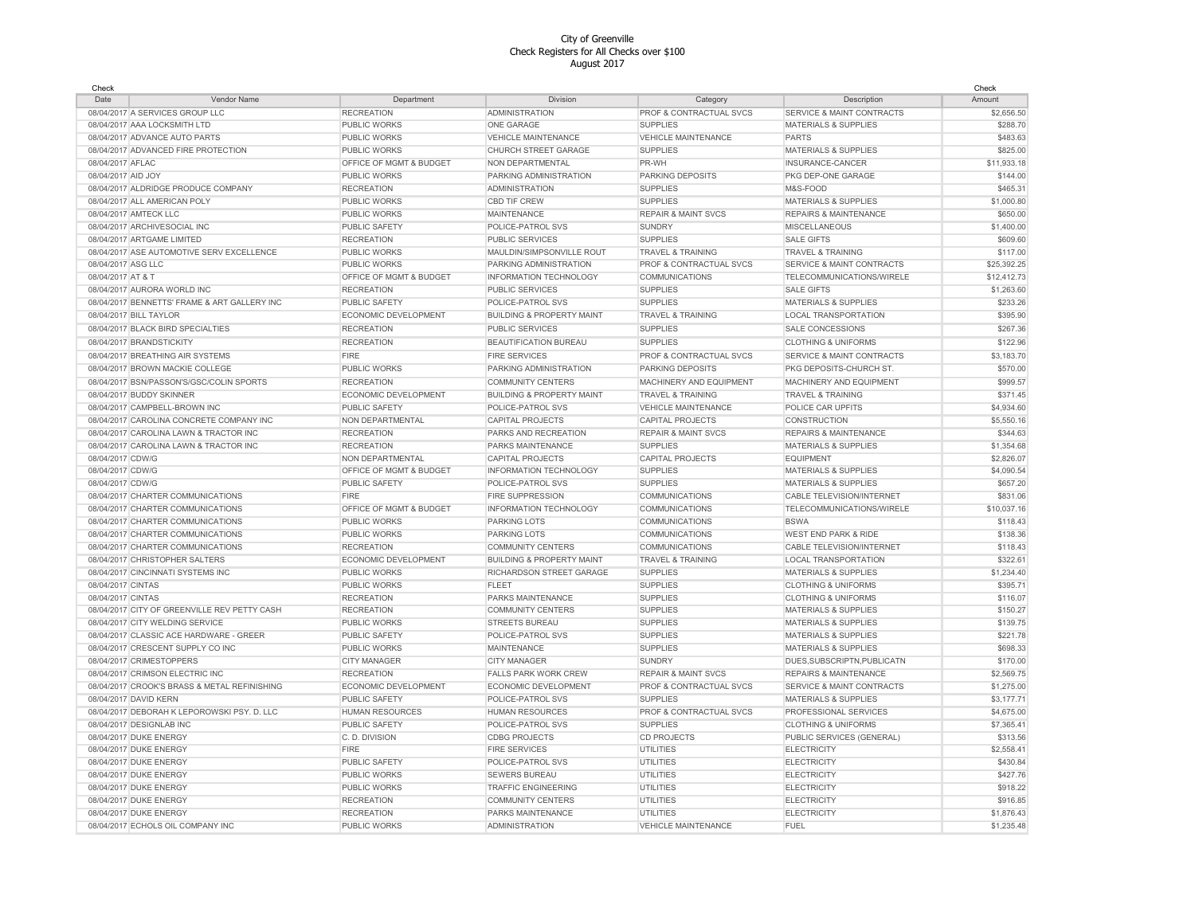| Check              |                                              |                         |                                      |                                    |                                      | Check       |
|--------------------|----------------------------------------------|-------------------------|--------------------------------------|------------------------------------|--------------------------------------|-------------|
| Date               | Vendor Name                                  | Department              | Division                             | Category                           | Description                          | Amount      |
|                    | 08/04/2017 A SERVICES GROUP LLC              | <b>RECREATION</b>       | <b>ADMINISTRATION</b>                | PROF & CONTRACTUAL SVCS            | <b>SERVICE &amp; MAINT CONTRACTS</b> | \$2,656.50  |
|                    | 08/04/2017 AAA LOCKSMITH LTD                 | PUBLIC WORKS            | ONE GARAGE                           | <b>SUPPLIES</b>                    | <b>MATERIALS &amp; SUPPLIES</b>      | \$288.70    |
|                    | 08/04/2017 ADVANCE AUTO PARTS                | PUBLIC WORKS            | VEHICLE MAINTENANCE                  | VEHICLE MAINTENANCE                | <b>PARTS</b>                         | \$483.63    |
|                    | 08/04/2017 ADVANCED FIRE PROTECTION          | PUBLIC WORKS            | CHURCH STREET GARAGE                 | <b>SUPPLIES</b>                    | <b>MATERIALS &amp; SUPPLIES</b>      | \$825.00    |
| 08/04/2017 AFLAC   |                                              | OFFICE OF MGMT & BUDGET | NON DEPARTMENTAL                     | PR-WH                              | INSURANCE-CANCER                     | \$11,933.18 |
| 08/04/2017 AID JOY |                                              | PUBLIC WORKS            | PARKING ADMINISTRATION               | <b>PARKING DEPOSITS</b>            | PKG DEP-ONE GARAGE                   | \$144.00    |
|                    | 08/04/2017 ALDRIDGE PRODUCE COMPANY          | <b>RECREATION</b>       | <b>ADMINISTRATION</b>                | <b>SUPPLIES</b>                    | M&S-FOOD                             | \$465.31    |
|                    | 08/04/2017 ALL AMERICAN POLY                 | PUBLIC WORKS            | CBD TIF CREW                         | <b>SUPPLIES</b>                    | MATERIALS & SUPPLIES                 | \$1,000.80  |
|                    | 08/04/2017 AMTECK LLC                        | PUBLIC WORKS            | MAINTENANCE                          | <b>REPAIR &amp; MAINT SVCS</b>     | <b>REPAIRS &amp; MAINTENANCE</b>     | \$650.00    |
|                    | 08/04/2017 ARCHIVESOCIAL INC                 | PUBLIC SAFETY           | POLICE-PATROL SVS                    | <b>SUNDRY</b>                      | <b>MISCELLANEOUS</b>                 | \$1,400.00  |
|                    | 08/04/2017 ARTGAME LIMITED                   | <b>RECREATION</b>       | <b>PUBLIC SERVICES</b>               | <b>SUPPLIES</b>                    | <b>SALE GIFTS</b>                    | \$609.60    |
|                    | 08/04/2017 ASE AUTOMOTIVE SERV EXCELLENCE    | PUBLIC WORKS            | MAULDIN/SIMPSONVILLE ROUT            | <b>TRAVEL &amp; TRAINING</b>       | <b>TRAVEL &amp; TRAINING</b>         | \$117.00    |
| 08/04/2017 ASG LLC |                                              | <b>PUBLIC WORKS</b>     | PARKING ADMINISTRATION               | PROF & CONTRACTUAL SVCS            | <b>SERVICE &amp; MAINT CONTRACTS</b> | \$25,392.25 |
| 08/04/2017 AT & T  |                                              | OFFICE OF MGMT & BUDGET | INFORMATION TECHNOLOGY               | <b>COMMUNICATIONS</b>              | TELECOMMUNICATIONS/WIRELE            | \$12,412.73 |
|                    | 08/04/2017 AURORA WORLD INC                  | <b>RECREATION</b>       | <b>PUBLIC SERVICES</b>               | <b>SUPPLIES</b>                    | <b>SALE GIFTS</b>                    | \$1,263.60  |
|                    | 08/04/2017 BENNETTS' FRAME & ART GALLERY INC | PUBLIC SAFETY           | POLICE-PATROL SVS                    | <b>SUPPLIES</b>                    | MATERIALS & SUPPLIES                 | \$233.26    |
|                    | 08/04/2017 BILL TAYLOR                       | ECONOMIC DEVELOPMENT    | <b>BUILDING &amp; PROPERTY MAINT</b> | TRAVEL & TRAINING                  | <b>LOCAL TRANSPORTATION</b>          | \$395.90    |
|                    | 08/04/2017 BLACK BIRD SPECIALTIES            | <b>RECREATION</b>       | <b>PUBLIC SERVICES</b>               | <b>SUPPLIES</b>                    | SALE CONCESSIONS                     | \$267.36    |
|                    | 08/04/2017 BRANDSTICKITY                     | <b>RECREATION</b>       | BEAUTIFICATION BUREAU                | <b>SUPPLIES</b>                    | <b>CLOTHING &amp; UNIFORMS</b>       | \$122.96    |
|                    | 08/04/2017 BREATHING AIR SYSTEMS             | <b>FIRE</b>             | <b>FIRE SERVICES</b>                 | PROF & CONTRACTUAL SVCS            | <b>SERVICE &amp; MAINT CONTRACTS</b> | \$3,183.70  |
|                    | 08/04/2017 BROWN MACKIE COLLEGE              | PUBLIC WORKS            | PARKING ADMINISTRATION               | <b>PARKING DEPOSITS</b>            | PKG DEPOSITS-CHURCH ST.              | \$570.00    |
|                    | 08/04/2017 BSN/PASSON'S/GSC/COLIN SPORTS     | <b>RECREATION</b>       | <b>COMMUNITY CENTERS</b>             | MACHINERY AND EQUIPMENT            | MACHINERY AND EQUIPMENT              | \$999.57    |
|                    | 08/04/2017 BUDDY SKINNER                     | ECONOMIC DEVELOPMENT    | <b>BUILDING &amp; PROPERTY MAINT</b> | <b>TRAVEL &amp; TRAINING</b>       | <b>TRAVEL &amp; TRAINING</b>         | \$371.45    |
|                    | 08/04/2017 CAMPBELL-BROWN INC                | <b>PUBLIC SAFETY</b>    | POLICE-PATROL SVS                    | <b>VEHICLE MAINTENANCE</b>         | POLICE CAR UPFITS                    | \$4,934.60  |
|                    | 08/04/2017 CAROLINA CONCRETE COMPANY INC     | NON DEPARTMENTAL        | <b>CAPITAL PROJECTS</b>              | <b>CAPITAL PROJECTS</b>            | CONSTRUCTION                         | \$5,550.16  |
|                    | 08/04/2017 CAROLINA LAWN & TRACTOR INC       | <b>RECREATION</b>       | PARKS AND RECREATION                 | <b>REPAIR &amp; MAINT SVCS</b>     | REPAIRS & MAINTENANCE                | \$344.63    |
|                    | 08/04/2017 CAROLINA LAWN & TRACTOR INC       | <b>RECREATION</b>       | PARKS MAINTENANCE                    | <b>SUPPLIES</b>                    | MATERIALS & SUPPLIES                 | \$1,354.68  |
| 08/04/2017 CDW/G   |                                              | NON DEPARTMENTAL        | <b>CAPITAL PROJECTS</b>              | <b>CAPITAL PROJECTS</b>            | <b>EQUIPMENT</b>                     | \$2,826.07  |
| 08/04/2017 CDW/G   |                                              | OFFICE OF MGMT & BUDGET | <b>INFORMATION TECHNOLOGY</b>        | <b>SUPPLIES</b>                    | <b>MATERIALS &amp; SUPPLIES</b>      | \$4,090.54  |
| 08/04/2017 CDW/G   |                                              | PUBLIC SAFETY           | POLICE-PATROL SVS                    | <b>SUPPLIES</b>                    | MATERIALS & SUPPLIES                 | \$657.20    |
|                    | 08/04/2017 CHARTER COMMUNICATIONS            | <b>FIRE</b>             | <b>FIRE SUPPRESSION</b>              | <b>COMMUNICATIONS</b>              | CABLE TELEVISION/INTERNET            | \$831.06    |
|                    | 08/04/2017 CHARTER COMMUNICATIONS            | OFFICE OF MGMT & BUDGET | INFORMATION TECHNOLOGY               | <b>COMMUNICATIONS</b>              | TELECOMMUNICATIONS/WIRELE            | \$10,037.16 |
|                    | 08/04/2017 CHARTER COMMUNICATIONS            | PUBLIC WORKS            | PARKING LOTS                         | <b>COMMUNICATIONS</b>              | <b>BSWA</b>                          | \$118.43    |
|                    | 08/04/2017 CHARTER COMMUNICATIONS            | PUBLIC WORKS            | <b>PARKING LOTS</b>                  | <b>COMMUNICATIONS</b>              | <b>WEST END PARK &amp; RIDE</b>      | \$138.36    |
|                    | 08/04/2017 CHARTER COMMUNICATIONS            | <b>RECREATION</b>       | <b>COMMUNITY CENTERS</b>             | <b>COMMUNICATIONS</b>              | CABLE TELEVISION/INTERNET            | \$118.43    |
|                    | 08/04/2017 CHRISTOPHER SALTERS               | ECONOMIC DEVELOPMENT    | <b>BUILDING &amp; PROPERTY MAINT</b> | <b>TRAVEL &amp; TRAINING</b>       | <b>LOCAL TRANSPORTATION</b>          | \$322.6'    |
|                    | 08/04/2017 CINCINNATI SYSTEMS INC            | PUBLIC WORKS            | RICHARDSON STREET GARAGE             | <b>SUPPLIES</b>                    | <b>MATERIALS &amp; SUPPLIES</b>      | \$1,234.40  |
| 08/04/2017 CINTAS  |                                              | PUBLIC WORKS            | <b>FLEET</b>                         | <b>SUPPLIES</b>                    | <b>CLOTHING &amp; UNIFORMS</b>       | \$395.71    |
| 08/04/2017 CINTAS  |                                              | <b>RECREATION</b>       | PARKS MAINTENANCE                    | <b>SUPPLIES</b>                    | <b>CLOTHING &amp; UNIFORMS</b>       | \$116.07    |
|                    | 08/04/2017 CITY OF GREENVILLE REV PETTY CASH | <b>RECREATION</b>       | <b>COMMUNITY CENTERS</b>             | <b>SUPPLIES</b>                    | MATERIALS & SUPPLIES                 | \$150.27    |
|                    | 08/04/2017 CITY WELDING SERVICE              | PUBLIC WORKS            | <b>STREETS BUREAU</b>                | <b>SUPPLIES</b>                    | <b>MATERIALS &amp; SUPPLIES</b>      | \$139.75    |
|                    | 08/04/2017 CLASSIC ACE HARDWARE - GREER      | PUBLIC SAFETY           | POLICE-PATROL SVS                    | <b>SUPPLIES</b>                    | <b>MATERIALS &amp; SUPPLIES</b>      | \$221.78    |
|                    | 08/04/2017 CRESCENT SUPPLY CO INC            | PUBLIC WORKS            | <b>MAINTENANCE</b>                   | <b>SUPPLIES</b>                    | <b>MATERIALS &amp; SUPPLIES</b>      | \$698.33    |
|                    | 08/04/2017 CRIMESTOPPERS                     | <b>CITY MANAGER</b>     | <b>CITY MANAGER</b>                  | <b>SUNDRY</b>                      | DUES, SUBSCRIPTN, PUBLICATN          | \$170.00    |
|                    | 08/04/2017 CRIMSON ELECTRIC INC              | <b>RECREATION</b>       | <b>FALLS PARK WORK CREW</b>          | <b>REPAIR &amp; MAINT SVCS</b>     | <b>REPAIRS &amp; MAINTENANCE</b>     | \$2,569.75  |
|                    | 08/04/2017 CROOK'S BRASS & METAL REFINISHING | ECONOMIC DEVELOPMENT    | ECONOMIC DEVELOPMENT                 | <b>PROF &amp; CONTRACTUAL SVCS</b> | <b>SERVICE &amp; MAINT CONTRACTS</b> | \$1,275.00  |
|                    | 08/04/2017 DAVID KERN                        | PUBLIC SAFETY           | POLICE-PATROL SVS                    | <b>SUPPLIES</b>                    | MATERIALS & SUPPLIES                 | \$3,177.71  |
|                    | 08/04/2017 DEBORAH K LEPOROWSKI PSY. D. LLC  | <b>HUMAN RESOURCES</b>  | <b>HUMAN RESOURCES</b>               | <b>PROF &amp; CONTRACTUAL SVCS</b> | PROFESSIONAL SERVICES                | \$4,675.00  |
|                    | 08/04/2017 DESIGNLAB INC                     | <b>PUBLIC SAFETY</b>    | POLICE-PATROL SVS                    | <b>SUPPLIES</b>                    | <b>CLOTHING &amp; UNIFORMS</b>       | \$7,365.41  |
|                    | 08/04/2017 DUKE ENERGY                       | C. D. DIVISION          | <b>CDBG PROJECTS</b>                 | <b>CD PROJECTS</b>                 | PUBLIC SERVICES (GENERAL)            | \$313.56    |
|                    | 08/04/2017 DUKE ENERGY                       | <b>FIRE</b>             | <b>FIRE SERVICES</b>                 | <b>UTILITIES</b>                   | <b>ELECTRICITY</b>                   | \$2,558.4   |
|                    | 08/04/2017 DUKE ENERGY                       | PUBLIC SAFETY           | POLICE-PATROL SVS                    | <b>UTILITIES</b>                   | <b>ELECTRICITY</b>                   | \$430.84    |
|                    | 08/04/2017 DUKE ENERGY                       | PUBLIC WORKS            | <b>SEWERS BUREAU</b>                 | UTILITIES                          | <b>ELECTRICITY</b>                   | \$427.76    |
|                    | 08/04/2017 DUKE ENERGY                       | PUBLIC WORKS            | <b>TRAFFIC ENGINEERING</b>           | <b>UTILITIES</b>                   | <b>ELECTRICITY</b>                   | \$918.22    |
|                    | 08/04/2017 DUKE ENERGY                       | <b>RECREATION</b>       | <b>COMMUNITY CENTERS</b>             | <b>UTILITIES</b>                   | <b>ELECTRICITY</b>                   | \$916.85    |
|                    | 08/04/2017 DUKE ENERGY                       | <b>RECREATION</b>       | PARKS MAINTENANCE                    | <b>UTILITIES</b>                   | <b>ELECTRICITY</b>                   | \$1,876.43  |
|                    | 08/04/2017 ECHOLS OIL COMPANY INC            | PUBLIC WORKS            | <b>ADMINISTRATION</b>                | <b>VEHICLE MAINTENANCE</b>         | <b>FUEL</b>                          | \$1,235.48  |
|                    |                                              |                         |                                      |                                    |                                      |             |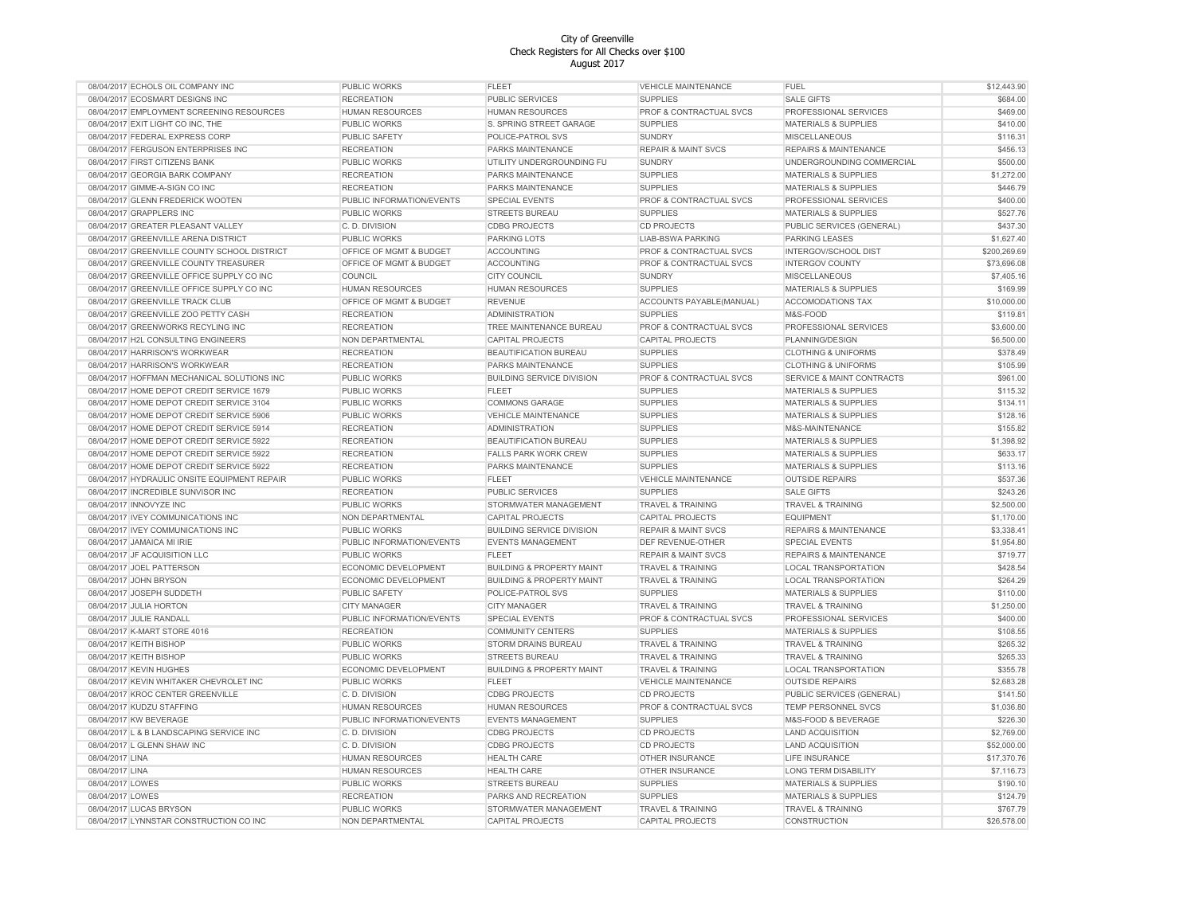| 08/04/2017 ECHOLS OIL COMPANY INC            | <b>PUBLIC WORKS</b>       | FLEET                                | <b>VEHICLE MAINTENANCE</b>     | <b>FUEL</b>                      | \$12,443.90  |
|----------------------------------------------|---------------------------|--------------------------------------|--------------------------------|----------------------------------|--------------|
| 08/04/2017 ECOSMART DESIGNS INC              | <b>RECREATION</b>         | <b>PUBLIC SERVICES</b>               | <b>SUPPLIES</b>                | <b>SALE GIFTS</b>                | \$684.00     |
| 08/04/2017 EMPLOYMENT SCREENING RESOURCES    | HUMAN RESOURCES           | <b>HUMAN RESOURCES</b>               | PROF & CONTRACTUAL SVCS        | PROFESSIONAL SERVICES            | \$469.00     |
| 08/04/2017 EXIT LIGHT CO INC, THE            | PUBLIC WORKS              | S. SPRING STREET GARAGE              | <b>SUPPLIES</b>                | <b>MATERIALS &amp; SUPPLIES</b>  | \$410.00     |
| 08/04/2017 FEDERAL EXPRESS CORP              | PUBLIC SAFETY             | POLICE-PATROL SVS                    | <b>SUNDRY</b>                  | <b>MISCELLANEOUS</b>             | \$116.31     |
| 08/04/2017 FERGUSON ENTERPRISES INC          | <b>RECREATION</b>         | PARKS MAINTENANCE                    | <b>REPAIR &amp; MAINT SVCS</b> | REPAIRS & MAINTENANCE            | \$456.13     |
| 08/04/2017 FIRST CITIZENS BANK               | PUBLIC WORKS              | UTILITY UNDERGROUNDING FU            | <b>SUNDRY</b>                  | UNDERGROUNDING COMMERCIAL        | \$500.00     |
| 08/04/2017 GEORGIA BARK COMPANY              | <b>RECREATION</b>         | PARKS MAINTENANCE                    | <b>SUPPLIES</b>                | <b>MATERIALS &amp; SUPPLIES</b>  | \$1,272.00   |
|                                              |                           |                                      |                                |                                  |              |
| 08/04/2017 GIMME-A-SIGN CO INC               | <b>RECREATION</b>         | PARKS MAINTENANCE                    | <b>SUPPLIES</b>                | <b>MATERIALS &amp; SUPPLIES</b>  | \$446.79     |
| 08/04/2017 GLENN FREDERICK WOOTEN            | PUBLIC INFORMATION/EVENTS | SPECIAL EVENTS                       | PROF & CONTRACTUAL SVCS        | PROFESSIONAL SERVICES            | \$400.00     |
| 08/04/2017 GRAPPLERS INC                     | <b>PUBLIC WORKS</b>       | <b>STREETS BUREAU</b>                | <b>SUPPLIES</b>                | MATERIALS & SUPPLIES             | \$527.76     |
| 08/04/2017 GREATER PLEASANT VALLEY           | C. D. DIVISION            | <b>CDBG PROJECTS</b>                 | <b>CD PROJECTS</b>             | PUBLIC SERVICES (GENERAL)        | \$437.30     |
| 08/04/2017 GREENVILLE ARENA DISTRICT         | <b>PUBLIC WORKS</b>       | <b>PARKING LOTS</b>                  | <b>LIAB-BSWA PARKING</b>       | PARKING LEASES                   | \$1,627.40   |
| 08/04/2017 GREENVILLE COUNTY SCHOOL DISTRICT | OFFICE OF MGMT & BUDGET   | <b>ACCOUNTING</b>                    | PROF & CONTRACTUAL SVCS        | INTERGOV/SCHOOL DIST             | \$200,269.69 |
| 08/04/2017 GREENVILLE COUNTY TREASURER       | OFFICE OF MGMT & BUDGET   | <b>ACCOUNTING</b>                    | PROF & CONTRACTUAL SVCS        | <b>INTERGOV COUNTY</b>           | \$73,696.08  |
| 08/04/2017 GREENVILLE OFFICE SUPPLY CO INC   | COUNCIL                   | <b>CITY COUNCIL</b>                  | <b>SUNDRY</b>                  | <b>MISCELLANEOUS</b>             | \$7,405.16   |
| 08/04/2017 GREENVILLE OFFICE SUPPLY CO INC   | <b>HUMAN RESOURCES</b>    | <b>HUMAN RESOURCES</b>               | <b>SUPPLIES</b>                | <b>MATERIALS &amp; SUPPLIES</b>  | \$169.99     |
| 08/04/2017 GREENVILLE TRACK CLUB             | OFFICE OF MGMT & BUDGET   | <b>REVENUE</b>                       | ACCOUNTS PAYABLE(MANUAL)       | ACCOMODATIONS TAX                | \$10,000.00  |
| 08/04/2017 GREENVILLE ZOO PETTY CASH         | <b>RECREATION</b>         | <b>ADMINISTRATION</b>                | <b>SUPPLIES</b>                | M&S-FOOD                         | \$119.81     |
| 08/04/2017 GREENWORKS RECYLING INC           | <b>RECREATION</b>         | TREE MAINTENANCE BUREAU              | PROF & CONTRACTUAL SVCS        | PROFESSIONAL SERVICES            | \$3,600.00   |
| 08/04/2017 H2L CONSULTING ENGINEERS          | NON DEPARTMENTAL          | <b>CAPITAL PROJECTS</b>              | <b>CAPITAL PROJECTS</b>        | PLANNING/DESIGN                  | \$6,500.00   |
| 08/04/2017 HARRISON'S WORKWEAR               | <b>RECREATION</b>         | <b>BEAUTIFICATION BUREAU</b>         | <b>SUPPLIES</b>                | <b>CLOTHING &amp; UNIFORMS</b>   | \$378.49     |
|                                              |                           |                                      |                                |                                  |              |
| 08/04/2017 HARRISON'S WORKWEAR               | <b>RECREATION</b>         | PARKS MAINTENANCE                    | <b>SUPPLIES</b>                | <b>CLOTHING &amp; UNIFORMS</b>   | \$105.99     |
| 08/04/2017 HOFFMAN MECHANICAL SOLUTIONS INC  | PUBLIC WORKS              | <b>BUILDING SERVICE DIVISION</b>     | PROF & CONTRACTUAL SVCS        | SERVICE & MAINT CONTRACTS        | \$961.00     |
| 08/04/2017 HOME DEPOT CREDIT SERVICE 1679    | PUBLIC WORKS              | <b>FLEET</b>                         | <b>SUPPLIES</b>                | <b>MATERIALS &amp; SUPPLIES</b>  | \$115.32     |
| 08/04/2017 HOME DEPOT CREDIT SERVICE 3104    | PUBLIC WORKS              | <b>COMMONS GARAGE</b>                | <b>SUPPLIES</b>                | MATERIALS & SUPPLIES             | \$134.11     |
| 08/04/2017 HOME DEPOT CREDIT SERVICE 5906    | PUBLIC WORKS              | <b>VEHICLE MAINTENANCE</b>           | <b>SUPPLIES</b>                | <b>MATERIALS &amp; SUPPLIES</b>  | \$128.16     |
| 08/04/2017 HOME DEPOT CREDIT SERVICE 5914    | <b>RECREATION</b>         | <b>ADMINISTRATION</b>                | <b>SUPPLIES</b>                | M&S-MAINTENANCE                  | \$155.82     |
| 08/04/2017 HOME DEPOT CREDIT SERVICE 5922    | <b>RECREATION</b>         | BEAUTIFICATION BUREAU                | <b>SUPPLIES</b>                | <b>MATERIALS &amp; SUPPLIES</b>  | \$1,398.92   |
| 08/04/2017 HOME DEPOT CREDIT SERVICE 5922    | <b>RECREATION</b>         | <b>FALLS PARK WORK CREW</b>          | <b>SUPPLIES</b>                | <b>MATERIALS &amp; SUPPLIES</b>  | \$633.17     |
| 08/04/2017 HOME DEPOT CREDIT SERVICE 5922    | <b>RECREATION</b>         | PARKS MAINTENANCE                    | <b>SUPPLIES</b>                | MATERIALS & SUPPLIES             | \$113.16     |
| 08/04/2017 HYDRAULIC ONSITE EQUIPMENT REPAIR | PUBLIC WORKS              | <b>FLEET</b>                         | <b>VEHICLE MAINTENANCE</b>     | <b>OUTSIDE REPAIRS</b>           | \$537.36     |
| 08/04/2017 INCREDIBLE SUNVISOR INC           | <b>RECREATION</b>         | <b>PUBLIC SERVICES</b>               | <b>SUPPLIES</b>                | <b>SALE GIFTS</b>                | \$243.26     |
| 08/04/2017 INNOVYZE INC                      | PUBLIC WORKS              | STORMWATER MANAGEMENT                | <b>TRAVEL &amp; TRAINING</b>   | <b>TRAVEL &amp; TRAINING</b>     | \$2,500.00   |
| 08/04/2017 IVEY COMMUNICATIONS INC           | NON DEPARTMENTAL          | <b>CAPITAL PROJECTS</b>              | <b>CAPITAL PROJECTS</b>        | <b>EQUIPMENT</b>                 | \$1,170.00   |
|                                              |                           |                                      |                                |                                  |              |
| 08/04/2017 IVEY COMMUNICATIONS INC           | PUBLIC WORKS              | <b>BUILDING SERVICE DIVISION</b>     | <b>REPAIR &amp; MAINT SVCS</b> | <b>REPAIRS &amp; MAINTENANCE</b> | \$3,338.41   |
| 08/04/2017 JAMAICA MI IRIE                   | PUBLIC INFORMATION/EVENTS | <b>EVENTS MANAGEMENT</b>             | DEF REVENUE-OTHER              | SPECIAL EVENTS                   | \$1,954.80   |
| 08/04/2017 JF ACQUISITION LLC                | PUBLIC WORKS              | <b>FLEET</b>                         | <b>REPAIR &amp; MAINT SVCS</b> | <b>REPAIRS &amp; MAINTENANCE</b> | \$719.77     |
| 08/04/2017 JOEL PATTERSON                    | ECONOMIC DEVELOPMENT      | <b>BUILDING &amp; PROPERTY MAINT</b> | <b>TRAVEL &amp; TRAINING</b>   | <b>LOCAL TRANSPORTATION</b>      | \$428.54     |
| 08/04/2017 JOHN BRYSON                       | ECONOMIC DEVELOPMENT      | <b>BUILDING &amp; PROPERTY MAINT</b> | <b>TRAVEL &amp; TRAINING</b>   | <b>LOCAL TRANSPORTATION</b>      | \$264.29     |
| 08/04/2017 JOSEPH SUDDETH                    | PUBLIC SAFETY             | POLICE-PATROL SVS                    | <b>SUPPLIES</b>                | MATERIALS & SUPPLIES             | \$110.00     |
| 08/04/2017 JULIA HORTON                      | CITY MANAGER              | <b>CITY MANAGER</b>                  | <b>TRAVEL &amp; TRAINING</b>   | <b>TRAVEL &amp; TRAINING</b>     | \$1,250.00   |
| 08/04/2017 JULIE RANDALL                     | PUBLIC INFORMATION/EVENTS | SPECIAL EVENTS                       | PROF & CONTRACTUAL SVCS        | PROFESSIONAL SERVICES            | \$400.00     |
| 08/04/2017 K-MART STORE 4016                 | <b>RECREATION</b>         | <b>COMMUNITY CENTERS</b>             | <b>SUPPLIES</b>                | MATERIALS & SUPPLIES             | \$108.55     |
| 08/04/2017 KEITH BISHOP                      | <b>PUBLIC WORKS</b>       | <b>STORM DRAINS BUREAU</b>           | <b>TRAVEL &amp; TRAINING</b>   | <b>TRAVEL &amp; TRAINING</b>     | \$265.32     |
| 08/04/2017 KEITH BISHOP                      | PUBLIC WORKS              | <b>STREETS BUREAU</b>                | <b>TRAVEL &amp; TRAINING</b>   | <b>TRAVEL &amp; TRAINING</b>     | \$265.33     |
| 08/04/2017 KEVIN HUGHES                      | ECONOMIC DEVELOPMENT      | <b>BUILDING &amp; PROPERTY MAINT</b> | <b>TRAVEL &amp; TRAINING</b>   | <b>LOCAL TRANSPORTATION</b>      | \$355.78     |
| 08/04/2017 KEVIN WHITAKER CHEVROLET INC      | PUBLIC WORKS              | <b>FLEET</b>                         | <b>VEHICLE MAINTENANCE</b>     | <b>OUTSIDE REPAIRS</b>           | \$2,683.28   |
|                                              |                           |                                      |                                |                                  | \$141.50     |
| 08/04/2017 KROC CENTER GREENVILLE            | C. D. DIVISION            | <b>CDBG PROJECTS</b>                 | <b>CD PROJECTS</b>             | PUBLIC SERVICES (GENERAL)        |              |
| 08/04/2017 KUDZU STAFFING                    | <b>HUMAN RESOURCES</b>    | <b>HUMAN RESOURCES</b>               | PROF & CONTRACTUAL SVCS        | TEMP PERSONNEL SVCS              | \$1,036.80   |
| 08/04/2017 KW BEVERAGE                       | PUBLIC INFORMATION/EVENTS | <b>EVENTS MANAGEMENT</b>             | <b>SUPPLIES</b>                | M&S-FOOD & BEVERAGE              | \$226.30     |
| 08/04/2017 L & B LANDSCAPING SERVICE INC     | C. D. DIVISION            | <b>CDBG PROJECTS</b>                 | <b>CD PROJECTS</b>             | <b>LAND ACQUISITION</b>          | \$2,769.00   |
| 08/04/2017 L GLENN SHAW INC                  | C. D. DIVISION            | <b>CDBG PROJECTS</b>                 | <b>CD PROJECTS</b>             | <b>LAND ACQUISITION</b>          | \$52,000.00  |
| 08/04/2017 LINA                              | HUMAN RESOURCES           | <b>HEALTH CARE</b>                   | OTHER INSURANCE                | LIFE INSURANCE                   | \$17,370.76  |
| 08/04/2017 LINA                              | HUMAN RESOURCES           | <b>HEALTH CARE</b>                   | OTHER INSURANCE                | <b>LONG TERM DISABILITY</b>      | \$7,116.73   |
| 08/04/2017 LOWES                             | PUBLIC WORKS              | <b>STREETS BUREAU</b>                | <b>SUPPLIES</b>                | <b>MATERIALS &amp; SUPPLIES</b>  | \$190.10     |
| 08/04/2017 LOWES                             | <b>RECREATION</b>         | PARKS AND RECREATION                 | <b>SUPPLIES</b>                | <b>MATERIALS &amp; SUPPLIES</b>  | \$124.79     |
| 08/04/2017 LUCAS BRYSON                      | PUBLIC WORKS              | STORMWATER MANAGEMENT                | <b>TRAVEL &amp; TRAINING</b>   | <b>TRAVEL &amp; TRAINING</b>     | \$767.79     |
| 08/04/2017 LYNNSTAR CONSTRUCTION CO INC      | NON DEPARTMENTAL          | CAPITAL PROJECTS                     | CAPITAL PROJECTS               | CONSTRUCTION                     | \$26,578.00  |
|                                              |                           |                                      |                                |                                  |              |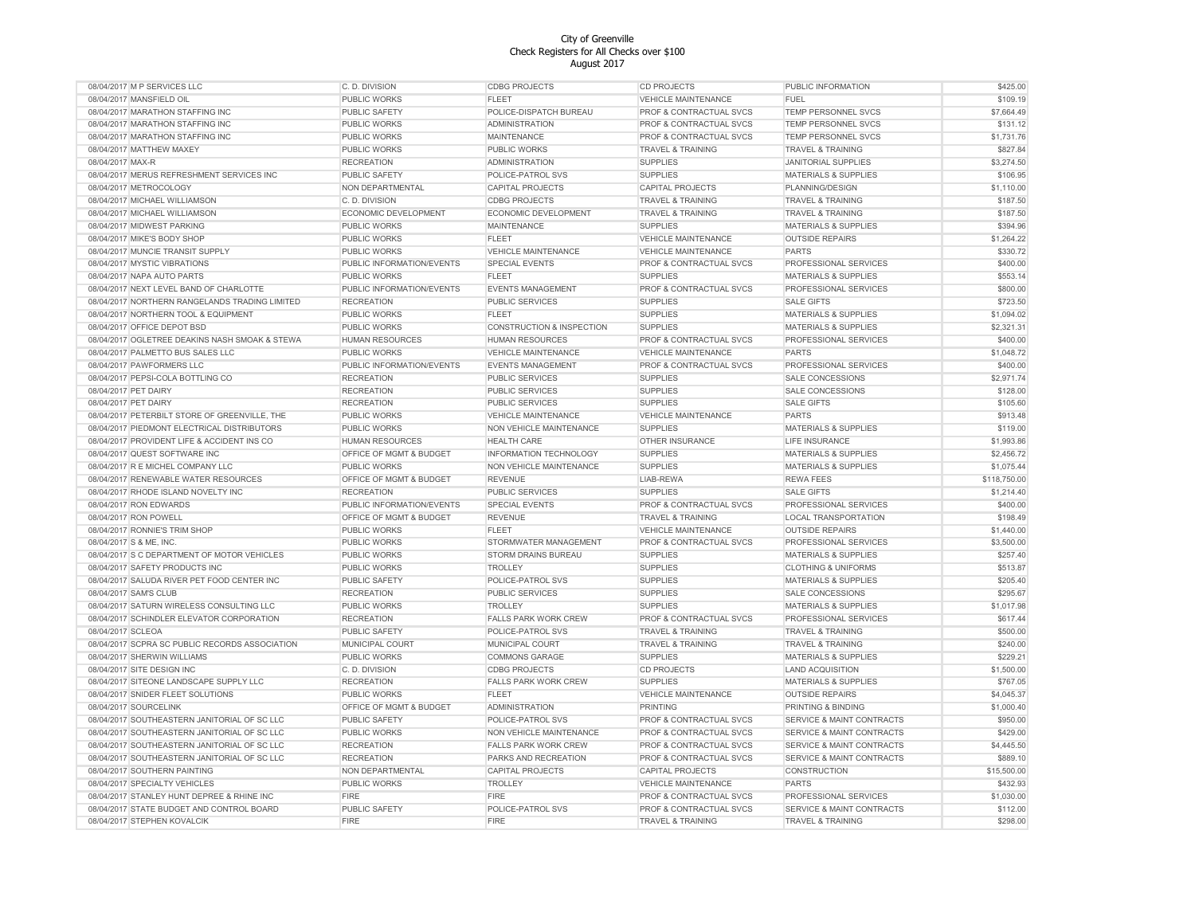| 08/04/2017 M P SERVICES LLC                    | C. D. DIVISION            | <b>CDBG PROJECTS</b>                 | <b>CD PROJECTS</b>                 | PUBLIC INFORMATION                   | \$425.00     |
|------------------------------------------------|---------------------------|--------------------------------------|------------------------------------|--------------------------------------|--------------|
| 08/04/2017 MANSFIELD OIL                       | PUBLIC WORKS              | <b>FLEET</b>                         | <b>VEHICLE MAINTENANCE</b>         | <b>FUEL</b>                          | \$109.19     |
| 08/04/2017 MARATHON STAFFING INC               | PUBLIC SAFETY             | POLICE-DISPATCH BUREAU               | PROF & CONTRACTUAL SVCS            | <b>TEMP PERSONNEL SVCS</b>           | \$7,664.49   |
| 08/04/2017 MARATHON STAFFING INC               | PUBLIC WORKS              | <b>ADMINISTRATION</b>                | <b>PROF &amp; CONTRACTUAL SVCS</b> | TEMP PERSONNEL SVCS                  | \$131.12     |
| 08/04/2017 MARATHON STAFFING INC               | PUBLIC WORKS              | <b>MAINTENANCE</b>                   | PROF & CONTRACTUAL SVCS            | TEMP PERSONNEL SVCS                  | \$1,731.76   |
| 08/04/2017 MATTHEW MAXEY                       | <b>PUBLIC WORKS</b>       | <b>PUBLIC WORKS</b>                  | <b>TRAVEL &amp; TRAINING</b>       | <b>TRAVEL &amp; TRAINING</b>         | \$827.84     |
| 08/04/2017 MAX-R                               | <b>RECREATION</b>         | <b>ADMINISTRATION</b>                | <b>SUPPLIES</b>                    | <b>JANITORIAL SUPPLIES</b>           | \$3,274.50   |
| 08/04/2017 MERUS REFRESHMENT SERVICES INC      | PUBLIC SAFETY             | POLICE-PATROL SVS                    | <b>SUPPLIES</b>                    | <b>MATERIALS &amp; SUPPLIES</b>      | \$106.95     |
|                                                |                           |                                      |                                    |                                      |              |
| 08/04/2017 METROCOLOGY                         | NON DEPARTMENTAL          | <b>CAPITAL PROJECTS</b>              | <b>CAPITAL PROJECTS</b>            | PLANNING/DESIGN                      | \$1,110.00   |
| 08/04/2017 MICHAEL WILLIAMSON                  | C. D. DIVISION            | <b>CDBG PROJECTS</b>                 | <b>TRAVEL &amp; TRAINING</b>       | <b>TRAVEL &amp; TRAINING</b>         | \$187.50     |
| 08/04/2017 MICHAEL WILLIAMSON                  | ECONOMIC DEVELOPMENT      | ECONOMIC DEVELOPMENT                 | <b>TRAVEL &amp; TRAINING</b>       | <b>TRAVEL &amp; TRAINING</b>         | \$187.50     |
| 08/04/2017 MIDWEST PARKING                     | PUBLIC WORKS              | <b>MAINTENANCE</b>                   | <b>SUPPLIES</b>                    | <b>MATERIALS &amp; SUPPLIES</b>      | \$394.96     |
| 08/04/2017 MIKE'S BODY SHOP                    | PUBLIC WORKS              | <b>FLEET</b>                         | <b>VEHICLE MAINTENANCE</b>         | <b>OUTSIDE REPAIRS</b>               | \$1,264.22   |
| 08/04/2017 MUNCIE TRANSIT SUPPLY               | PUBLIC WORKS              | <b>VEHICLE MAINTENANCE</b>           | <b>VEHICLE MAINTENANCE</b>         | <b>PARTS</b>                         | \$330.72     |
| 08/04/2017 MYSTIC VIBRATIONS                   | PUBLIC INFORMATION/EVENTS | <b>SPECIAL EVENTS</b>                | PROF & CONTRACTUAL SVCS            | PROFESSIONAL SERVICES                | \$400.00     |
| 08/04/2017 NAPA AUTO PARTS                     | PUBLIC WORKS              | <b>FLEET</b>                         | <b>SUPPLIES</b>                    | <b>MATERIALS &amp; SUPPLIES</b>      | \$553.14     |
| 08/04/2017 NEXT LEVEL BAND OF CHARLOTTE        | PUBLIC INFORMATION/EVENTS | <b>EVENTS MANAGEMENT</b>             | PROF & CONTRACTUAL SVCS            | PROFESSIONAL SERVICES                | \$800.00     |
| 08/04/2017 NORTHERN RANGELANDS TRADING LIMITED | <b>RECREATION</b>         | <b>PUBLIC SERVICES</b>               | <b>SUPPLIES</b>                    | <b>SALE GIFTS</b>                    | \$723.50     |
| 08/04/2017 NORTHERN TOOL & EQUIPMENT           | PUBLIC WORKS              | <b>FLEET</b>                         | <b>SUPPLIES</b>                    | <b>MATERIALS &amp; SUPPLIES</b>      | \$1,094.02   |
| 08/04/2017 OFFICE DEPOT BSD                    | <b>PUBLIC WORKS</b>       | <b>CONSTRUCTION &amp; INSPECTION</b> | <b>SUPPLIES</b>                    | <b>MATERIALS &amp; SUPPLIES</b>      | \$2,321.31   |
| 08/04/2017 OGLETREE DEAKINS NASH SMOAK & STEWA | HUMAN RESOURCES           | <b>HUMAN RESOURCES</b>               | PROF & CONTRACTUAL SVCS            | PROFESSIONAL SERVICES                | \$400.00     |
| 08/04/2017 PALMETTO BUS SALES LLC              | <b>PUBLIC WORKS</b>       | <b>VEHICLE MAINTENANCE</b>           | <b>VEHICLE MAINTENANCE</b>         | <b>PARTS</b>                         | \$1,048.72   |
|                                                |                           |                                      |                                    |                                      |              |
| 08/04/2017 PAWFORMERS LLC                      | PUBLIC INFORMATION/EVENTS | <b>EVENTS MANAGEMENT</b>             | PROF & CONTRACTUAL SVCS            | PROFESSIONAL SERVICES                | \$400.00     |
| 08/04/2017 PEPSI-COLA BOTTLING CO              | <b>RECREATION</b>         | <b>PUBLIC SERVICES</b>               | <b>SUPPLIES</b>                    | <b>SALE CONCESSIONS</b>              | \$2,971.74   |
| 08/04/2017 PET DAIRY                           | <b>RECREATION</b>         | <b>PUBLIC SERVICES</b>               | <b>SUPPLIES</b>                    | <b>SALE CONCESSIONS</b>              | \$128.00     |
| 08/04/2017 PET DAIRY                           | <b>RECREATION</b>         | <b>PUBLIC SERVICES</b>               | <b>SUPPLIES</b>                    | <b>SALE GIFTS</b>                    | \$105.60     |
| 08/04/2017 PETERBILT STORE OF GREENVILLE. THE  | PUBLIC WORKS              | <b>VEHICLE MAINTENANCE</b>           | <b>VEHICLE MAINTENANCE</b>         | <b>PARTS</b>                         | \$913.48     |
| 08/04/2017 PIEDMONT ELECTRICAL DISTRIBUTORS    | PUBLIC WORKS              | NON VEHICLE MAINTENANCE              | <b>SUPPLIES</b>                    | MATERIALS & SUPPLIES                 | \$119.00     |
| 08/04/2017 PROVIDENT LIFE & ACCIDENT INS CO    | HUMAN RESOURCES           | <b>HEALTH CARE</b>                   | OTHER INSURANCE                    | LIFE INSURANCE                       | \$1,993.86   |
| 08/04/2017 QUEST SOFTWARE INC                  | OFFICE OF MGMT & BUDGET   | INFORMATION TECHNOLOGY               | <b>SUPPLIES</b>                    | MATERIALS & SUPPLIES                 | \$2,456.72   |
| 08/04/2017 R E MICHEL COMPANY LLC              | PUBLIC WORKS              | NON VEHICLE MAINTENANCE              | <b>SUPPLIES</b>                    | <b>MATERIALS &amp; SUPPLIES</b>      | \$1,075.44   |
| 08/04/2017 RENEWABLE WATER RESOURCES           | OFFICE OF MGMT & BUDGET   | <b>REVENUE</b>                       | LIAB-REWA                          | <b>REWA FEES</b>                     | \$118,750.00 |
| 08/04/2017 RHODE ISLAND NOVELTY INC            | <b>RECREATION</b>         | <b>PUBLIC SERVICES</b>               | <b>SUPPLIES</b>                    | <b>SALE GIFTS</b>                    | \$1,214.40   |
| 08/04/2017 RON EDWARDS                         | PUBLIC INFORMATION/EVENTS | SPECIAL EVENTS                       | PROF & CONTRACTUAL SVCS            | PROFESSIONAL SERVICES                | \$400.00     |
|                                                |                           |                                      | <b>TRAVEL &amp; TRAINING</b>       |                                      |              |
| 08/04/2017 RON POWELL                          | OFFICE OF MGMT & BUDGET   | <b>REVENUE</b>                       |                                    | LOCAL TRANSPORTATION                 | \$198.49     |
| 08/04/2017 RONNIE'S TRIM SHOP                  | PUBLIC WORKS              | <b>FLEET</b>                         | <b>VEHICLE MAINTENANCE</b>         | <b>OUTSIDE REPAIRS</b>               | \$1,440.00   |
| 08/04/2017 S & ME, INC.                        | PUBLIC WORKS              | STORMWATER MANAGEMENT                | PROF & CONTRACTUAL SVCS            | PROFESSIONAL SERVICES                | \$3,500.00   |
| 08/04/2017 S C DEPARTMENT OF MOTOR VEHICLES    | PUBLIC WORKS              | <b>STORM DRAINS BUREAU</b>           | <b>SUPPLIES</b>                    | <b>MATERIALS &amp; SUPPLIES</b>      | \$257.40     |
| 08/04/2017 SAFETY PRODUCTS INC                 | PUBLIC WORKS              | <b>TROLLEY</b>                       | <b>SUPPLIES</b>                    | <b>CLOTHING &amp; UNIFORMS</b>       | \$513.87     |
| 08/04/2017 SALUDA RIVER PET FOOD CENTER INC    | PUBLIC SAFETY             | POLICE-PATROL SVS                    | <b>SUPPLIES</b>                    | <b>MATERIALS &amp; SUPPLIES</b>      | \$205.40     |
| 08/04/2017 SAM'S CLUB                          | <b>RECREATION</b>         | <b>PUBLIC SERVICES</b>               | <b>SUPPLIES</b>                    | <b>SALE CONCESSIONS</b>              | \$295.67     |
| 08/04/2017 SATURN WIRELESS CONSULTING LLC      | PUBLIC WORKS              | <b>TROLLEY</b>                       | <b>SUPPLIES</b>                    | <b>MATERIALS &amp; SUPPLIES</b>      | \$1,017.98   |
| 08/04/2017 SCHINDLER ELEVATOR CORPORATION      | <b>RECREATION</b>         | <b>FALLS PARK WORK CREW</b>          | PROF & CONTRACTUAL SVCS            | PROFESSIONAL SERVICES                | \$617.44     |
| 08/04/2017 SCLEOA                              | PUBLIC SAFETY             | POLICE-PATROL SVS                    | <b>TRAVEL &amp; TRAINING</b>       | <b>TRAVEL &amp; TRAINING</b>         | \$500.00     |
| 08/04/2017 SCPRA SC PUBLIC RECORDS ASSOCIATION | MUNICIPAL COURT           | MUNICIPAL COURT                      | TRAVEL & TRAINING                  | <b>TRAVEL &amp; TRAINING</b>         | \$240.00     |
| 08/04/2017 SHERWIN WILLIAMS                    | PUBLIC WORKS              | <b>COMMONS GARAGE</b>                | <b>SUPPLIES</b>                    | <b>MATERIALS &amp; SUPPLIES</b>      | \$229.21     |
| 08/04/2017 SITE DESIGN INC                     | C. D. DIVISION            | <b>CDBG PROJECTS</b>                 | CD PROJECTS                        | <b>LAND ACQUISITION</b>              | \$1,500.00   |
| 08/04/2017 SITEONE LANDSCAPE SUPPLY LLC        | <b>RECREATION</b>         | <b>FALLS PARK WORK CREW</b>          | <b>SUPPLIES</b>                    | <b>MATERIALS &amp; SUPPLIES</b>      | \$767.05     |
|                                                |                           |                                      |                                    |                                      |              |
| 08/04/2017 SNIDER FLEET SOLUTIONS              | PUBLIC WORKS              | <b>FLEET</b>                         | <b>VEHICLE MAINTENANCE</b>         | <b>OUTSIDE REPAIRS</b>               | \$4,045.37   |
| 08/04/2017 SOURCELINK                          | OFFICE OF MGMT & BUDGET   | <b>ADMINISTRATION</b>                | PRINTING                           | PRINTING & BINDING                   | \$1,000.40   |
| 08/04/2017 SOUTHEASTERN JANITORIAL OF SC LLC   | PUBLIC SAFETY             | POLICE-PATROL SVS                    | PROF & CONTRACTUAL SVCS            | SERVICE & MAINT CONTRACTS            | \$950.00     |
| 08/04/2017 SOUTHEASTERN JANITORIAL OF SC LLC   | PUBLIC WORKS              | NON VEHICLE MAINTENANCE              | PROF & CONTRACTUAL SVCS            | SERVICE & MAINT CONTRACTS            | \$429.00     |
| 08/04/2017 SOUTHEASTERN JANITORIAL OF SC LLC   | <b>RECREATION</b>         | <b>FALLS PARK WORK CREW</b>          | PROF & CONTRACTUAL SVCS            | SERVICE & MAINT CONTRACTS            | \$4,445.50   |
| 08/04/2017 SOUTHEASTERN JANITORIAL OF SC LLC   | <b>RECREATION</b>         | PARKS AND RECREATION                 | PROF & CONTRACTUAL SVCS            | <b>SERVICE &amp; MAINT CONTRACTS</b> | \$889.10     |
| 08/04/2017 SOUTHERN PAINTING                   | NON DEPARTMENTAL          | CAPITAL PROJECTS                     | <b>CAPITAL PROJECTS</b>            | CONSTRUCTION                         | \$15,500.00  |
| 08/04/2017 SPECIALTY VEHICLES                  | PUBLIC WORKS              | <b>TROLLEY</b>                       | <b>VEHICLE MAINTENANCE</b>         | <b>PARTS</b>                         | \$432.93     |
| 08/04/2017 STANLEY HUNT DEPREE & RHINE INC     | <b>FIRE</b>               | <b>FIRE</b>                          | PROF & CONTRACTUAL SVCS            | PROFESSIONAL SERVICES                | \$1.030.00   |
| 08/04/2017 STATE BUDGET AND CONTROL BOARD      | PUBLIC SAFETY             | POLICE-PATROL SVS                    | PROF & CONTRACTUAL SVCS            | <b>SERVICE &amp; MAINT CONTRACTS</b> | \$112.00     |
| 08/04/2017 STEPHEN KOVALCIK                    | <b>FIRE</b>               | <b>FIRE</b>                          | <b>TRAVEL &amp; TRAINING</b>       | <b>TRAVEL &amp; TRAINING</b>         | \$298.00     |
|                                                |                           |                                      |                                    |                                      |              |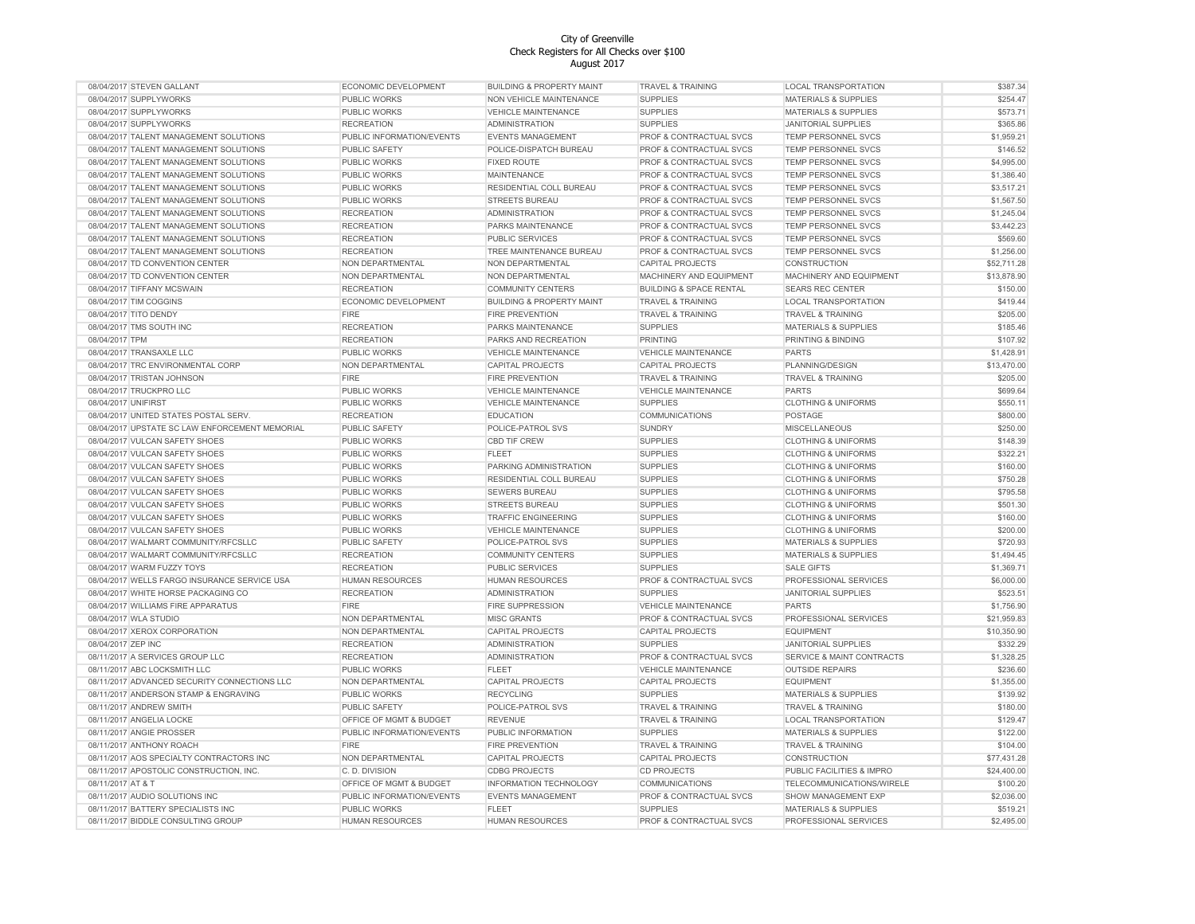| 08/04/2017 STEVEN GALLANT                      | ECONOMIC DEVELOPMENT        | <b>BUILDING &amp; PROPERTY MAINT</b> | <b>TRAVEL &amp; TRAINING</b>       | LOCAL TRANSPORTATION            | \$387.34    |
|------------------------------------------------|-----------------------------|--------------------------------------|------------------------------------|---------------------------------|-------------|
| 08/04/2017 SUPPLYWORKS                         | PUBLIC WORKS                | NON VEHICLE MAINTENANCE              | <b>SUPPLIES</b>                    | <b>MATERIALS &amp; SUPPLIES</b> | \$254.47    |
| 08/04/2017 SUPPLYWORKS                         | PUBLIC WORKS                | <b>VEHICLE MAINTENANCE</b>           | <b>SUPPLIES</b>                    | <b>MATERIALS &amp; SUPPLIES</b> | \$573.71    |
| 08/04/2017 SUPPLYWORKS                         | <b>RECREATION</b>           | <b>ADMINISTRATION</b>                | <b>SUPPLIES</b>                    | <b>JANITORIAL SUPPLIES</b>      | \$365.86    |
| 08/04/2017 TALENT MANAGEMENT SOLUTIONS         | PUBLIC INFORMATION/EVENTS   | <b>EVENTS MANAGEMENT</b>             | PROF & CONTRACTUAL SVCS            | <b>TEMP PERSONNEL SVCS</b>      | \$1,959.21  |
| 08/04/2017 TALENT MANAGEMENT SOLUTIONS         | PUBLIC SAFETY               | POLICE-DISPATCH BUREAU               | <b>PROF &amp; CONTRACTUAL SVCS</b> | TEMP PERSONNEL SVCS             | \$146.52    |
| 08/04/2017 TALENT MANAGEMENT SOLUTIONS         | PUBLIC WORKS                | <b>FIXED ROUTE</b>                   | PROF & CONTRACTUAL SVCS            | TEMP PERSONNEL SVCS             | \$4,995.00  |
| 08/04/2017 TALENT MANAGEMENT SOLUTIONS         | PUBLIC WORKS                | <b>MAINTENANCE</b>                   | PROF & CONTRACTUAL SVCS            | <b>TEMP PERSONNEL SVCS</b>      | \$1,386.40  |
| 08/04/2017 TALENT MANAGEMENT SOLUTIONS         | PUBLIC WORKS                | RESIDENTIAL COLL BUREAU              | PROF & CONTRACTUAL SVCS            | <b>TEMP PERSONNEL SVCS</b>      | \$3,517.21  |
| 08/04/2017 TALENT MANAGEMENT SOLUTIONS         | PUBLIC WORKS                | STREETS BUREAU                       | PROF & CONTRACTUAL SVCS            | TEMP PERSONNEL SVCS             | \$1,567.50  |
| 08/04/2017 TALENT MANAGEMENT SOLUTIONS         | <b>RECREATION</b>           | <b>ADMINISTRATION</b>                | PROF & CONTRACTUAL SVCS            | TEMP PERSONNEL SVCS             | \$1,245.04  |
| 08/04/2017 TALENT MANAGEMENT SOLUTIONS         | <b>RECREATION</b>           | PARKS MAINTENANCE                    | PROF & CONTRACTUAL SVCS            | TEMP PERSONNEL SVCS             | \$3,442.23  |
| 08/04/2017 TALENT MANAGEMENT SOLUTIONS         | <b>RECREATION</b>           | PUBLIC SERVICES                      | PROF & CONTRACTUAL SVCS            | TEMP PERSONNEL SVCS             | \$569.60    |
|                                                |                             |                                      |                                    |                                 |             |
| 08/04/2017 TALENT MANAGEMENT SOLUTIONS         | <b>RECREATION</b>           | TREE MAINTENANCE BUREAU              | PROF & CONTRACTUAL SVCS            | TEMP PERSONNEL SVCS             | \$1,256.00  |
| 08/04/2017 TD CONVENTION CENTER                | NON DEPARTMENTAL            | NON DEPARTMENTAL                     | <b>CAPITAL PROJECTS</b>            | CONSTRUCTION                    | \$52,711.28 |
| 08/04/2017 TD CONVENTION CENTER                | NON DEPARTMENTAL            | NON DEPARTMENTAL                     | MACHINERY AND EQUIPMENT            | MACHINERY AND EQUIPMENT         | \$13,878.90 |
| 08/04/2017 TIFFANY MCSWAIN                     | <b>RECREATION</b>           | <b>COMMUNITY CENTERS</b>             | <b>BUILDING &amp; SPACE RENTAL</b> | <b>SEARS REC CENTER</b>         | \$150.00    |
| 08/04/2017 TIM COGGINS                         | <b>ECONOMIC DEVELOPMENT</b> | <b>BUILDING &amp; PROPERTY MAINT</b> | <b>TRAVEL &amp; TRAINING</b>       | <b>LOCAL TRANSPORTATION</b>     | \$419.44    |
| 08/04/2017 TITO DENDY                          | <b>FIRE</b>                 | <b>FIRE PREVENTION</b>               | <b>TRAVEL &amp; TRAINING</b>       | <b>TRAVEL &amp; TRAINING</b>    | \$205.00    |
| 08/04/2017 TMS SOUTH INC                       | <b>RECREATION</b>           | PARKS MAINTENANCE                    | <b>SUPPLIES</b>                    | MATERIALS & SUPPLIES            | \$185.46    |
| 08/04/2017 TPM                                 | <b>RECREATION</b>           | PARKS AND RECREATION                 | <b>PRINTING</b>                    | PRINTING & BINDING              | \$107.92    |
| 08/04/2017 TRANSAXLE LLC                       | PUBLIC WORKS                | VEHICLE MAINTENANCE                  | VEHICLE MAINTENANCE                | PARTS                           | \$1,428.91  |
| 08/04/2017 TRC ENVIRONMENTAL CORP              | NON DEPARTMENTAL            | <b>CAPITAL PROJECTS</b>              | <b>CAPITAL PROJECTS</b>            | PLANNING/DESIGN                 | \$13,470.00 |
| 08/04/2017 TRISTAN JOHNSON                     | <b>FIRE</b>                 | <b>FIRE PREVENTION</b>               | <b>TRAVEL &amp; TRAINING</b>       | <b>TRAVEL &amp; TRAINING</b>    | \$205.00    |
| 08/04/2017 TRUCKPRO LLC                        | PUBLIC WORKS                | <b>VEHICLE MAINTENANCE</b>           | <b>VEHICLE MAINTENANCE</b>         | <b>PARTS</b>                    | \$699.64    |
| 08/04/2017 UNIFIRST                            | PUBLIC WORKS                | <b>VEHICLE MAINTENANCE</b>           | <b>SUPPLIES</b>                    | <b>CLOTHING &amp; UNIFORMS</b>  | \$550.11    |
| 08/04/2017 UNITED STATES POSTAL SERV.          | <b>RECREATION</b>           | <b>EDUCATION</b>                     | COMMUNICATIONS                     | POSTAGE                         | \$800.00    |
| 08/04/2017 UPSTATE SC LAW ENFORCEMENT MEMORIAL | PUBLIC SAFETY               | POLICE-PATROL SVS                    | <b>SUNDRY</b>                      | <b>MISCELLANEOUS</b>            | \$250.00    |
| 08/04/2017 VULCAN SAFETY SHOES                 | PUBLIC WORKS                | CBD TIF CREW                         | <b>SUPPLIES</b>                    | <b>CLOTHING &amp; UNIFORMS</b>  | \$148.39    |
| 08/04/2017 VULCAN SAFETY SHOES                 | <b>PUBLIC WORKS</b>         | <b>FLEET</b>                         | <b>SUPPLIES</b>                    | <b>CLOTHING &amp; UNIFORMS</b>  | \$322.21    |
| 08/04/2017 VULCAN SAFETY SHOES                 | <b>PUBLIC WORKS</b>         | PARKING ADMINISTRATION               | <b>SUPPLIES</b>                    | <b>CLOTHING &amp; UNIFORMS</b>  | \$160.00    |
| 08/04/2017 VULCAN SAFETY SHOES                 | PUBLIC WORKS                | RESIDENTIAL COLL BUREAU              | <b>SUPPLIES</b>                    | <b>CLOTHING &amp; UNIFORMS</b>  | \$750.28    |
|                                                | PUBLIC WORKS                |                                      |                                    |                                 | \$795.58    |
| 08/04/2017 VULCAN SAFETY SHOES                 |                             | <b>SEWERS BUREAU</b>                 | <b>SUPPLIES</b>                    | <b>CLOTHING &amp; UNIFORMS</b>  |             |
| 08/04/2017 VULCAN SAFETY SHOES                 | <b>PUBLIC WORKS</b>         | STREETS BUREAU                       | <b>SUPPLIES</b>                    | <b>CLOTHING &amp; UNIFORMS</b>  | \$501.30    |
| 08/04/2017 VULCAN SAFETY SHOES                 | PUBLIC WORKS                | <b>TRAFFIC ENGINEERING</b>           | <b>SUPPLIES</b>                    | <b>CLOTHING &amp; UNIFORMS</b>  | \$160.00    |
| 08/04/2017 VULCAN SAFETY SHOES                 | PUBLIC WORKS                | <b>VEHICLE MAINTENANCE</b>           | <b>SUPPLIES</b>                    | <b>CLOTHING &amp; UNIFORMS</b>  | \$200.00    |
| 08/04/2017 WALMART COMMUNITY/RFCSLLC           | PUBLIC SAFETY               | POLICE-PATROL SVS                    | <b>SUPPLIES</b>                    | <b>MATERIALS &amp; SUPPLIES</b> | \$720.93    |
| 08/04/2017 WALMART COMMUNITY/RFCSLLC           | <b>RECREATION</b>           | <b>COMMUNITY CENTERS</b>             | <b>SUPPLIES</b>                    | <b>MATERIALS &amp; SUPPLIES</b> | \$1,494.45  |
| 08/04/2017 WARM FUZZY TOYS                     | <b>RECREATION</b>           | PUBLIC SERVICES                      | <b>SUPPLIES</b>                    | <b>SALE GIFTS</b>               | \$1,369.71  |
| 08/04/2017 WELLS FARGO INSURANCE SERVICE USA   | HUMAN RESOURCES             | <b>HUMAN RESOURCES</b>               | PROF & CONTRACTUAL SVCS            | PROFESSIONAL SERVICES           | \$6,000.00  |
| 08/04/2017 WHITE HORSE PACKAGING CO            | <b>RECREATION</b>           | <b>ADMINISTRATION</b>                | <b>SUPPLIES</b>                    | <b>JANITORIAL SUPPLIES</b>      | \$523.51    |
| 08/04/2017 WILLIAMS FIRE APPARATUS             | <b>FIRE</b>                 | <b>FIRE SUPPRESSION</b>              | <b>VEHICLE MAINTENANCE</b>         | <b>PARTS</b>                    | \$1,756.90  |
| 08/04/2017 WLA STUDIO                          | NON DEPARTMENTAL            | <b>MISC GRANTS</b>                   | PROF & CONTRACTUAL SVCS            | PROFESSIONAL SERVICES           | \$21,959.83 |
| 08/04/2017 XEROX CORPORATION                   | NON DEPARTMENTAL            | <b>CAPITAL PROJECTS</b>              | <b>CAPITAL PROJECTS</b>            | <b>EQUIPMENT</b>                | \$10,350.90 |
| 08/04/2017 ZEP INC                             | <b>RECREATION</b>           | ADMINISTRATION                       | <b>SUPPLIES</b>                    | JANITORIAL SUPPLIES             | \$332.29    |
| 08/11/2017 A SERVICES GROUP LLC                | <b>RECREATION</b>           | <b>ADMINISTRATION</b>                | PROF & CONTRACTUAL SVCS            | SERVICE & MAINT CONTRACTS       | \$1,328.25  |
| 08/11/2017 ABC LOCKSMITH LLC                   | PUBLIC WORKS                | <b>FLEET</b>                         | <b>VEHICLE MAINTENANCE</b>         | <b>OUTSIDE REPAIRS</b>          | \$236.60    |
| 08/11/2017 ADVANCED SECURITY CONNECTIONS LLC   | NON DEPARTMENTAL            | CAPITAL PROJECTS                     | <b>CAPITAL PROJECTS</b>            | <b>EQUIPMENT</b>                | \$1,355.00  |
| 08/11/2017 ANDERSON STAMP & ENGRAVING          | PUBLIC WORKS                | <b>RECYCLING</b>                     | <b>SUPPLIES</b>                    | <b>MATERIALS &amp; SUPPLIES</b> | \$139.92    |
| 08/11/2017 ANDREW SMITH                        | PUBLIC SAFETY               | POLICE-PATROL SVS                    | TRAVEL & TRAINING                  | <b>TRAVEL &amp; TRAINING</b>    | \$180.00    |
| 08/11/2017 ANGELIA LOCKE                       | OFFICE OF MGMT & BUDGET     | <b>REVENUE</b>                       | <b>TRAVEL &amp; TRAINING</b>       | <b>LOCAL TRANSPORTATION</b>     | \$129.47    |
| 08/11/2017 ANGIE PROSSER                       | PUBLIC INFORMATION/EVENTS   | PUBLIC INFORMATION                   | <b>SUPPLIES</b>                    | MATERIALS & SUPPLIES            | \$122.00    |
| 08/11/2017 ANTHONY ROACH                       | <b>FIRE</b>                 |                                      |                                    |                                 | \$104.00    |
|                                                |                             | FIRE PREVENTION                      | TRAVEL & TRAINING                  | TRAVEL & TRAINING               |             |
| 08/11/2017 AOS SPECIALTY CONTRACTORS INC       | NON DEPARTMENTAL            | <b>CAPITAL PROJECTS</b>              | <b>CAPITAL PROJECTS</b>            | CONSTRUCTION                    | \$77,431.28 |
| 08/11/2017 APOSTOLIC CONSTRUCTION, INC.        | C. D. DIVISION              | <b>CDBG PROJECTS</b>                 | <b>CD PROJECTS</b>                 | PUBLIC FACILITIES & IMPRO       | \$24,400.00 |
| 08/11/2017 AT & T                              | OFFICE OF MGMT & BUDGET     | <b>INFORMATION TECHNOLOGY</b>        | <b>COMMUNICATIONS</b>              | TELECOMMUNICATIONS/WIRELE       | \$100.20    |
| 08/11/2017 AUDIO SOLUTIONS INC                 | PUBLIC INFORMATION/EVENTS   | <b>EVENTS MANAGEMENT</b>             | PROF & CONTRACTUAL SVCS            | <b>SHOW MANAGEMENT EXP</b>      | \$2,036.00  |
| 08/11/2017 BATTERY SPECIALISTS INC             | PUBLIC WORKS                | <b>FLEET</b>                         | <b>SUPPLIES</b>                    | <b>MATERIALS &amp; SUPPLIES</b> | \$519.21    |
| 08/11/2017 BIDDLE CONSULTING GROUP             | <b>HUMAN RESOURCES</b>      | <b>HUMAN RESOURCES</b>               | PROF & CONTRACTUAL SVCS            | PROFESSIONAL SERVICES           | \$2,495.00  |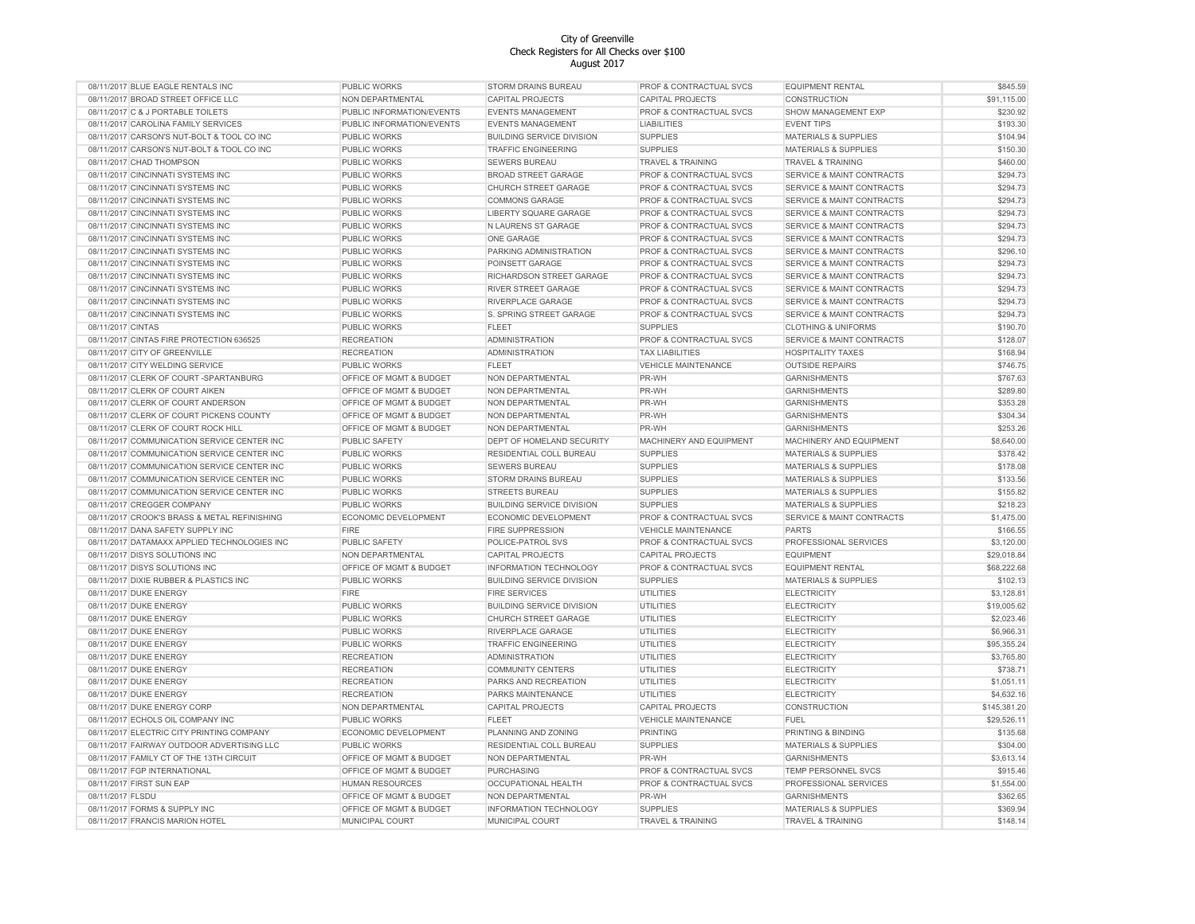| 08/11/2017 BLUE EAGLE RENTALS INC            | <b>PUBLIC WORKS</b>       | STORM DRAINS BUREAU              | PROF & CONTRACTUAL SVCS      | <b>EQUIPMENT RENTAL</b>              | \$845.59     |
|----------------------------------------------|---------------------------|----------------------------------|------------------------------|--------------------------------------|--------------|
| 08/11/2017 BROAD STREET OFFICE LLC           | NON DEPARTMENTAL          | CAPITAL PROJECTS                 | CAPITAL PROJECTS             | CONSTRUCTION                         | \$91,115.00  |
| 08/11/2017 C & J PORTABLE TOILETS            | PUBLIC INFORMATION/EVENTS | <b>EVENTS MANAGEMENT</b>         | PROF & CONTRACTUAL SVCS      | SHOW MANAGEMENT EXP                  | \$230.92     |
| 08/11/2017 CAROLINA FAMILY SERVICES          | PUBLIC INFORMATION/EVENTS | <b>EVENTS MANAGEMENT</b>         | <b>LIABILITIES</b>           | <b>EVENT TIPS</b>                    | \$193.30     |
| 08/11/2017 CARSON'S NUT-BOLT & TOOL CO INC   | <b>PUBLIC WORKS</b>       | <b>BUILDING SERVICE DIVISION</b> | <b>SUPPLIES</b>              | <b>MATERIALS &amp; SUPPLIES</b>      | \$104.94     |
| 08/11/2017 CARSON'S NUT-BOLT & TOOL CO INC   | <b>PUBLIC WORKS</b>       | <b>TRAFFIC ENGINEERING</b>       | <b>SUPPLIES</b>              | <b>MATERIALS &amp; SUPPLIES</b>      | \$150.30     |
| 08/11/2017 CHAD THOMPSON                     | <b>PUBLIC WORKS</b>       | <b>SEWERS BUREAU</b>             | <b>TRAVEL &amp; TRAINING</b> | <b>TRAVEL &amp; TRAINING</b>         | \$460.00     |
|                                              |                           |                                  |                              |                                      |              |
| 08/11/2017 CINCINNATI SYSTEMS INC            | <b>PUBLIC WORKS</b>       | <b>BROAD STREET GARAGE</b>       | PROF & CONTRACTUAL SVCS      | <b>SERVICE &amp; MAINT CONTRACTS</b> | \$294.73     |
| 08/11/2017 CINCINNATI SYSTEMS INC            | PUBLIC WORKS              | CHURCH STREET GARAGE             | PROF & CONTRACTUAL SVCS      | <b>SERVICE &amp; MAINT CONTRACTS</b> | \$294.73     |
| 08/11/2017 CINCINNATI SYSTEMS INC            | <b>PUBLIC WORKS</b>       | <b>COMMONS GARAGE</b>            | PROF & CONTRACTUAL SVCS      | <b>SERVICE &amp; MAINT CONTRACTS</b> | \$294.73     |
| 08/11/2017 CINCINNATI SYSTEMS INC            | PUBLIC WORKS              | LIBERTY SQUARE GARAGE            | PROF & CONTRACTUAL SVCS      | SERVICE & MAINT CONTRACTS            | \$294.73     |
| 08/11/2017 CINCINNATI SYSTEMS INC            | PUBLIC WORKS              | N LAURENS ST GARAGE              | PROF & CONTRACTUAL SVCS      | <b>SERVICE &amp; MAINT CONTRACTS</b> | \$294.73     |
| 08/11/2017 CINCINNATI SYSTEMS INC            | <b>PUBLIC WORKS</b>       | ONE GARAGE                       | PROF & CONTRACTUAL SVCS      | <b>SERVICE &amp; MAINT CONTRACTS</b> | \$294.73     |
| 08/11/2017 CINCINNATI SYSTEMS INC            | PUBLIC WORKS              | PARKING ADMINISTRATION           | PROF & CONTRACTUAL SVCS      | <b>SERVICE &amp; MAINT CONTRACTS</b> | \$296.10     |
| 08/11/2017 CINCINNATI SYSTEMS INC            | <b>PUBLIC WORKS</b>       | POINSETT GARAGE                  | PROF & CONTRACTUAL SVCS      | <b>SERVICE &amp; MAINT CONTRACTS</b> | \$294.73     |
| 08/11/2017 CINCINNATI SYSTEMS INC            | PUBLIC WORKS              | RICHARDSON STREET GARAGE         | PROF & CONTRACTUAL SVCS      | <b>SERVICE &amp; MAINT CONTRACTS</b> | \$294.73     |
| 08/11/2017 CINCINNATI SYSTEMS INC            | <b>PUBLIC WORKS</b>       | RIVER STREET GARAGE              | PROF & CONTRACTUAL SVCS      | <b>SERVICE &amp; MAINT CONTRACTS</b> | \$294.73     |
| 08/11/2017 CINCINNATI SYSTEMS INC            | <b>PUBLIC WORKS</b>       | RIVERPLACE GARAGE                | PROF & CONTRACTUAL SVCS      | <b>SERVICE &amp; MAINT CONTRACTS</b> | \$294.73     |
| 08/11/2017 CINCINNATI SYSTEMS INC            | <b>PUBLIC WORKS</b>       | S. SPRING STREET GARAGE          | PROF & CONTRACTUAL SVCS      | <b>SERVICE &amp; MAINT CONTRACTS</b> | \$294.73     |
| 08/11/2017 CINTAS                            | PUBLIC WORKS              | <b>FLEET</b>                     | <b>SUPPLIES</b>              | <b>CLOTHING &amp; UNIFORMS</b>       | \$190.70     |
| 08/11/2017 CINTAS FIRE PROTECTION 636525     | <b>RECREATION</b>         | <b>ADMINISTRATION</b>            | PROF & CONTRACTUAL SVCS      | <b>SERVICE &amp; MAINT CONTRACTS</b> | \$128.07     |
| 08/11/2017 CITY OF GREENVILLE                | <b>RECREATION</b>         | <b>ADMINISTRATION</b>            | <b>TAX LIABILITIES</b>       | <b>HOSPITALITY TAXES</b>             | \$168.94     |
| 08/11/2017 CITY WELDING SERVICE              | <b>PUBLIC WORKS</b>       | <b>FLEET</b>                     |                              | <b>OUTSIDE REPAIRS</b>               |              |
| 08/11/2017 CLERK OF COURT-SPARTANBURG        | OFFICE OF MGMT & BUDGET   |                                  | <b>VEHICLE MAINTENANCE</b>   |                                      | \$746.75     |
|                                              |                           | NON DEPARTMENTAL                 | PR-WH                        | <b>GARNISHMENTS</b>                  | \$767.63     |
| 08/11/2017 CLERK OF COURT AIKEN              | OFFICE OF MGMT & BUDGET   | NON DEPARTMENTAL                 | PR-WH                        | <b>GARNISHMENTS</b>                  | \$289.80     |
| 08/11/2017 CLERK OF COURT ANDERSON           | OFFICE OF MGMT & BUDGET   | NON DEPARTMENTAL                 | PR-WH                        | <b>GARNISHMENTS</b>                  | \$353.28     |
| 08/11/2017 CLERK OF COURT PICKENS COUNTY     | OFFICE OF MGMT & BUDGET   | NON DEPARTMENTAL                 | PR-WH                        | <b>GARNISHMENTS</b>                  | \$304.34     |
| 08/11/2017 CLERK OF COURT ROCK HILL          | OFFICE OF MGMT & BUDGET   | NON DEPARTMENTAL                 | PR-WH                        | <b>GARNISHMENTS</b>                  | \$253.26     |
| 08/11/2017 COMMUNICATION SERVICE CENTER INC  | <b>PUBLIC SAFETY</b>      | DEPT OF HOMELAND SECURITY        | MACHINERY AND EQUIPMENT      | MACHINERY AND EQUIPMENT              | \$8,640.00   |
| 08/11/2017 COMMUNICATION SERVICE CENTER INC  | <b>PUBLIC WORKS</b>       | RESIDENTIAL COLL BUREAU          | <b>SUPPLIES</b>              | <b>MATERIALS &amp; SUPPLIES</b>      | \$378.42     |
| 08/11/2017 COMMUNICATION SERVICE CENTER INC  | <b>PUBLIC WORKS</b>       | <b>SEWERS BUREAU</b>             | <b>SUPPLIES</b>              | <b>MATERIALS &amp; SUPPLIES</b>      | \$178.08     |
| 08/11/2017 COMMUNICATION SERVICE CENTER INC  | <b>PUBLIC WORKS</b>       | STORM DRAINS BUREAU              | <b>SUPPLIES</b>              | <b>MATERIALS &amp; SUPPLIES</b>      | \$133.56     |
| 08/11/2017 COMMUNICATION SERVICE CENTER INC  | PUBLIC WORKS              | STREETS BUREAU                   | <b>SUPPLIES</b>              | <b>MATERIALS &amp; SUPPLIES</b>      | \$155.82     |
| 08/11/2017 CREGGER COMPANY                   | PUBLIC WORKS              | <b>BUILDING SERVICE DIVISION</b> | <b>SUPPLIES</b>              | <b>MATERIALS &amp; SUPPLIES</b>      | \$218.23     |
| 08/11/2017 CROOK'S BRASS & METAL REFINISHING | ECONOMIC DEVELOPMENT      | ECONOMIC DEVELOPMENT             | PROF & CONTRACTUAL SVCS      | SERVICE & MAINT CONTRACTS            | \$1,475.00   |
| 08/11/2017 DANA SAFETY SUPPLY INC            | <b>FIRE</b>               | <b>FIRE SUPPRESSION</b>          | <b>VEHICLE MAINTENANCE</b>   | <b>PARTS</b>                         | \$166.55     |
| 08/11/2017 DATAMAXX APPLIED TECHNOLOGIES INC | PUBLIC SAFETY             | POLICE-PATROL SVS                | PROF & CONTRACTUAL SVCS      | PROFESSIONAL SERVICES                | \$3,120.00   |
| 08/11/2017 DISYS SOLUTIONS INC               | NON DEPARTMENTAL          | CAPITAL PROJECTS                 | <b>CAPITAL PROJECTS</b>      | <b>EQUIPMENT</b>                     | \$29,018.84  |
|                                              |                           |                                  |                              |                                      | \$68,222.68  |
| 08/11/2017 DISYS SOLUTIONS INC               | OFFICE OF MGMT & BUDGET   | INFORMATION TECHNOLOGY           | PROF & CONTRACTUAL SVCS      | <b>EQUIPMENT RENTAL</b>              |              |
| 08/11/2017 DIXIE RUBBER & PLASTICS INC       | <b>PUBLIC WORKS</b>       | <b>BUILDING SERVICE DIVISION</b> | <b>SUPPLIES</b>              | <b>MATERIALS &amp; SUPPLIES</b>      | \$102.13     |
| 08/11/2017 DUKE ENERGY                       | <b>FIRE</b>               | <b>FIRE SERVICES</b>             | <b>UTILITIES</b>             | <b>ELECTRICITY</b>                   | \$3,128.81   |
| 08/11/2017 DUKE ENERGY                       | PUBLIC WORKS              | <b>BUILDING SERVICE DIVISION</b> | <b>UTILITIES</b>             | <b>ELECTRICITY</b>                   | \$19,005.62  |
| 08/11/2017 DUKE ENERGY                       | <b>PUBLIC WORKS</b>       | CHURCH STREET GARAGE             | <b>UTILITIES</b>             | <b>ELECTRICITY</b>                   | \$2,023.46   |
| 08/11/2017 DUKE ENERGY                       | PUBLIC WORKS              | RIVERPLACE GARAGE                | <b>UTILITIES</b>             | <b>ELECTRICITY</b>                   | \$6,966.31   |
| 08/11/2017 DUKE ENERGY                       | <b>PUBLIC WORKS</b>       | <b>TRAFFIC ENGINEERING</b>       | <b>UTILITIES</b>             | <b>ELECTRICITY</b>                   | \$95,355.24  |
| 08/11/2017 DUKE ENERGY                       | <b>RECREATION</b>         | <b>ADMINISTRATION</b>            | <b>UTILITIES</b>             | <b>ELECTRICITY</b>                   | \$3,765.80   |
| 08/11/2017 DUKE ENERGY                       | <b>RECREATION</b>         | <b>COMMUNITY CENTERS</b>         | <b>UTILITIES</b>             | <b>ELECTRICITY</b>                   | \$738.71     |
| 08/11/2017 DUKE ENERGY                       | <b>RECREATION</b>         | PARKS AND RECREATION             | <b>UTILITIES</b>             | <b>ELECTRICITY</b>                   | \$1,051.11   |
| 08/11/2017 DUKE ENERGY                       | <b>RECREATION</b>         | PARKS MAINTENANCE                | <b>UTILITIES</b>             | <b>ELECTRICITY</b>                   | \$4,632.16   |
| 08/11/2017 DUKE ENERGY CORP                  | NON DEPARTMENTAL          | CAPITAL PROJECTS                 | <b>CAPITAL PROJECTS</b>      | CONSTRUCTION                         | \$145,381.20 |
| 08/11/2017 ECHOLS OIL COMPANY INC            | <b>PUBLIC WORKS</b>       | <b>FLEET</b>                     | VEHICLE MAINTENANCE          | <b>FUEL</b>                          | \$29,526.11  |
| 08/11/2017 ELECTRIC CITY PRINTING COMPANY    | ECONOMIC DEVELOPMENT      | PLANNING AND ZONING              | <b>PRINTING</b>              | PRINTING & BINDING                   | \$135.68     |
| 08/11/2017 FAIRWAY OUTDOOR ADVERTISING LLC   | PUBLIC WORKS              | RESIDENTIAL COLL BUREAU          | <b>SUPPLIES</b>              | <b>MATERIALS &amp; SUPPLIES</b>      | \$304.00     |
| 08/11/2017 FAMILY CT OF THE 13TH CIRCUIT     |                           |                                  |                              | <b>GARNISHMENTS</b>                  | \$3,613.14   |
|                                              | OFFICE OF MGMT & BUDGET   | NON DEPARTMENTAL                 | PR-WH                        |                                      |              |
| 08/11/2017 FGP INTERNATIONAL                 | OFFICE OF MGMT & BUDGET   | <b>PURCHASING</b>                | PROF & CONTRACTUAL SVCS      | TEMP PERSONNEL SVCS                  | \$915.46     |
| 08/11/2017 FIRST SUN EAP                     | <b>HUMAN RESOURCES</b>    | OCCUPATIONAL HEALTH              | PROF & CONTRACTUAL SVCS      | PROFESSIONAL SERVICES                | \$1,554.00   |
| 08/11/2017 FLSDU                             | OFFICE OF MGMT & BUDGET   | NON DEPARTMENTAL                 | PR-WH                        | <b>GARNISHMENTS</b>                  | \$362.65     |
| 08/11/2017 FORMS & SUPPLY INC                | OFFICE OF MGMT & BUDGET   | <b>INFORMATION TECHNOLOGY</b>    | <b>SUPPLIES</b>              | MATERIALS & SUPPLIES                 | \$369.94     |
| 08/11/2017 FRANCIS MARION HOTEL              | MUNICIPAL COURT           | MUNICIPAL COURT                  | <b>TRAVEL &amp; TRAINING</b> | <b>TRAVEL &amp; TRAINING</b>         | \$148.14     |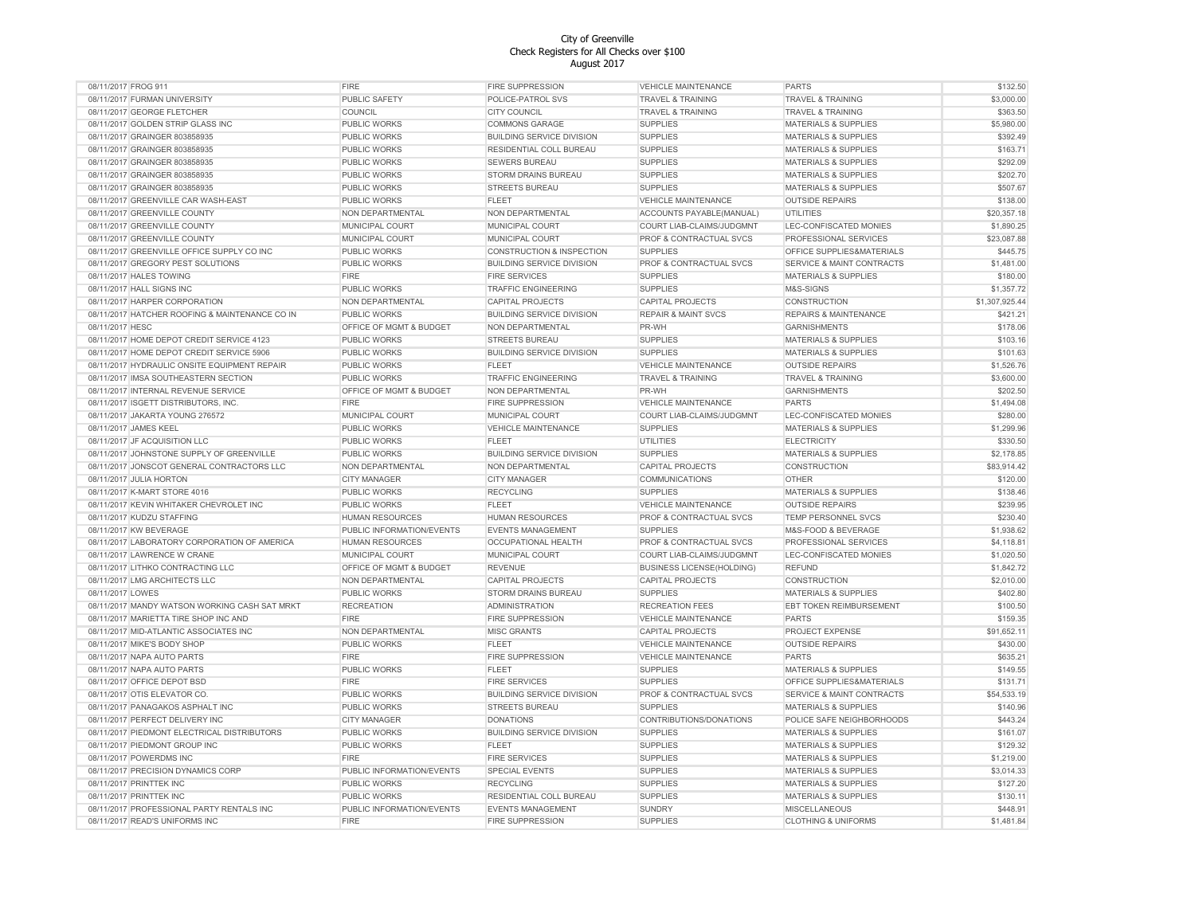| 08/11/2017 FROG 911                            | <b>FIRE</b>               | <b>FIRE SUPPRESSION</b>              | <b>VEHICLE MAINTENANCE</b>         | <b>PARTS</b>                         | \$132.50       |
|------------------------------------------------|---------------------------|--------------------------------------|------------------------------------|--------------------------------------|----------------|
| 08/11/2017 FURMAN UNIVERSITY                   | PUBLIC SAFETY             | POLICE-PATROL SVS                    | <b>TRAVEL &amp; TRAINING</b>       | <b>TRAVEL &amp; TRAINING</b>         | \$3,000.00     |
| 08/11/2017 GEORGE FLETCHER                     | COUNCIL                   | <b>CITY COUNCIL</b>                  | TRAVEL & TRAINING                  | <b>TRAVEL &amp; TRAINING</b>         | \$363.50       |
| 08/11/2017 GOLDEN STRIP GLASS INC              | <b>PUBLIC WORKS</b>       | <b>COMMONS GARAGE</b>                | <b>SUPPLIES</b>                    | <b>MATERIALS &amp; SUPPLIES</b>      | \$5,980.00     |
| 08/11/2017 GRAINGER 803858935                  | <b>PUBLIC WORKS</b>       | <b>BUILDING SERVICE DIVISION</b>     | <b>SUPPLIES</b>                    | <b>MATERIALS &amp; SUPPLIES</b>      | \$392.49       |
| 08/11/2017 GRAINGER 803858935                  | <b>PUBLIC WORKS</b>       | RESIDENTIAL COLL BUREAU              | <b>SUPPLIES</b>                    | <b>MATERIALS &amp; SUPPLIES</b>      | \$163.71       |
| 08/11/2017 GRAINGER 803858935                  | PUBLIC WORKS              | <b>SEWERS BUREAU</b>                 | <b>SUPPLIES</b>                    | <b>MATERIALS &amp; SUPPLIES</b>      | \$292.09       |
| 08/11/2017 GRAINGER 803858935                  | PUBLIC WORKS              | STORM DRAINS BUREAU                  | <b>SUPPLIES</b>                    | <b>MATERIALS &amp; SUPPLIES</b>      | \$202.70       |
| 08/11/2017 GRAINGER 803858935                  | <b>PUBLIC WORKS</b>       | STREETS BUREAU                       | <b>SUPPLIES</b>                    | <b>MATERIALS &amp; SUPPLIES</b>      | \$507.67       |
| 08/11/2017 GREENVILLE CAR WASH-EAST            | PUBLIC WORKS              | <b>FLEET</b>                         | <b>VEHICLE MAINTENANCE</b>         | <b>OUTSIDE REPAIRS</b>               | \$138.00       |
| 08/11/2017 GREENVILLE COUNTY                   | NON DEPARTMENTAL          | NON DEPARTMENTAL                     | ACCOUNTS PAYABLE(MANUAL)           | <b>UTILITIES</b>                     | \$20,357.18    |
| 08/11/2017 GREENVILLE COUNTY                   | MUNICIPAL COURT           | MUNICIPAL COURT                      | COURT LIAB-CLAIMS/JUDGMNT          | LEC-CONFISCATED MONIES               | \$1,890.25     |
| 08/11/2017 GREENVILLE COUNTY                   | MUNICIPAL COURT           | MUNICIPAL COURT                      | PROF & CONTRACTUAL SVCS            | PROFESSIONAL SERVICES                | \$23,087.88    |
|                                                |                           |                                      |                                    |                                      |                |
| 08/11/2017 GREENVILLE OFFICE SUPPLY CO INC     | <b>PUBLIC WORKS</b>       | <b>CONSTRUCTION &amp; INSPECTION</b> | <b>SUPPLIES</b>                    | OFFICE SUPPLIES&MATERIALS            | \$445.75       |
| 08/11/2017 GREGORY PEST SOLUTIONS              | <b>PUBLIC WORKS</b>       | <b>BUILDING SERVICE DIVISION</b>     | <b>PROF &amp; CONTRACTUAL SVCS</b> | <b>SERVICE &amp; MAINT CONTRACTS</b> | \$1,481.00     |
| 08/11/2017 HALES TOWING                        | <b>FIRE</b>               | <b>FIRE SERVICES</b>                 | <b>SUPPLIES</b>                    | <b>MATERIALS &amp; SUPPLIES</b>      | \$180.00       |
| 08/11/2017 HALL SIGNS INC                      | PUBLIC WORKS              | TRAFFIC ENGINEERING                  | <b>SUPPLIES</b>                    | M&S-SIGNS                            | \$1,357.72     |
| 08/11/2017 HARPER CORPORATION                  | NON DEPARTMENTAL          | CAPITAL PROJECTS                     | CAPITAL PROJECTS                   | CONSTRUCTION                         | \$1,307,925.44 |
| 08/11/2017 HATCHER ROOFING & MAINTENANCE CO IN | PUBLIC WORKS              | <b>BUILDING SERVICE DIVISION</b>     | <b>REPAIR &amp; MAINT SVCS</b>     | <b>REPAIRS &amp; MAINTENANCE</b>     | \$421.21       |
| 08/11/2017 HESC                                | OFFICE OF MGMT & BUDGET   | NON DEPARTMENTAL                     | PR-WH                              | <b>GARNISHMENTS</b>                  | \$178.06       |
| 08/11/2017 HOME DEPOT CREDIT SERVICE 4123      | <b>PUBLIC WORKS</b>       | <b>STREETS BUREAU</b>                | <b>SUPPLIES</b>                    | MATERIALS & SUPPLIES                 | \$103.16       |
| 08/11/2017 HOME DEPOT CREDIT SERVICE 5906      | PUBLIC WORKS              | <b>BUILDING SERVICE DIVISION</b>     | <b>SUPPLIES</b>                    | MATERIALS & SUPPLIES                 | \$101.63       |
| 08/11/2017 HYDRAULIC ONSITE EQUIPMENT REPAIR   | <b>PUBLIC WORKS</b>       | <b>FLEET</b>                         | VEHICLE MAINTENANCE                | <b>OUTSIDE REPAIRS</b>               | \$1,526.76     |
| 08/11/2017 IMSA SOUTHEASTERN SECTION           | <b>PUBLIC WORKS</b>       | <b>TRAFFIC ENGINEERING</b>           | TRAVEL & TRAINING                  | <b>TRAVEL &amp; TRAINING</b>         | \$3,600.00     |
| 08/11/2017 INTERNAL REVENUE SERVICE            | OFFICE OF MGMT & BUDGET   | NON DEPARTMENTAL                     | PR-WH                              | <b>GARNISHMENTS</b>                  | \$202.50       |
| 08/11/2017 ISGETT DISTRIBUTORS, INC.           | FIRE                      | <b>FIRE SUPPRESSION</b>              | <b>VEHICLE MAINTENANCE</b>         | <b>PARTS</b>                         | \$1,494.08     |
| 08/11/2017 JAKARTA YOUNG 276572                | MUNICIPAL COURT           | MUNICIPAL COURT                      | COURT LIAB-CLAIMS/JUDGMNT          | LEC-CONFISCATED MONIES               | \$280.00       |
| 08/11/2017 JAMES KEEL                          | <b>PUBLIC WORKS</b>       | <b>VEHICLE MAINTENANCE</b>           | <b>SUPPLIES</b>                    | <b>MATERIALS &amp; SUPPLIES</b>      | \$1,299.96     |
| 08/11/2017 JF ACQUISITION LLC                  | <b>PUBLIC WORKS</b>       | <b>FLEET</b>                         | <b>UTILITIES</b>                   | <b>ELECTRICITY</b>                   | \$330.50       |
| 08/11/2017 JOHNSTONE SUPPLY OF GREENVILLE      | <b>PUBLIC WORKS</b>       | <b>BUILDING SERVICE DIVISION</b>     | <b>SUPPLIES</b>                    | <b>MATERIALS &amp; SUPPLIES</b>      | \$2,178.85     |
| 08/11/2017 JONSCOT GENERAL CONTRACTORS LLC     | NON DEPARTMENTAL          | NON DEPARTMENTAL                     | <b>CAPITAL PROJECTS</b>            | CONSTRUCTION                         | \$83,914.42    |
| 08/11/2017 JULIA HORTON                        | <b>CITY MANAGER</b>       | <b>CITY MANAGER</b>                  | COMMUNICATIONS                     | <b>OTHER</b>                         | \$120.00       |
| 08/11/2017 K-MART STORE 4016                   | PUBLIC WORKS              | <b>RECYCLING</b>                     | <b>SUPPLIES</b>                    | <b>MATERIALS &amp; SUPPLIES</b>      | \$138.46       |
| 08/11/2017 KEVIN WHITAKER CHEVROLET INC        | PUBLIC WORKS              | <b>FLEET</b>                         | <b>VEHICLE MAINTENANCE</b>         | <b>OUTSIDE REPAIRS</b>               | \$239.95       |
|                                                |                           |                                      |                                    |                                      |                |
| 08/11/2017 KUDZU STAFFING                      | <b>HUMAN RESOURCES</b>    | <b>HUMAN RESOURCES</b>               | PROF & CONTRACTUAL SVCS            | TEMP PERSONNEL SVCS                  | \$230.40       |
| 08/11/2017 KW BEVERAGE                         | PUBLIC INFORMATION/EVENTS | <b>EVENTS MANAGEMENT</b>             | <b>SUPPLIES</b>                    | M&S-FOOD & BEVERAGE                  | \$1,938.62     |
| 08/11/2017 LABORATORY CORPORATION OF AMERICA   | <b>HUMAN RESOURCES</b>    | OCCUPATIONAL HEALTH                  | PROF & CONTRACTUAL SVCS            | PROFESSIONAL SERVICES                | \$4,118.81     |
| 08/11/2017 LAWRENCE W CRANE                    | MUNICIPAL COURT           | MUNICIPAL COURT                      | COURT LIAB-CLAIMS/JUDGMNT          | LEC-CONFISCATED MONIES               | \$1,020.50     |
| 08/11/2017 LITHKO CONTRACTING LLC              | OFFICE OF MGMT & BUDGET   | <b>REVENUE</b>                       | <b>BUSINESS LICENSE(HOLDING)</b>   | <b>REFUND</b>                        | \$1,842.72     |
| 08/11/2017 LMG ARCHITECTS LLC                  | NON DEPARTMENTAL          | CAPITAL PROJECTS                     | CAPITAL PROJECTS                   | CONSTRUCTION                         | \$2,010.00     |
| 08/11/2017 LOWES                               | <b>PUBLIC WORKS</b>       | STORM DRAINS BUREAU                  | <b>SUPPLIES</b>                    | <b>MATERIALS &amp; SUPPLIES</b>      | \$402.80       |
| 08/11/2017 MANDY WATSON WORKING CASH SAT MRKT  | <b>RECREATION</b>         | <b>ADMINISTRATION</b>                | <b>RECREATION FEES</b>             | EBT TOKEN REIMBURSEMENT              | \$100.50       |
| 08/11/2017 MARIETTA TIRE SHOP INC AND          | FIRE                      | <b>FIRE SUPPRESSION</b>              | VEHICLE MAINTENANCE                | <b>PARTS</b>                         | \$159.35       |
| 08/11/2017 MID-ATLANTIC ASSOCIATES INC         | NON DEPARTMENTAL          | <b>MISC GRANTS</b>                   | <b>CAPITAL PROJECTS</b>            | PROJECT EXPENSE                      | \$91,652.11    |
| 08/11/2017 MIKE'S BODY SHOP                    | <b>PUBLIC WORKS</b>       | <b>FLEET</b>                         | <b>VEHICLE MAINTENANCE</b>         | <b>OUTSIDE REPAIRS</b>               | \$430.00       |
| 08/11/2017 NAPA AUTO PARTS                     | FIRE                      | <b>FIRE SUPPRESSION</b>              | <b>VEHICLE MAINTENANCE</b>         | <b>PARTS</b>                         | \$635.21       |
| 08/11/2017 NAPA AUTO PARTS                     | PUBLIC WORKS              | <b>FLEET</b>                         | <b>SUPPLIES</b>                    | MATERIALS & SUPPLIES                 | \$149.55       |
| 08/11/2017 OFFICE DEPOT BSD                    | <b>FIRE</b>               | <b>FIRE SERVICES</b>                 | <b>SUPPLIES</b>                    | OFFICE SUPPLIES&MATERIALS            | \$131.71       |
| 08/11/2017 OTIS ELEVATOR CO                    | <b>PUBLIC WORKS</b>       | <b>BUILDING SERVICE DIVISION</b>     | PROF & CONTRACTUAL SVCS            | <b>SERVICE &amp; MAINT CONTRACTS</b> | \$54,533.19    |
| 08/11/2017 PANAGAKOS ASPHALT INC               | <b>PUBLIC WORKS</b>       | <b>STREETS BUREAU</b>                | <b>SUPPLIES</b>                    | <b>MATERIALS &amp; SUPPLIES</b>      | \$140.96       |
| 08/11/2017 PERFECT DELIVERY INC                | <b>CITY MANAGER</b>       | <b>DONATIONS</b>                     | CONTRIBUTIONS/DONATIONS            | POLICE SAFE NEIGHBORHOODS            | \$443.24       |
| 08/11/2017 PIEDMONT ELECTRICAL DISTRIBUTORS    | PUBLIC WORKS              | <b>BUILDING SERVICE DIVISION</b>     | <b>SUPPLIES</b>                    | MATERIALS & SUPPLIES                 | \$161.07       |
| 08/11/2017 PIEDMONT GROUP INC                  | <b>PUBLIC WORKS</b>       | <b>FLEET</b>                         | <b>SUPPLIES</b>                    | <b>MATERIALS &amp; SUPPLIES</b>      | \$129.32       |
| 08/11/2017 POWERDMS INC                        | <b>FIRE</b>               | <b>FIRE SERVICES</b>                 | <b>SUPPLIES</b>                    | <b>MATERIALS &amp; SUPPLIES</b>      | \$1,219.00     |
| 08/11/2017 PRECISION DYNAMICS CORP             | PUBLIC INFORMATION/EVENTS | <b>SPECIAL EVENTS</b>                | <b>SUPPLIES</b>                    | <b>MATERIALS &amp; SUPPLIES</b>      | \$3,014.33     |
| 08/11/2017 PRINTTEK INC                        | PUBLIC WORKS              | <b>RECYCLING</b>                     | <b>SUPPLIES</b>                    | MATERIALS & SUPPLIES                 | \$127.20       |
| 08/11/2017 PRINTTEK INC                        | PUBLIC WORKS              | RESIDENTIAL COLL BUREAU              | <b>SUPPLIES</b>                    | <b>MATERIALS &amp; SUPPLIES</b>      | \$130.11       |
| 08/11/2017 PROFESSIONAL PARTY RENTALS INC      | PUBLIC INFORMATION/EVENTS | <b>EVENTS MANAGEMENT</b>             | <b>SUNDRY</b>                      | <b>MISCELLANEOUS</b>                 | \$448.91       |
|                                                | <b>FIRE</b>               |                                      | <b>SUPPLIES</b>                    |                                      |                |
| 08/11/2017 READ'S UNIFORMS INC                 |                           | <b>FIRE SUPPRESSION</b>              |                                    | <b>CLOTHING &amp; UNIFORMS</b>       | \$1,481.84     |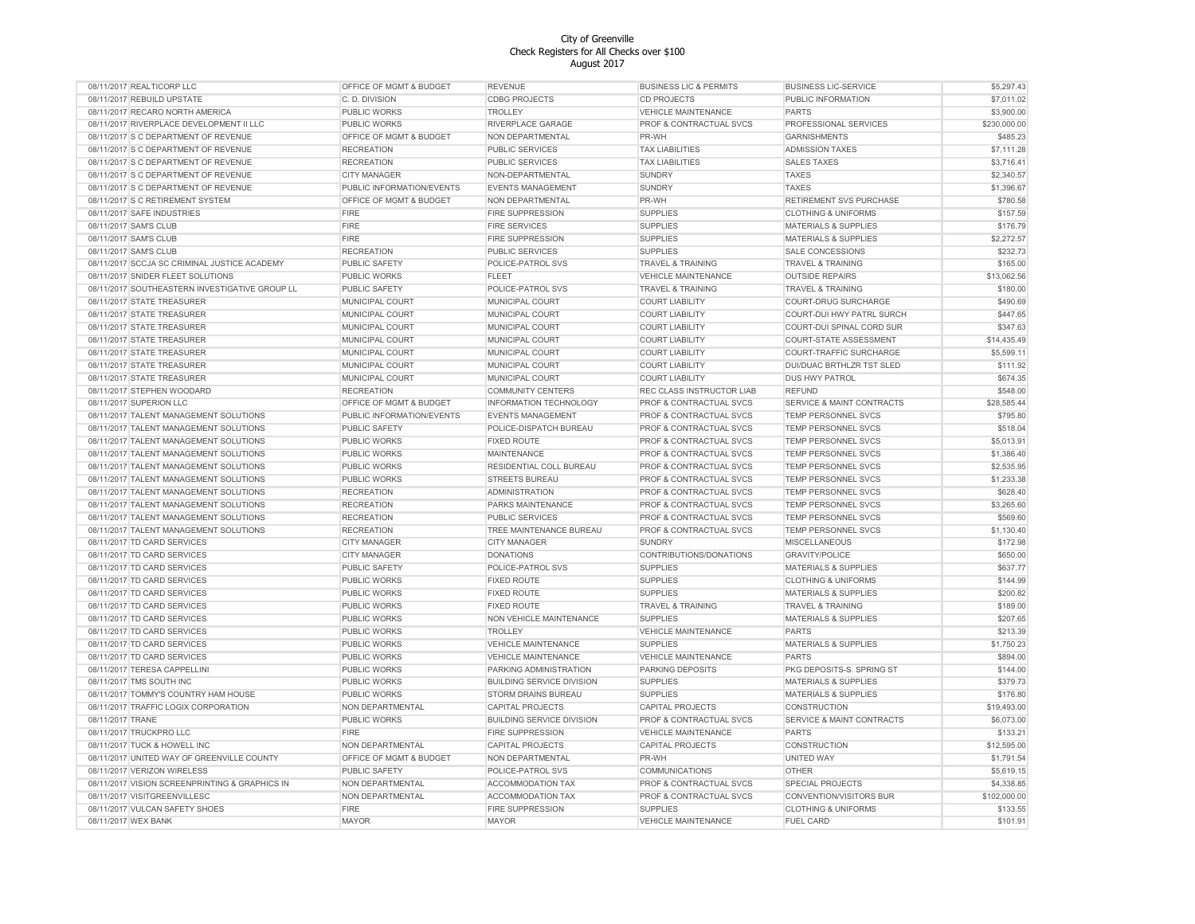| 08/11/2017 REALTICORP LLC                      | OFFICE OF MGMT & BUDGET   | <b>REVENUE</b>                   | <b>BUSINESS LIC &amp; PERMITS</b>  | <b>BUSINESS LIC-SERVICE</b>          | \$5,297.43   |
|------------------------------------------------|---------------------------|----------------------------------|------------------------------------|--------------------------------------|--------------|
| 08/11/2017 REBUILD UPSTATE                     | C. D. DIVISION            | <b>CDBG PROJECTS</b>             | <b>CD PROJECTS</b>                 | PUBLIC INFORMATION                   | \$7,011.02   |
| 08/11/2017 RECARO NORTH AMERICA                | <b>PUBLIC WORKS</b>       | <b>TROLLEY</b>                   | <b>VEHICLE MAINTENANCE</b>         | <b>PARTS</b>                         | \$3,900.00   |
| 08/11/2017 RIVERPLACE DEVELOPMENT II LLC       | PUBLIC WORKS              | RIVERPLACE GARAGE                | PROF & CONTRACTUAL SVCS            | PROFESSIONAL SERVICES                | \$230,000.00 |
| 08/11/2017 S C DEPARTMENT OF REVENUE           | OFFICE OF MGMT & BUDGET   | NON DEPARTMENTAL                 | PR-WH                              | <b>GARNISHMENTS</b>                  | \$485.23     |
| 08/11/2017 S C DEPARTMENT OF REVENUE           | <b>RECREATION</b>         | PUBLIC SERVICES                  | <b>TAX LIABILITIES</b>             | <b>ADMISSION TAXES</b>               | \$7,111.28   |
| 08/11/2017 S C DEPARTMENT OF REVENUE           | <b>RECREATION</b>         | <b>PUBLIC SERVICES</b>           | <b>TAX LIABILITIES</b>             | <b>SALES TAXES</b>                   | \$3,716.41   |
| 08/11/2017 S C DEPARTMENT OF REVENUE           | <b>CITY MANAGER</b>       | NON-DEPARTMENTAL                 | <b>SUNDRY</b>                      | <b>TAXES</b>                         | \$2,340.57   |
| 08/11/2017 S C DEPARTMENT OF REVENUE           | PUBLIC INFORMATION/EVENTS | <b>EVENTS MANAGEMENT</b>         | <b>SUNDRY</b>                      | <b>TAXES</b>                         | \$1,396.67   |
| 08/11/2017 S C RETIREMENT SYSTEM               | OFFICE OF MGMT & BUDGET   | NON DEPARTMENTAL                 | PR-WH                              | RETIREMENT SVS PURCHASE              | \$780.58     |
| 08/11/2017 SAFE INDUSTRIES                     | <b>FIRE</b>               | <b>FIRE SUPPRESSION</b>          | <b>SUPPLIES</b>                    | <b>CLOTHING &amp; UNIFORMS</b>       | \$157.59     |
|                                                | <b>FIRE</b>               |                                  | <b>SUPPLIES</b>                    | <b>MATERIALS &amp; SUPPLIES</b>      | \$176.79     |
| 08/11/2017 SAM'S CLUB                          |                           | <b>FIRE SERVICES</b>             |                                    |                                      |              |
| 08/11/2017 SAM'S CLUB                          | <b>FIRE</b>               | <b>FIRE SUPPRESSION</b>          | <b>SUPPLIES</b>                    | <b>MATERIALS &amp; SUPPLIES</b>      | \$2,272.57   |
| 08/11/2017 SAM'S CLUB                          | <b>RECREATION</b>         | PUBLIC SERVICES                  | <b>SUPPLIES</b>                    | <b>SALE CONCESSIONS</b>              | \$232.73     |
| 08/11/2017 SCCJA SC CRIMINAL JUSTICE ACADEMY   | PUBLIC SAFETY             | POLICE-PATROL SVS                | <b>TRAVEL &amp; TRAINING</b>       | <b>TRAVEL &amp; TRAINING</b>         | \$165.00     |
| 08/11/2017 SNIDER FLEET SOLUTIONS              | <b>PUBLIC WORKS</b>       | <b>FLEET</b>                     | <b>VEHICLE MAINTENANCE</b>         | <b>OUTSIDE REPAIRS</b>               | \$13,062.56  |
| 08/11/2017 SOUTHEASTERN INVESTIGATIVE GROUP LL | PUBLIC SAFETY             | POLICE-PATROL SVS                | <b>TRAVEL &amp; TRAINING</b>       | <b>TRAVEL &amp; TRAINING</b>         | \$180.00     |
| 08/11/2017 STATE TREASURER                     | MUNICIPAL COURT           | MUNICIPAL COURT                  | <b>COURT LIABILITY</b>             | <b>COURT-DRUG SURCHARGE</b>          | \$490.69     |
| 08/11/2017 STATE TREASURER                     | MUNICIPAL COURT           | MUNICIPAL COURT                  | <b>COURT LIABILITY</b>             | COURT-DUI HWY PATRL SURCH            | \$447.65     |
| 08/11/2017 STATE TREASURER                     | MUNICIPAL COURT           | MUNICIPAL COURT                  | <b>COURT LIABILITY</b>             | COURT-DUI SPINAL CORD SUR            | \$347.63     |
| 08/11/2017 STATE TREASURER                     | MUNICIPAL COURT           | MUNICIPAL COURT                  | <b>COURT LIABILITY</b>             | COURT-STATE ASSESSMENT               | \$14,435.49  |
| 08/11/2017 STATE TREASURER                     | MUNICIPAL COURT           | MUNICIPAL COURT                  | <b>COURT LIABILITY</b>             | COURT-TRAFFIC SURCHARGE              | \$5,599.11   |
| 08/11/2017 STATE TREASURER                     | MUNICIPAL COURT           | MUNICIPAL COURT                  | <b>COURT LIABILITY</b>             | DUI/DUAC BRTHLZR TST SLED            | \$111.92     |
| 08/11/2017 STATE TREASURER                     | MUNICIPAL COURT           | MUNICIPAL COURT                  | <b>COURT LIABILITY</b>             | DUS HWY PATROL                       | \$674.35     |
| 08/11/2017 STEPHEN WOODARD                     | <b>RECREATION</b>         | <b>COMMUNITY CENTERS</b>         | REC CLASS INSTRUCTOR LIAB          | <b>REFUND</b>                        | \$548.00     |
| 08/11/2017 SUPERION LLC                        | OFFICE OF MGMT & BUDGET   | INFORMATION TECHNOLOGY           | <b>PROF &amp; CONTRACTUAL SVCS</b> | <b>SERVICE &amp; MAINT CONTRACTS</b> | \$28,585.44  |
| 08/11/2017 TALENT MANAGEMENT SOLUTIONS         | PUBLIC INFORMATION/EVENTS | <b>EVENTS MANAGEMENT</b>         | PROF & CONTRACTUAL SVCS            | TEMP PERSONNEL SVCS                  | \$795.80     |
| 08/11/2017 TALENT MANAGEMENT SOLUTIONS         |                           | POLICE-DISPATCH BUREAU           | PROF & CONTRACTUAL SVCS            | TEMP PERSONNEL SVCS                  | \$518.04     |
|                                                | PUBLIC SAFETY             |                                  |                                    |                                      |              |
| 08/11/2017 TALENT MANAGEMENT SOLUTIONS         | PUBLIC WORKS              | <b>FIXED ROUTE</b>               | PROF & CONTRACTUAL SVCS            | <b>TEMP PERSONNEL SVCS</b>           | \$5,013.91   |
| 08/11/2017 TALENT MANAGEMENT SOLUTIONS         | PUBLIC WORKS              | <b>MAINTENANCE</b>               | PROF & CONTRACTUAL SVCS            | TEMP PERSONNEL SVCS                  | \$1,386.40   |
| 08/11/2017 TALENT MANAGEMENT SOLUTIONS         | <b>PUBLIC WORKS</b>       | RESIDENTIAL COLL BUREAU          | PROF & CONTRACTUAL SVCS            | TEMP PERSONNEL SVCS                  | \$2,535.95   |
| 08/11/2017 TALENT MANAGEMENT SOLUTIONS         | PUBLIC WORKS              | <b>STREETS BUREAU</b>            | PROF & CONTRACTUAL SVCS            | TEMP PERSONNEL SVCS                  | \$1,233.38   |
| 08/11/2017 TALENT MANAGEMENT SOLUTIONS         | <b>RECREATION</b>         | <b>ADMINISTRATION</b>            | PROF & CONTRACTUAL SVCS            | TEMP PERSONNEL SVCS                  | \$628.40     |
| 08/11/2017 TALENT MANAGEMENT SOLUTIONS         | <b>RECREATION</b>         | PARKS MAINTENANCE                | PROF & CONTRACTUAL SVCS            | TEMP PERSONNEL SVCS                  | \$3,265.60   |
| 08/11/2017 TALENT MANAGEMENT SOLUTIONS         | <b>RECREATION</b>         | <b>PUBLIC SERVICES</b>           | PROF & CONTRACTUAL SVCS            | TEMP PERSONNEL SVCS                  | \$569.60     |
| 08/11/2017 TALENT MANAGEMENT SOLUTIONS         | <b>RECREATION</b>         | TREE MAINTENANCE BUREAU          | PROF & CONTRACTUAL SVCS            | TEMP PERSONNEL SVCS                  | \$1,130.40   |
| 08/11/2017 TD CARD SERVICES                    | <b>CITY MANAGER</b>       | <b>CITY MANAGER</b>              | <b>SUNDRY</b>                      | <b>MISCELLANEOUS</b>                 | \$172.98     |
| 08/11/2017 TD CARD SERVICES                    | <b>CITY MANAGER</b>       | <b>DONATIONS</b>                 | CONTRIBUTIONS/DONATIONS            | <b>GRAVITY/POLICE</b>                | \$650.00     |
| 08/11/2017 TD CARD SERVICES                    | PUBLIC SAFETY             | POLICE-PATROL SVS                | <b>SUPPLIES</b>                    | <b>MATERIALS &amp; SUPPLIES</b>      | \$637.77     |
| 08/11/2017 TD CARD SERVICES                    | <b>PUBLIC WORKS</b>       | <b>FIXED ROUTE</b>               | <b>SUPPLIES</b>                    | <b>CLOTHING &amp; UNIFORMS</b>       | \$144.99     |
| 08/11/2017 TD CARD SERVICES                    | <b>PUBLIC WORKS</b>       | <b>FIXED ROUTE</b>               | <b>SUPPLIES</b>                    | <b>MATERIALS &amp; SUPPLIES</b>      | \$200.82     |
| 08/11/2017 TD CARD SERVICES                    | PUBLIC WORKS              | <b>FIXED ROUTE</b>               | <b>TRAVEL &amp; TRAINING</b>       | <b>TRAVEL &amp; TRAINING</b>         | \$189.00     |
| 08/11/2017 TD CARD SERVICES                    | <b>PUBLIC WORKS</b>       | NON VEHICLE MAINTENANCE          | <b>SUPPLIES</b>                    | <b>MATERIALS &amp; SUPPLIES</b>      | \$207.65     |
| 08/11/2017 TD CARD SERVICES                    | PUBLIC WORKS              | <b>TROLLEY</b>                   | <b>VEHICLE MAINTENANCE</b>         | <b>PARTS</b>                         | \$213.39     |
| 08/11/2017 TD CARD SERVICES                    | PUBLIC WORKS              | <b>VEHICLE MAINTENANCE</b>       | <b>SUPPLIES</b>                    | <b>MATERIALS &amp; SUPPLIES</b>      | \$1,750.23   |
|                                                |                           |                                  |                                    | <b>PARTS</b>                         |              |
| 08/11/2017 TD CARD SERVICES                    | PUBLIC WORKS              | <b>VEHICLE MAINTENANCE</b>       | VEHICLE MAINTENANCE                |                                      | \$894.00     |
| 08/11/2017 TERESA CAPPELLINI                   | PUBLIC WORKS              | PARKING ADMINISTRATION           | PARKING DEPOSITS                   | PKG DEPOSITS-S. SPRING ST            | \$144.00     |
| 08/11/2017 TMS SOUTH INC                       | <b>PUBLIC WORKS</b>       | <b>BUILDING SERVICE DIVISION</b> | <b>SUPPLIES</b>                    | MATERIALS & SUPPLIES                 | \$379.73     |
| 08/11/2017 TOMMY'S COUNTRY HAM HOUSE           | PUBLIC WORKS              | STORM DRAINS BUREAU              | <b>SUPPLIES</b>                    | <b>MATERIALS &amp; SUPPLIES</b>      | \$176.80     |
| 08/11/2017 TRAFFIC LOGIX CORPORATION           | NON DEPARTMENTAL          | CAPITAL PROJECTS                 | CAPITAL PROJECTS                   | CONSTRUCTION                         | \$19,493.00  |
| 08/11/2017 TRANE                               | <b>PUBLIC WORKS</b>       | <b>BUILDING SERVICE DIVISION</b> | PROF & CONTRACTUAL SVCS            | SERVICE & MAINT CONTRACTS            | \$6,073.00   |
| 08/11/2017 TRUCKPRO LLC                        | <b>FIRE</b>               | FIRE SUPPRESSION                 | VEHICLE MAINTENANCE                | <b>PARTS</b>                         | \$133.21     |
| 08/11/2017 TUCK & HOWELL INC                   | NON DEPARTMENTAL          | CAPITAL PROJECTS                 | <b>CAPITAL PROJECTS</b>            | CONSTRUCTION                         | \$12,595.00  |
| 08/11/2017 UNITED WAY OF GREENVILLE COUNTY     | OFFICE OF MGMT & BUDGET   | NON DEPARTMENTAL                 | PR-WH                              | UNITED WAY                           | \$1,791.54   |
| 08/11/2017 VERIZON WIRELESS                    | <b>PUBLIC SAFETY</b>      | POLICE-PATROL SVS                | <b>COMMUNICATIONS</b>              | <b>OTHER</b>                         | \$5,619.15   |
| 08/11/2017 VISION SCREENPRINTING & GRAPHICS IN | NON DEPARTMENTAL          | <b>ACCOMMODATION TAX</b>         | PROF & CONTRACTUAL SVCS            | SPECIAL PROJECTS                     | \$4,338.85   |
| 08/11/2017 VISITGREENVILLESC                   | NON DEPARTMENTAL          | <b>ACCOMMODATION TAX</b>         | PROF & CONTRACTUAL SVCS            | CONVENTION/VISITORS BUR              | \$102,000.00 |
| 08/11/2017 VULCAN SAFETY SHOES                 | <b>FIRE</b>               | <b>FIRE SUPPRESSION</b>          | <b>SUPPLIES</b>                    | <b>CLOTHING &amp; UNIFORMS</b>       | \$133.55     |
| 08/11/2017 WEX BANK                            | <b>MAYOR</b>              | <b>MAYOR</b>                     | <b>VEHICLE MAINTENANCE</b>         | <b>FUEL CARD</b>                     | \$101.91     |
|                                                |                           |                                  |                                    |                                      |              |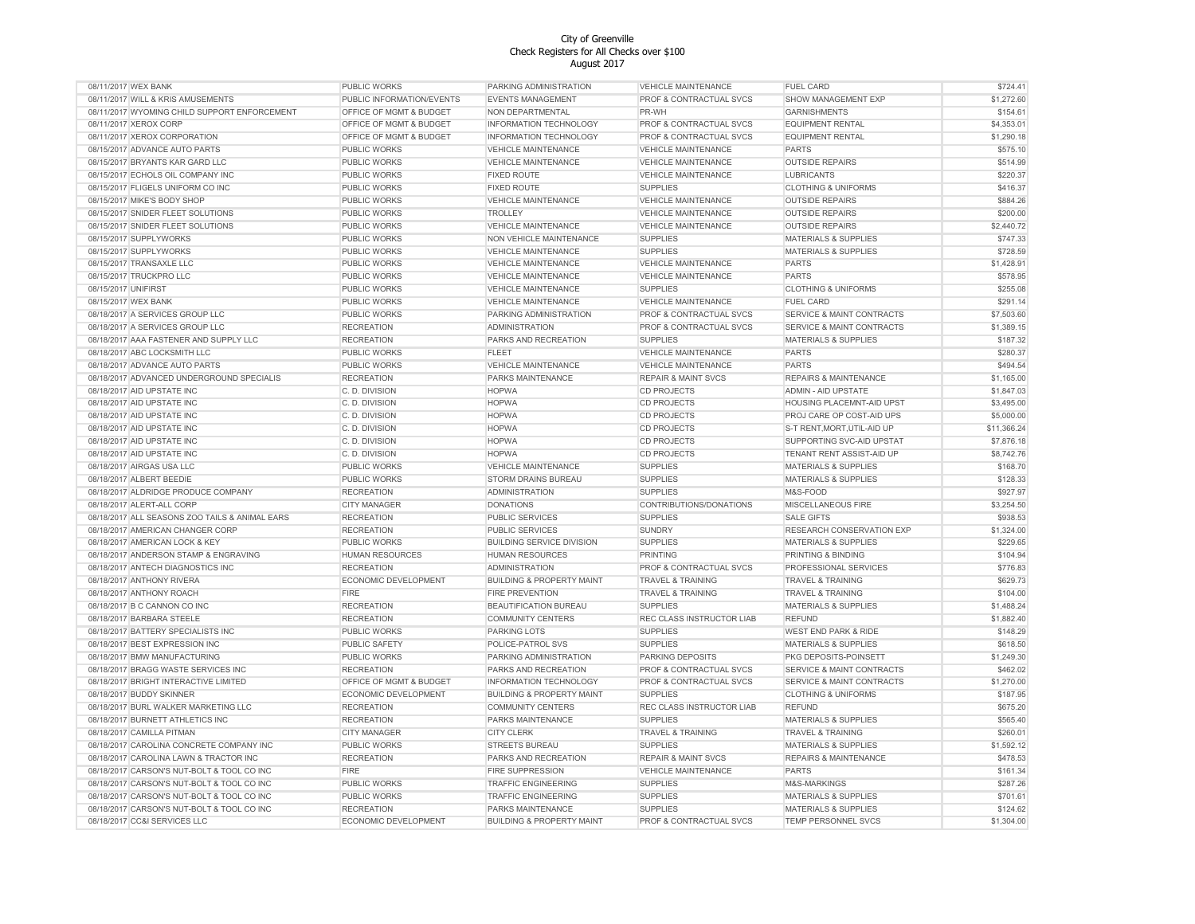| 08/11/2017 WEX BANK                            | <b>PUBLIC WORKS</b>       | PARKING ADMINISTRATION               | <b>VEHICLE MAINTENANCE</b>     | <b>FUEL CARD</b>                     | \$724.41             |
|------------------------------------------------|---------------------------|--------------------------------------|--------------------------------|--------------------------------------|----------------------|
| 08/11/2017 WILL & KRIS AMUSEMENTS              | PUBLIC INFORMATION/EVENTS | <b>EVENTS MANAGEMENT</b>             | PROF & CONTRACTUAL SVCS        | SHOW MANAGEMENT EXP                  | \$1,272.60           |
| 08/11/2017 WYOMING CHILD SUPPORT ENFORCEMENT   | OFFICE OF MGMT & BUDGET   | NON DEPARTMENTAL                     | PR-WH                          | <b>GARNISHMENTS</b>                  | \$154.61             |
| 08/11/2017 XEROX CORP                          | OFFICE OF MGMT & BUDGET   | INFORMATION TECHNOLOGY               | PROF & CONTRACTUAL SVCS        | <b>EQUIPMENT RENTAL</b>              | \$4,353.01           |
| 08/11/2017 XEROX CORPORATION                   | OFFICE OF MGMT & BUDGET   | <b>INFORMATION TECHNOLOGY</b>        | PROF & CONTRACTUAL SVCS        | <b>EQUIPMENT RENTAL</b>              | \$1,290.18           |
| 08/15/2017 ADVANCE AUTO PARTS                  | PUBLIC WORKS              | <b>VEHICLE MAINTENANCE</b>           | <b>VEHICLE MAINTENANCE</b>     | <b>PARTS</b>                         | \$575.10             |
| 08/15/2017 BRYANTS KAR GARD LLC                | PUBLIC WORKS              | <b>VEHICLE MAINTENANCE</b>           | <b>VEHICLE MAINTENANCE</b>     | <b>OUTSIDE REPAIRS</b>               | \$514.99             |
| 08/15/2017 ECHOLS OIL COMPANY INC              | PUBLIC WORKS              | <b>FIXED ROUTE</b>                   | <b>VEHICLE MAINTENANCE</b>     | <b>LUBRICANTS</b>                    | \$220.37             |
| 08/15/2017 FLIGELS UNIFORM CO INC              | PUBLIC WORKS              | <b>FIXED ROUTE</b>                   | <b>SUPPLIES</b>                | <b>CLOTHING &amp; UNIFORMS</b>       | \$416.37             |
| 08/15/2017 MIKE'S BODY SHOP                    | PUBLIC WORKS              | VEHICLE MAINTENANCE                  | VEHICLE MAINTENANCE            | <b>OUTSIDE REPAIRS</b>               | \$884.26             |
| 08/15/2017 SNIDER FLEET SOLUTIONS              | PUBLIC WORKS              | <b>TROLLEY</b>                       | VEHICLE MAINTENANCE            | <b>OUTSIDE REPAIRS</b>               | \$200.00             |
| 08/15/2017 SNIDER FLEET SOLUTIONS              | PUBLIC WORKS              | <b>VEHICLE MAINTENANCE</b>           | <b>VEHICLE MAINTENANCE</b>     | <b>OUTSIDE REPAIRS</b>               | \$2,440.72           |
| 08/15/2017 SUPPLYWORKS                         | <b>PUBLIC WORKS</b>       | NON VEHICLE MAINTENANCE              | <b>SUPPLIES</b>                | <b>MATERIALS &amp; SUPPLIES</b>      | \$747.33             |
| 08/15/2017 SUPPLYWORKS                         | PUBLIC WORKS              | <b>VEHICLE MAINTENANCE</b>           | <b>SUPPLIES</b>                | <b>MATERIALS &amp; SUPPLIES</b>      | \$728.59             |
| 08/15/2017 TRANSAXLE LLC                       | PUBLIC WORKS              | <b>VEHICLE MAINTENANCE</b>           | <b>VEHICLE MAINTENANCE</b>     | <b>PARTS</b>                         | \$1,428.91           |
| 08/15/2017 TRUCKPRO LLC                        | PUBLIC WORKS              | <b>VEHICLE MAINTENANCE</b>           | <b>VEHICLE MAINTENANCE</b>     | <b>PARTS</b>                         | \$578.95             |
| 08/15/2017 UNIFIRST                            | PUBLIC WORKS              | <b>VEHICLE MAINTENANCE</b>           | <b>SUPPLIES</b>                | <b>CLOTHING &amp; UNIFORMS</b>       | \$255.08             |
| 08/15/2017 WEX BANK                            | PUBLIC WORKS              | <b>VEHICLE MAINTENANCE</b>           | <b>VEHICLE MAINTENANCE</b>     | <b>FUEL CARD</b>                     | \$291.14             |
| 08/18/2017 A SERVICES GROUP LLC                | PUBLIC WORKS              | PARKING ADMINISTRATION               | PROF & CONTRACTUAL SVCS        | <b>SERVICE &amp; MAINT CONTRACTS</b> | \$7,503.60           |
| 08/18/2017 A SERVICES GROUP LLC                | <b>RECREATION</b>         | <b>ADMINISTRATION</b>                | PROF & CONTRACTUAL SVCS        | <b>SERVICE &amp; MAINT CONTRACTS</b> | \$1,389.15           |
| 08/18/2017 AAA FASTENER AND SUPPLY LLC         | <b>RECREATION</b>         | PARKS AND RECREATION                 | <b>SUPPLIES</b>                | MATERIALS & SUPPLIES                 | \$187.32             |
| 08/18/2017 ABC LOCKSMITH LLC                   | PUBLIC WORKS              | <b>FLEET</b>                         | <b>VEHICLE MAINTENANCE</b>     | <b>PARTS</b>                         | \$280.37             |
| 08/18/2017 ADVANCE AUTO PARTS                  | PUBLIC WORKS              | <b>VEHICLE MAINTENANCE</b>           | <b>VEHICLE MAINTENANCE</b>     | <b>PARTS</b>                         | \$494.54             |
| 08/18/2017 ADVANCED UNDERGROUND SPECIALIS      | <b>RECREATION</b>         | PARKS MAINTENANCE                    | <b>REPAIR &amp; MAINT SVCS</b> | <b>REPAIRS &amp; MAINTENANCE</b>     | \$1,165.00           |
| 08/18/2017 AID UPSTATE INC                     | C. D. DIVISION            | <b>HOPWA</b>                         | <b>CD PROJECTS</b>             | ADMIN - AID UPSTATE                  | \$1,847.03           |
| 08/18/2017 AID UPSTATE INC                     | C. D. DIVISION            | <b>HOPWA</b>                         | <b>CD PROJECTS</b>             | HOUSING PLACEMNT-AID UPST            | \$3,495.00           |
| 08/18/2017 AID UPSTATE INC                     | C. D. DIVISION            | <b>HOPWA</b>                         | <b>CD PROJECTS</b>             | PROJ CARE OP COST-AID UPS            | \$5,000.00           |
| 08/18/2017 AID UPSTATE INC                     | C.D. DIVISION             | <b>HOPWA</b>                         | <b>CD PROJECTS</b>             | S-T RENT, MORT, UTIL-AID UP          | \$11,366.24          |
| 08/18/2017 AID UPSTATE INC                     | C. D. DIVISION            | <b>HOPWA</b>                         | <b>CD PROJECTS</b>             | SUPPORTING SVC-AID UPSTAT            | \$7,876.18           |
|                                                |                           |                                      | <b>CD PROJECTS</b>             | TENANT RENT ASSIST-AID UP            | \$8,742.76           |
| 08/18/2017 AID UPSTATE INC                     | C.D. DIVISION             | <b>HOPWA</b>                         | <b>SUPPLIES</b>                |                                      |                      |
| 08/18/2017 AIRGAS USA LLC                      | PUBLIC WORKS              | <b>VEHICLE MAINTENANCE</b>           |                                | <b>MATERIALS &amp; SUPPLIES</b>      | \$168.70<br>\$128.33 |
| 08/18/2017 ALBERT BEEDIE                       | PUBLIC WORKS              | STORM DRAINS BUREAU                  | <b>SUPPLIES</b>                | <b>MATERIALS &amp; SUPPLIES</b>      |                      |
| 08/18/2017 ALDRIDGE PRODUCE COMPANY            | <b>RECREATION</b>         | <b>ADMINISTRATION</b>                | <b>SUPPLIES</b>                | M&S-FOOD                             | \$927.97             |
| 08/18/2017 ALERT-ALL CORP                      | CITY MANAGER              | <b>DONATIONS</b>                     | CONTRIBUTIONS/DONATIONS        | MISCELLANEOUS FIRE                   | \$3,254.50           |
| 08/18/2017 ALL SEASONS ZOO TAILS & ANIMAL EARS | <b>RECREATION</b>         | PUBLIC SERVICES                      | <b>SUPPLIES</b>                | <b>SALE GIFTS</b>                    | \$938.53             |
| 08/18/2017 AMERICAN CHANGER CORP               | <b>RECREATION</b>         | <b>PUBLIC SERVICES</b>               | <b>SUNDRY</b>                  | RESEARCH CONSERVATION EXP            | \$1,324.00           |
| 08/18/2017 AMERICAN LOCK & KEY                 | PUBLIC WORKS              | <b>BUILDING SERVICE DIVISION</b>     | <b>SUPPLIES</b>                | <b>MATERIALS &amp; SUPPLIES</b>      | \$229.65             |
| 08/18/2017 ANDERSON STAMP & ENGRAVING          | HUMAN RESOURCES           | <b>HUMAN RESOURCES</b>               | <b>PRINTING</b>                | PRINTING & BINDING                   | \$104.94             |
| 08/18/2017 ANTECH DIAGNOSTICS INC              | <b>RECREATION</b>         | <b>ADMINISTRATION</b>                | PROF & CONTRACTUAL SVCS        | PROFESSIONAL SERVICES                | \$776.83             |
| 08/18/2017 ANTHONY RIVERA                      | ECONOMIC DEVELOPMENT      | <b>BUILDING &amp; PROPERTY MAINT</b> | <b>TRAVEL &amp; TRAINING</b>   | <b>TRAVEL &amp; TRAINING</b>         | \$629.73             |
| 08/18/2017 ANTHONY ROACH                       | <b>FIRE</b>               | <b>FIRE PREVENTION</b>               | TRAVEL & TRAINING              | TRAVEL & TRAINING                    | \$104.00             |
| 08/18/2017 B C CANNON CO INC                   | <b>RECREATION</b>         | BEAUTIFICATION BUREAU                | <b>SUPPLIES</b>                | <b>MATERIALS &amp; SUPPLIES</b>      | \$1,488.24           |
| 08/18/2017 BARBARA STEELE                      | <b>RECREATION</b>         | <b>COMMUNITY CENTERS</b>             | REC CLASS INSTRUCTOR LIAB      | <b>REFUND</b>                        | \$1,882.40           |
| 08/18/2017 BATTERY SPECIALISTS INC             | PUBLIC WORKS              | PARKING LOTS                         | <b>SUPPLIES</b>                | <b>WEST END PARK &amp; RIDE</b>      | \$148.29             |
| 08/18/2017 BEST EXPRESSION INC                 | <b>PUBLIC SAFETY</b>      | POLICE-PATROL SVS                    | <b>SUPPLIES</b>                | <b>MATERIALS &amp; SUPPLIES</b>      | \$618.50             |
| 08/18/2017 BMW MANUFACTURING                   | PUBLIC WORKS              | PARKING ADMINISTRATION               | PARKING DEPOSITS               | PKG DEPOSITS-POINSETT                | \$1,249.30           |
| 08/18/2017 BRAGG WASTE SERVICES INC            | <b>RECREATION</b>         | PARKS AND RECREATION                 | PROF & CONTRACTUAL SVCS        | <b>SERVICE &amp; MAINT CONTRACTS</b> | \$462.02             |
| 08/18/2017 BRIGHT INTERACTIVE LIMITED          | OFFICE OF MGMT & BUDGET   | <b>INFORMATION TECHNOLOGY</b>        | PROF & CONTRACTUAL SVCS        | SERVICE & MAINT CONTRACTS            | \$1,270.00           |
| 08/18/2017 BUDDY SKINNER                       | ECONOMIC DEVELOPMENT      | <b>BUILDING &amp; PROPERTY MAINT</b> | <b>SUPPLIES</b>                | <b>CLOTHING &amp; UNIFORMS</b>       | \$187.95             |
| 08/18/2017 BURL WALKER MARKETING LLC           | <b>RECREATION</b>         | <b>COMMUNITY CENTERS</b>             | REC CLASS INSTRUCTOR LIAB      | <b>REFUND</b>                        | \$675.20             |
| 08/18/2017 BURNETT ATHLETICS INC               | <b>RECREATION</b>         | PARKS MAINTENANCE                    | <b>SUPPLIES</b>                | <b>MATERIALS &amp; SUPPLIES</b>      | \$565.40             |
| 08/18/2017 CAMILLA PITMAN                      | <b>CITY MANAGER</b>       | <b>CITY CLERK</b>                    | <b>TRAVEL &amp; TRAINING</b>   | <b>TRAVEL &amp; TRAINING</b>         | \$260.01             |
| 08/18/2017 CAROLINA CONCRETE COMPANY INC       | PUBLIC WORKS              | <b>STREETS BUREAU</b>                | <b>SUPPLIES</b>                | MATERIALS & SUPPLIES                 | \$1,592.12           |
| 08/18/2017 CAROLINA LAWN & TRACTOR INC         | <b>RECREATION</b>         | PARKS AND RECREATION                 | <b>REPAIR &amp; MAINT SVCS</b> | REPAIRS & MAINTENANCE                | \$478.53             |
| 08/18/2017 CARSON'S NUT-BOLT & TOOL CO INC     | <b>FIRE</b>               | <b>FIRE SUPPRESSION</b>              | <b>VEHICLE MAINTENANCE</b>     | <b>PARTS</b>                         | \$161.34             |
| 08/18/2017 CARSON'S NUT-BOLT & TOOL CO INC     | PUBLIC WORKS              | <b>TRAFFIC ENGINEERING</b>           | <b>SUPPLIES</b>                | M&S-MARKINGS                         | \$287.26             |
| 08/18/2017 CARSON'S NUT-BOLT & TOOL CO INC     | PUBLIC WORKS              | <b>TRAFFIC ENGINEERING</b>           | <b>SUPPLIES</b>                | <b>MATERIALS &amp; SUPPLIES</b>      | \$701.61             |
| 08/18/2017 CARSON'S NUT-BOLT & TOOL CO INC     | <b>RECREATION</b>         | PARKS MAINTENANCE                    | <b>SUPPLIES</b>                | <b>MATERIALS &amp; SUPPLIES</b>      | \$124.62             |
| 08/18/2017 CC&I SERVICES LLC                   | ECONOMIC DEVELOPMENT      | <b>BUILDING &amp; PROPERTY MAINT</b> | PROF & CONTRACTUAL SVCS        | TEMP PERSONNEL SVCS                  | \$1,304.00           |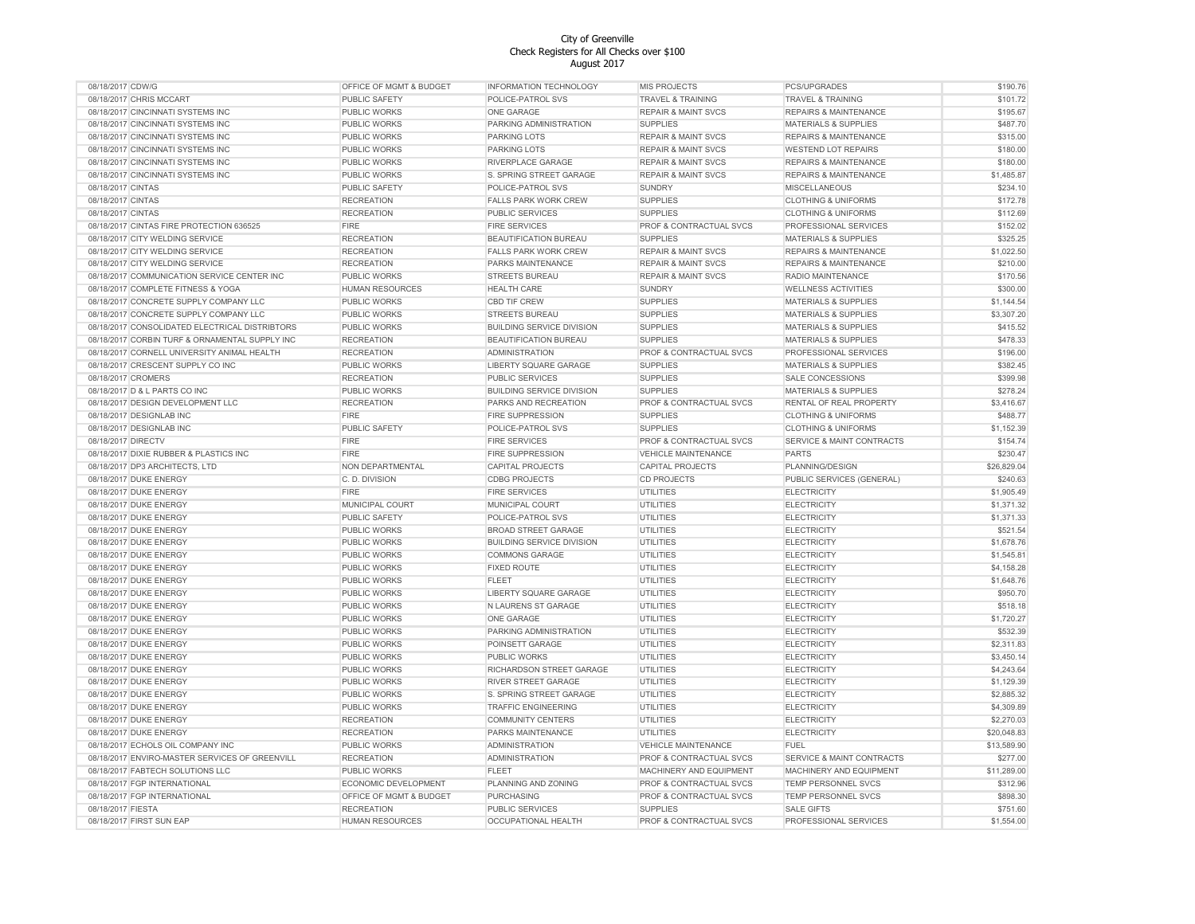| 08/18/2017 CDW/G   |                                                | OFFICE OF MGMT & BUDGET     | INFORMATION TECHNOLOGY           | MIS PROJECTS                   | PCS/UPGRADES                         | \$190.76    |
|--------------------|------------------------------------------------|-----------------------------|----------------------------------|--------------------------------|--------------------------------------|-------------|
|                    | 08/18/2017 CHRIS MCCART                        | PUBLIC SAFETY               | POLICE-PATROL SVS                | <b>TRAVEL &amp; TRAINING</b>   | <b>TRAVEL &amp; TRAINING</b>         | \$101.72    |
|                    | 08/18/2017 CINCINNATI SYSTEMS INC              | <b>PUBLIC WORKS</b>         | ONE GARAGE                       | <b>REPAIR &amp; MAINT SVCS</b> | <b>REPAIRS &amp; MAINTENANCE</b>     | \$195.67    |
|                    | 08/18/2017 CINCINNATI SYSTEMS INC              | PUBLIC WORKS                | PARKING ADMINISTRATION           | <b>SUPPLIES</b>                | MATERIALS & SUPPLIES                 | \$487.70    |
|                    | 08/18/2017 CINCINNATI SYSTEMS INC              | <b>PUBLIC WORKS</b>         | PARKING LOTS                     | <b>REPAIR &amp; MAINT SVCS</b> | <b>REPAIRS &amp; MAINTENANCE</b>     | \$315.00    |
|                    | 08/18/2017 CINCINNATI SYSTEMS INC              | <b>PUBLIC WORKS</b>         | PARKING LOTS                     | <b>REPAIR &amp; MAINT SVCS</b> | <b>WESTEND LOT REPAIRS</b>           | \$180.00    |
|                    | 08/18/2017 CINCINNATI SYSTEMS INC              | <b>PUBLIC WORKS</b>         | RIVERPLACE GARAGE                | <b>REPAIR &amp; MAINT SVCS</b> | <b>REPAIRS &amp; MAINTENANCE</b>     | \$180.00    |
|                    | 08/18/2017 CINCINNATI SYSTEMS INC              | <b>PUBLIC WORKS</b>         | S. SPRING STREET GARAGE          | <b>REPAIR &amp; MAINT SVCS</b> | <b>REPAIRS &amp; MAINTENANCE</b>     | \$1,485.87  |
| 08/18/2017 CINTAS  |                                                | PUBLIC SAFETY               | POLICE-PATROL SVS                | <b>SUNDRY</b>                  | <b>MISCELLANEOUS</b>                 | \$234.10    |
| 08/18/2017 CINTAS  |                                                | <b>RECREATION</b>           | <b>FALLS PARK WORK CREW</b>      | <b>SUPPLIES</b>                | <b>CLOTHING &amp; UNIFORMS</b>       | \$172.78    |
| 08/18/2017 CINTAS  |                                                | <b>RECREATION</b>           | PUBLIC SERVICES                  | <b>SUPPLIES</b>                | <b>CLOTHING &amp; UNIFORMS</b>       | \$112.69    |
|                    | 08/18/2017 CINTAS FIRE PROTECTION 636525       | <b>FIRE</b>                 | <b>FIRE SERVICES</b>             | PROF & CONTRACTUAL SVCS        | PROFESSIONAL SERVICES                | \$152.02    |
|                    | 08/18/2017 CITY WELDING SERVICE                | <b>RECREATION</b>           | BEAUTIFICATION BUREAU            | <b>SUPPLIES</b>                | <b>MATERIALS &amp; SUPPLIES</b>      | \$325.25    |
|                    | 08/18/2017 CITY WELDING SERVICE                | <b>RECREATION</b>           | <b>FALLS PARK WORK CREW</b>      | <b>REPAIR &amp; MAINT SVCS</b> | <b>REPAIRS &amp; MAINTENANCE</b>     | \$1,022.50  |
|                    | 08/18/2017 CITY WELDING SERVICE                | <b>RECREATION</b>           | PARKS MAINTENANCE                | <b>REPAIR &amp; MAINT SVCS</b> | <b>REPAIRS &amp; MAINTENANCE</b>     | \$210.00    |
|                    | 08/18/2017 COMMUNICATION SERVICE CENTER INC    | <b>PUBLIC WORKS</b>         | STREETS BUREAU                   | <b>REPAIR &amp; MAINT SVCS</b> | RADIO MAINTENANCE                    | \$170.56    |
|                    | 08/18/2017 COMPLETE FITNESS & YOGA             | <b>HUMAN RESOURCES</b>      | <b>HEALTH CARE</b>               | <b>SUNDRY</b>                  | <b>WELLNESS ACTIVITIES</b>           | \$300.00    |
|                    | 08/18/2017 CONCRETE SUPPLY COMPANY LLC         | <b>PUBLIC WORKS</b>         | <b>CBD TIF CREW</b>              | <b>SUPPLIES</b>                | <b>MATERIALS &amp; SUPPLIES</b>      | \$1,144.54  |
|                    | 08/18/2017 CONCRETE SUPPLY COMPANY LLC         | PUBLIC WORKS                | STREETS BUREAU                   | <b>SUPPLIES</b>                | <b>MATERIALS &amp; SUPPLIES</b>      | \$3,307.20  |
|                    | 08/18/2017 CONSOLIDATED ELECTRICAL DISTRIBTORS |                             |                                  | <b>SUPPLIES</b>                |                                      |             |
|                    |                                                | <b>PUBLIC WORKS</b>         | <b>BUILDING SERVICE DIVISION</b> |                                | <b>MATERIALS &amp; SUPPLIES</b>      | \$415.52    |
|                    | 08/18/2017 CORBIN TURF & ORNAMENTAL SUPPLY INC | <b>RECREATION</b>           | BEAUTIFICATION BUREAU            | <b>SUPPLIES</b>                | <b>MATERIALS &amp; SUPPLIES</b>      | \$478.33    |
|                    | 08/18/2017 CORNELL UNIVERSITY ANIMAL HEALTH    | <b>RECREATION</b>           | <b>ADMINISTRATION</b>            | PROF & CONTRACTUAL SVCS        | PROFESSIONAL SERVICES                | \$196.00    |
|                    | 08/18/2017 CRESCENT SUPPLY CO INC              | PUBLIC WORKS                | LIBERTY SQUARE GARAGE            | <b>SUPPLIES</b>                | <b>MATERIALS &amp; SUPPLIES</b>      | \$382.45    |
| 08/18/2017 CROMERS |                                                | <b>RECREATION</b>           | PUBLIC SERVICES                  | <b>SUPPLIES</b>                | <b>SALE CONCESSIONS</b>              | \$399.98    |
|                    | 08/18/2017 D & L PARTS CO INC                  | <b>PUBLIC WORKS</b>         | <b>BUILDING SERVICE DIVISION</b> | <b>SUPPLIES</b>                | <b>MATERIALS &amp; SUPPLIES</b>      | \$278.24    |
|                    | 08/18/2017 DESIGN DEVELOPMENT LLC              | <b>RECREATION</b>           | PARKS AND RECREATION             | PROF & CONTRACTUAL SVCS        | RENTAL OF REAL PROPERTY              | \$3,416.67  |
|                    | 08/18/2017 DESIGNLAB INC                       | <b>FIRE</b>                 | <b>FIRE SUPPRESSION</b>          | <b>SUPPLIES</b>                | <b>CLOTHING &amp; UNIFORMS</b>       | \$488.77    |
|                    | 08/18/2017 DESIGNLAB INC                       | <b>PUBLIC SAFETY</b>        | POLICE-PATROL SVS                | <b>SUPPLIES</b>                | <b>CLOTHING &amp; UNIFORMS</b>       | \$1,152.39  |
| 08/18/2017 DIRECTV |                                                | <b>FIRE</b>                 | <b>FIRE SERVICES</b>             | PROF & CONTRACTUAL SVCS        | SERVICE & MAINT CONTRACTS            | \$154.74    |
|                    | 08/18/2017 DIXIE RUBBER & PLASTICS INC         | <b>FIRE</b>                 | FIRE SUPPRESSION                 | <b>VEHICLE MAINTENANCE</b>     | <b>PARTS</b>                         | \$230.47    |
|                    | 08/18/2017 DP3 ARCHITECTS, LTD                 | NON DEPARTMENTAL            | CAPITAL PROJECTS                 | <b>CAPITAL PROJECTS</b>        | PLANNING/DESIGN                      | \$26,829.04 |
|                    | 08/18/2017 DUKE ENERGY                         | C. D. DIVISION              | <b>CDBG PROJECTS</b>             | <b>CD PROJECTS</b>             | PUBLIC SERVICES (GENERAL)            | \$240.63    |
|                    | 08/18/2017 DUKE ENERGY                         | <b>FIRE</b>                 | <b>FIRE SERVICES</b>             | <b>UTILITIES</b>               | <b>ELECTRICITY</b>                   | \$1,905.49  |
|                    | 08/18/2017 DUKE ENERGY                         | MUNICIPAL COURT             | MUNICIPAL COURT                  | <b>UTILITIES</b>               | <b>ELECTRICITY</b>                   | \$1,371.32  |
|                    | 08/18/2017 DUKE ENERGY                         | <b>PUBLIC SAFETY</b>        | POLICE-PATROL SVS                | <b>UTILITIES</b>               | <b>ELECTRICITY</b>                   | \$1,371.33  |
|                    | 08/18/2017 DUKE ENERGY                         | PUBLIC WORKS                | <b>BROAD STREET GARAGE</b>       | <b>UTILITIES</b>               | ELECTRICITY                          | \$521.54    |
|                    | 08/18/2017 DUKE ENERGY                         | PUBLIC WORKS                | <b>BUILDING SERVICE DIVISION</b> | <b>UTILITIES</b>               | <b>ELECTRICITY</b>                   | \$1,678.76  |
|                    | 08/18/2017 DUKE ENERGY                         | PUBLIC WORKS                | <b>COMMONS GARAGE</b>            | <b>UTILITIES</b>               | <b>ELECTRICITY</b>                   | \$1,545.81  |
|                    | 08/18/2017 DUKE ENERGY                         | <b>PUBLIC WORKS</b>         | <b>FIXED ROUTE</b>               | <b>UTILITIES</b>               | <b>ELECTRICITY</b>                   | \$4,158.28  |
|                    | 08/18/2017 DUKE ENERGY                         | <b>PUBLIC WORKS</b>         | <b>FLEET</b>                     | <b>UTILITIES</b>               | <b>ELECTRICITY</b>                   | \$1,648.76  |
|                    | 08/18/2017 DUKE ENERGY                         | <b>PUBLIC WORKS</b>         | LIBERTY SQUARE GARAGE            | UTILITIES                      | <b>ELECTRICITY</b>                   | \$950.70    |
|                    | 08/18/2017 DUKE ENERGY                         | <b>PUBLIC WORKS</b>         | N LAURENS ST GARAGE              | UTILITIES                      | <b>ELECTRICITY</b>                   | \$518.18    |
|                    | 08/18/2017 DUKE ENERGY                         | <b>PUBLIC WORKS</b>         | ONE GARAGE                       | <b>UTILITIES</b>               | <b>ELECTRICITY</b>                   | \$1,720.27  |
|                    | 08/18/2017 DUKE ENERGY                         | PUBLIC WORKS                | PARKING ADMINISTRATION           | <b>UTILITIES</b>               | <b>ELECTRICITY</b>                   | \$532.39    |
|                    | 08/18/2017 DUKE ENERGY                         | <b>PUBLIC WORKS</b>         | POINSETT GARAGE                  | <b>UTILITIES</b>               | <b>ELECTRICITY</b>                   | \$2,311.83  |
|                    | 08/18/2017 DUKE ENERGY                         | PUBLIC WORKS                | PUBLIC WORKS                     | <b>UTILITIES</b>               | <b>ELECTRICITY</b>                   | \$3,450.14  |
|                    | 08/18/2017 DUKE ENERGY                         | PUBLIC WORKS                | RICHARDSON STREET GARAGE         | <b>UTILITIES</b>               | <b>ELECTRICITY</b>                   | \$4,243.64  |
|                    | 08/18/2017 DUKE ENERGY                         | PUBLIC WORKS                | <b>RIVER STREET GARAGE</b>       | <b>UTILITIES</b>               | <b>ELECTRICITY</b>                   | \$1,129.39  |
|                    | 08/18/2017 DUKE ENERGY                         | PUBLIC WORKS                | S. SPRING STREET GARAGE          | <b>UTILITIES</b>               | <b>ELECTRICITY</b>                   | \$2,885.32  |
|                    | 08/18/2017 DUKE ENERGY                         | <b>PUBLIC WORKS</b>         | <b>TRAFFIC ENGINEERING</b>       | <b>UTILITIES</b>               | <b>ELECTRICITY</b>                   | \$4,309.89  |
|                    | 08/18/2017 DUKE ENERGY                         | <b>RECREATION</b>           | <b>COMMUNITY CENTERS</b>         | <b>UTILITIES</b>               | <b>ELECTRICITY</b>                   | \$2,270.03  |
|                    | 08/18/2017 DUKE ENERGY                         | <b>RECREATION</b>           | PARKS MAINTENANCE                | <b>UTILITIES</b>               | <b>ELECTRICITY</b>                   | \$20,048.83 |
|                    | 08/18/2017 ECHOLS OIL COMPANY INC              | PUBLIC WORKS                | <b>ADMINISTRATION</b>            | <b>VEHICLE MAINTENANCE</b>     | <b>FUEL</b>                          | \$13,589.90 |
|                    | 08/18/2017 ENVIRO-MASTER SERVICES OF GREENVILL | <b>RECREATION</b>           | <b>ADMINISTRATION</b>            | PROF & CONTRACTUAL SVCS        | <b>SERVICE &amp; MAINT CONTRACTS</b> | \$277.00    |
|                    | 08/18/2017 FABTECH SOLUTIONS LLC               | PUBLIC WORKS                | <b>FLEET</b>                     | <b>MACHINERY AND EQUIPMENT</b> | MACHINERY AND EQUIPMENT              | \$11,289.00 |
|                    | 08/18/2017 FGP INTERNATIONAL                   | <b>ECONOMIC DEVELOPMENT</b> | PLANNING AND ZONING              | PROF & CONTRACTUAL SVCS        | TEMP PERSONNEL SVCS                  | \$312.96    |
|                    | 08/18/2017 FGP INTERNATIONAL                   | OFFICE OF MGMT & BUDGET     | <b>PURCHASING</b>                | PROF & CONTRACTUAL SVCS        | <b>TEMP PERSONNEL SVCS</b>           | \$898.30    |
| 08/18/2017 FIESTA  |                                                | <b>RECREATION</b>           | PUBLIC SERVICES                  | <b>SUPPLIES</b>                | <b>SALE GIFTS</b>                    | \$751.60    |
|                    | 08/18/2017 FIRST SUN EAP                       | <b>HUMAN RESOURCES</b>      | OCCUPATIONAL HEALTH              | PROF & CONTRACTUAL SVCS        | PROFESSIONAL SERVICES                | \$1,554.00  |
|                    |                                                |                             |                                  |                                |                                      |             |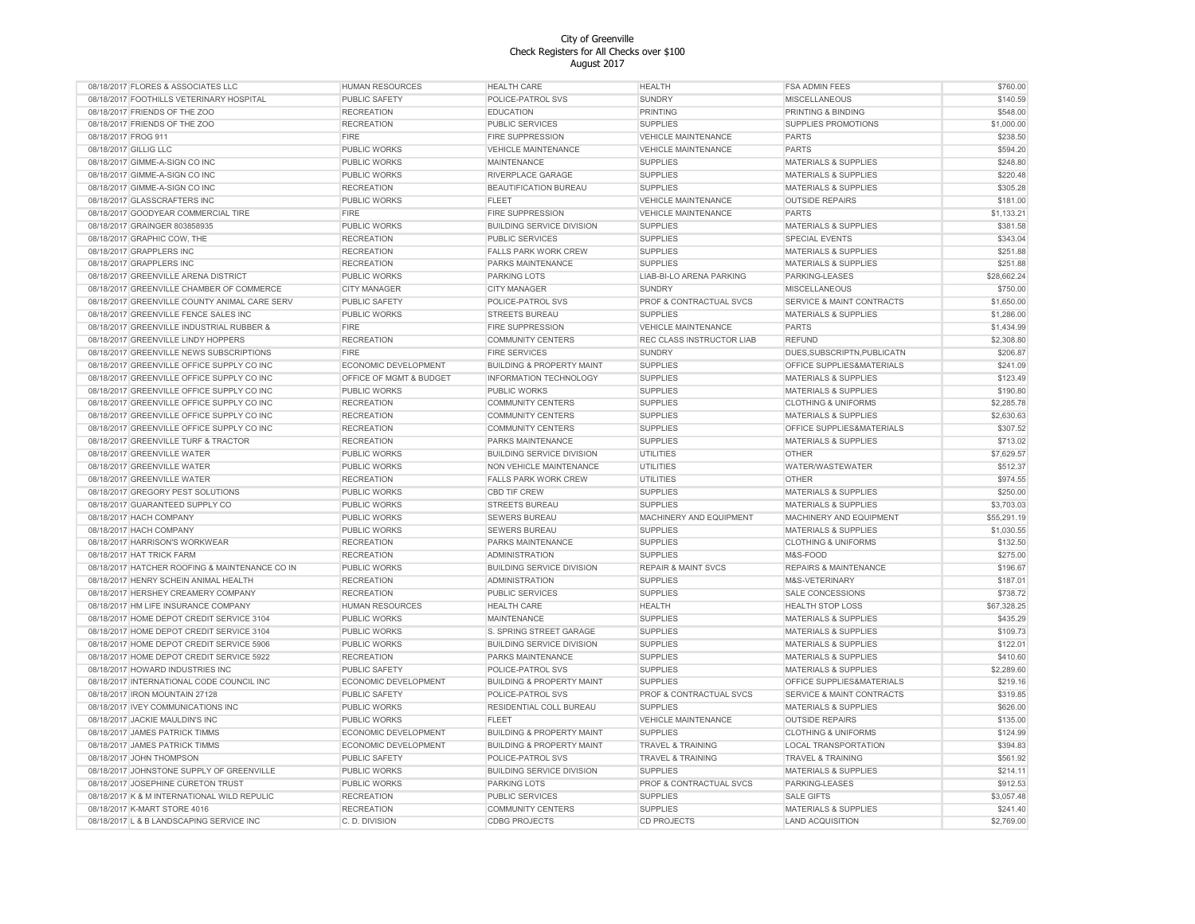| 08/18/2017 FLORES & ASSOCIATES LLC             | <b>HUMAN RESOURCES</b>  | <b>HEALTH CARE</b>                   | <b>HEALTH</b>                  | <b>FSA ADMIN FEES</b>                | \$760.00    |
|------------------------------------------------|-------------------------|--------------------------------------|--------------------------------|--------------------------------------|-------------|
| 08/18/2017 FOOTHILLS VETERINARY HOSPITAL       | PUBLIC SAFETY           | POLICE-PATROL SVS                    | <b>SUNDRY</b>                  | <b>MISCELLANEOUS</b>                 | \$140.59    |
| 08/18/2017 FRIENDS OF THE ZOO                  | <b>RECREATION</b>       | <b>EDUCATION</b>                     | <b>PRINTING</b>                | PRINTING & BINDING                   | \$548.00    |
| 08/18/2017 FRIENDS OF THE ZOO                  | <b>RECREATION</b>       | <b>PUBLIC SERVICES</b>               | <b>SUPPLIES</b>                | SUPPLIES PROMOTIONS                  | \$1,000.00  |
| 08/18/2017 FROG 911                            | <b>FIRE</b>             | <b>FIRE SUPPRESSION</b>              | <b>VEHICLE MAINTENANCE</b>     | <b>PARTS</b>                         | \$238.50    |
| 08/18/2017 GILLIG LLC                          | <b>PUBLIC WORKS</b>     | <b>VEHICLE MAINTENANCE</b>           | <b>VEHICLE MAINTENANCE</b>     | <b>PARTS</b>                         | \$594.20    |
| 08/18/2017 GIMME-A-SIGN CO INC                 | PUBLIC WORKS            | MAINTENANCE                          | <b>SUPPLIES</b>                | <b>MATERIALS &amp; SUPPLIES</b>      | \$248.80    |
| 08/18/2017 GIMME-A-SIGN CO INC                 | PUBLIC WORKS            | RIVERPLACE GARAGE                    | <b>SUPPLIES</b>                | <b>MATERIALS &amp; SUPPLIES</b>      | \$220.48    |
| 08/18/2017 GIMME-A-SIGN CO INC                 | <b>RECREATION</b>       | BEAUTIFICATION BUREAU                | <b>SUPPLIES</b>                | <b>MATERIALS &amp; SUPPLIES</b>      | \$305.28    |
| 08/18/2017 GLASSCRAFTERS INC                   | PUBLIC WORKS            | <b>FLEET</b>                         | <b>VEHICLE MAINTENANCE</b>     | <b>OUTSIDE REPAIRS</b>               | \$181.00    |
| 08/18/2017 GOODYEAR COMMERCIAL TIRE            | <b>FIRE</b>             | <b>FIRE SUPPRESSION</b>              | <b>VEHICLE MAINTENANCE</b>     | <b>PARTS</b>                         | \$1,133.21  |
| 08/18/2017 GRAINGER 803858935                  | PUBLIC WORKS            | <b>BUILDING SERVICE DIVISION</b>     | <b>SUPPLIES</b>                | <b>MATERIALS &amp; SUPPLIES</b>      | \$381.58    |
|                                                |                         |                                      |                                |                                      | \$343.04    |
| 08/18/2017 GRAPHIC COW, THE                    | <b>RECREATION</b>       | PUBLIC SERVICES                      | <b>SUPPLIES</b>                | <b>SPECIAL EVENTS</b>                |             |
| 08/18/2017 GRAPPLERS INC                       | <b>RECREATION</b>       | <b>FALLS PARK WORK CREW</b>          | <b>SUPPLIES</b>                | <b>MATERIALS &amp; SUPPLIES</b>      | \$251.88    |
| 08/18/2017 GRAPPLERS INC                       | <b>RECREATION</b>       | PARKS MAINTENANCE                    | <b>SUPPLIES</b>                | <b>MATERIALS &amp; SUPPLIES</b>      | \$251.88    |
| 08/18/2017 GREENVILLE ARENA DISTRICT           | <b>PUBLIC WORKS</b>     | <b>PARKING LOTS</b>                  | LIAB-BI-LO ARENA PARKING       | PARKING-LEASES                       | \$28,662.24 |
| 08/18/2017 GREENVILLE CHAMBER OF COMMERCE      | <b>CITY MANAGER</b>     | <b>CITY MANAGER</b>                  | SUNDRY                         | <b>MISCELLANEOUS</b>                 | \$750.00    |
| 08/18/2017 GREENVILLE COUNTY ANIMAL CARE SERV  | PUBLIC SAFETY           | POLICE-PATROL SVS                    | PROF & CONTRACTUAL SVCS        | SERVICE & MAINT CONTRACTS            | \$1,650.00  |
| 08/18/2017 GREENVILLE FENCE SALES INC          | PUBLIC WORKS            | STREETS BUREAU                       | <b>SUPPLIES</b>                | <b>MATERIALS &amp; SUPPLIES</b>      | \$1,286.00  |
| 08/18/2017 GREENVILLE INDUSTRIAL RUBBER &      | <b>FIRE</b>             | <b>FIRE SUPPRESSION</b>              | <b>VEHICLE MAINTENANCE</b>     | <b>PARTS</b>                         | \$1,434.99  |
| 08/18/2017 GREENVILLE LINDY HOPPERS            | <b>RECREATION</b>       | <b>COMMUNITY CENTERS</b>             | REC CLASS INSTRUCTOR LIAB      | <b>REFUND</b>                        | \$2,308.80  |
| 08/18/2017 GREENVILLE NEWS SUBSCRIPTIONS       | <b>FIRE</b>             | <b>FIRE SERVICES</b>                 | <b>SUNDRY</b>                  | DUES, SUBSCRIPTN, PUBLICATN          | \$206.87    |
| 08/18/2017 GREENVILLE OFFICE SUPPLY CO INC     | ECONOMIC DEVELOPMENT    | <b>BUILDING &amp; PROPERTY MAINT</b> | <b>SUPPLIES</b>                | OFFICE SUPPLIES&MATERIALS            | \$241.09    |
| 08/18/2017 GREENVILLE OFFICE SUPPLY CO INC     | OFFICE OF MGMT & BUDGET | INFORMATION TECHNOLOGY               | <b>SUPPLIES</b>                | <b>MATERIALS &amp; SUPPLIES</b>      | \$123.49    |
| 08/18/2017 GREENVILLE OFFICE SUPPLY CO INC     | <b>PUBLIC WORKS</b>     | PUBLIC WORKS                         | <b>SUPPLIES</b>                | <b>MATERIALS &amp; SUPPLIES</b>      | \$190.80    |
| 08/18/2017 GREENVILLE OFFICE SUPPLY CO INC     | <b>RECREATION</b>       | <b>COMMUNITY CENTERS</b>             | <b>SUPPLIES</b>                | <b>CLOTHING &amp; UNIFORMS</b>       | \$2,285.78  |
| 08/18/2017 GREENVILLE OFFICE SUPPLY CO INC     | <b>RECREATION</b>       | <b>COMMUNITY CENTERS</b>             | <b>SUPPLIES</b>                | <b>MATERIALS &amp; SUPPLIES</b>      | \$2,630.63  |
| 08/18/2017 GREENVILLE OFFICE SUPPLY CO INC     | <b>RECREATION</b>       | <b>COMMUNITY CENTERS</b>             | <b>SUPPLIES</b>                | OFFICE SUPPLIES&MATERIALS            | \$307.52    |
| 08/18/2017 GREENVILLE TURF & TRACTOR           | <b>RECREATION</b>       | PARKS MAINTENANCE                    | <b>SUPPLIES</b>                | <b>MATERIALS &amp; SUPPLIES</b>      | \$713.02    |
| 08/18/2017 GREENVILLE WATER                    | PUBLIC WORKS            | <b>BUILDING SERVICE DIVISION</b>     | UTILITIES                      | <b>OTHER</b>                         | \$7,629.57  |
| 08/18/2017 GREENVILLE WATER                    | PUBLIC WORKS            | NON VEHICLE MAINTENANCE              | <b>UTILITIES</b>               | WATER/WASTEWATER                     | \$512.37    |
|                                                |                         |                                      |                                |                                      | \$974.55    |
| 08/18/2017 GREENVILLE WATER                    | <b>RECREATION</b>       | <b>FALLS PARK WORK CREW</b>          | <b>UTILITIES</b>               | OTHER                                |             |
| 08/18/2017 GREGORY PEST SOLUTIONS              | <b>PUBLIC WORKS</b>     | CBD TIF CREW                         | <b>SUPPLIES</b>                | MATERIALS & SUPPLIES                 | \$250.00    |
| 08/18/2017 GUARANTEED SUPPLY CO                | PUBLIC WORKS            | <b>STREETS BUREAU</b>                | <b>SUPPLIES</b>                | <b>MATERIALS &amp; SUPPLIES</b>      | \$3,703.03  |
| 08/18/2017 HACH COMPANY                        | <b>PUBLIC WORKS</b>     | <b>SEWERS BUREAU</b>                 | MACHINERY AND EQUIPMENT        | MACHINERY AND EQUIPMENT              | \$55,291.19 |
| 08/18/2017 HACH COMPANY                        | PUBLIC WORKS            | SEWERS BUREAU                        | <b>SUPPLIES</b>                | <b>MATERIALS &amp; SUPPLIES</b>      | \$1,030.55  |
| 08/18/2017 HARRISON'S WORKWEAR                 | <b>RECREATION</b>       | PARKS MAINTENANCE                    | <b>SUPPLIES</b>                | <b>CLOTHING &amp; UNIFORMS</b>       | \$132.50    |
| 08/18/2017 HAT TRICK FARM                      | <b>RECREATION</b>       | <b>ADMINISTRATION</b>                | <b>SUPPLIES</b>                | M&S-FOOD                             | \$275.00    |
| 08/18/2017 HATCHER ROOFING & MAINTENANCE CO IN | PUBLIC WORKS            | <b>BUILDING SERVICE DIVISION</b>     | <b>REPAIR &amp; MAINT SVCS</b> | <b>REPAIRS &amp; MAINTENANCE</b>     | \$196.67    |
| 08/18/2017 HENRY SCHEIN ANIMAL HEALTH          | <b>RECREATION</b>       | <b>ADMINISTRATION</b>                | <b>SUPPLIES</b>                | M&S-VETERINARY                       | \$187.01    |
| 08/18/2017 HERSHEY CREAMERY COMPANY            | <b>RECREATION</b>       | PUBLIC SERVICES                      | <b>SUPPLIES</b>                | <b>SALE CONCESSIONS</b>              | \$738.72    |
| 08/18/2017 HM LIFE INSURANCE COMPANY           | <b>HUMAN RESOURCES</b>  | <b>HEALTH CARE</b>                   | <b>HEALTH</b>                  | <b>HEALTH STOP LOSS</b>              | \$67,328.25 |
| 08/18/2017 HOME DEPOT CREDIT SERVICE 3104      | PUBLIC WORKS            | MAINTENANCE                          | <b>SUPPLIES</b>                | MATERIALS & SUPPLIES                 | \$435.29    |
| 08/18/2017 HOME DEPOT CREDIT SERVICE 3104      | PUBLIC WORKS            | S. SPRING STREET GARAGE              | <b>SUPPLIES</b>                | <b>MATERIALS &amp; SUPPLIES</b>      | \$109.73    |
| 08/18/2017 HOME DEPOT CREDIT SERVICE 5906      | <b>PUBLIC WORKS</b>     | <b>BUILDING SERVICE DIVISION</b>     | <b>SUPPLIES</b>                | <b>MATERIALS &amp; SUPPLIES</b>      | \$122.01    |
| 08/18/2017 HOME DEPOT CREDIT SERVICE 5922      | <b>RECREATION</b>       | PARKS MAINTENANCE                    | <b>SUPPLIES</b>                | <b>MATERIALS &amp; SUPPLIES</b>      | \$410.60    |
| 08/18/2017 HOWARD INDUSTRIES INC               | PUBLIC SAFETY           | POLICE-PATROL SVS                    | <b>SUPPLIES</b>                | <b>MATERIALS &amp; SUPPLIES</b>      | \$2,289.60  |
| 08/18/2017 INTERNATIONAL CODE COUNCIL INC      | ECONOMIC DEVELOPMENT    | <b>BUILDING &amp; PROPERTY MAINT</b> | <b>SUPPLIES</b>                | OFFICE SUPPLIES&MATERIALS            | \$219.16    |
| 08/18/2017 IRON MOUNTAIN 27128                 | PUBLIC SAFETY           | POLICE-PATROL SVS                    | PROF & CONTRACTUAL SVCS        | <b>SERVICE &amp; MAINT CONTRACTS</b> | \$319.85    |
| 08/18/2017 IVEY COMMUNICATIONS INC             | <b>PUBLIC WORKS</b>     | <b>RESIDENTIAL COLL BUREAU</b>       | <b>SUPPLIES</b>                | <b>MATERIALS &amp; SUPPLIES</b>      | \$626.00    |
|                                                | PUBLIC WORKS            | <b>FLEET</b>                         | <b>VEHICLE MAINTENANCE</b>     |                                      | \$135.00    |
| 08/18/2017 JACKIE MAULDIN'S INC                |                         |                                      | <b>SUPPLIES</b>                | <b>OUTSIDE REPAIRS</b>               |             |
| 08/18/2017 JAMES PATRICK TIMMS                 | ECONOMIC DEVELOPMENT    | <b>BUILDING &amp; PROPERTY MAINT</b> |                                | <b>CLOTHING &amp; UNIFORMS</b>       | \$124.99    |
| 08/18/2017 JAMES PATRICK TIMMS                 | ECONOMIC DEVELOPMENT    | <b>BUILDING &amp; PROPERTY MAINT</b> | <b>TRAVEL &amp; TRAINING</b>   | <b>LOCAL TRANSPORTATION</b>          | \$394.83    |
| 08/18/2017 JOHN THOMPSON                       | PUBLIC SAFETY           | <b>POLICE-PATROL SVS</b>             | <b>TRAVEL &amp; TRAINING</b>   | <b>TRAVEL &amp; TRAINING</b>         | \$561.92    |
| 08/18/2017 JOHNSTONE SUPPLY OF GREENVILLE      | PUBLIC WORKS            | <b>BUILDING SERVICE DIVISION</b>     | <b>SUPPLIES</b>                | MATERIALS & SUPPLIES                 | \$214.11    |
| 08/18/2017 JOSEPHINE CURETON TRUST             | PUBLIC WORKS            | PARKING LOTS                         | PROF & CONTRACTUAL SVCS        | PARKING-LEASES                       | \$912.53    |
| 08/18/2017 K & M INTERNATIONAL WILD REPULIC    | <b>RECREATION</b>       | PUBLIC SERVICES                      | <b>SUPPLIES</b>                | <b>SALE GIFTS</b>                    | \$3,057.48  |
| 08/18/2017 K-MART STORE 4016                   | <b>RECREATION</b>       | <b>COMMUNITY CENTERS</b>             | <b>SUPPLIES</b>                | <b>MATERIALS &amp; SUPPLIES</b>      | \$241.40    |
| 08/18/2017 L & B LANDSCAPING SERVICE INC       | C. D. DIVISION          | <b>CDBG PROJECTS</b>                 | <b>CD PROJECTS</b>             | <b>LAND ACQUISITION</b>              | \$2,769.00  |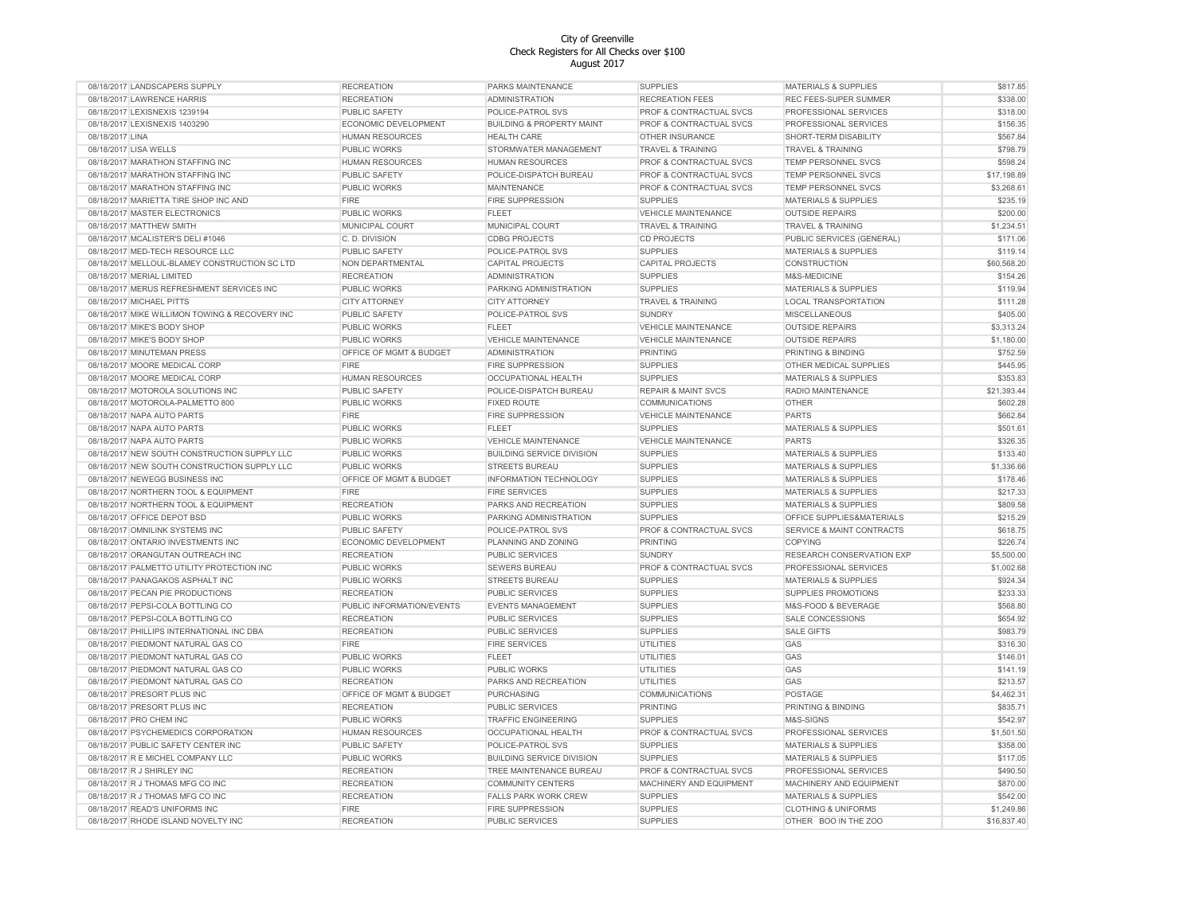| 08/18/2017 LANDSCAPERS SUPPLY                  | <b>RECREATION</b>         | PARKS MAINTENANCE                    | <b>SUPPLIES</b>                | <b>MATERIALS &amp; SUPPLIES</b> | \$817.85    |
|------------------------------------------------|---------------------------|--------------------------------------|--------------------------------|---------------------------------|-------------|
| 08/18/2017 LAWRENCE HARRIS                     | <b>RECREATION</b>         | <b>ADMINISTRATION</b>                | <b>RECREATION FEES</b>         | REC FEES-SUPER SUMMER           | \$338.00    |
| 08/18/2017 LEXISNEXIS 1239194                  | PUBLIC SAFETY             | POLICE-PATROL SVS                    | PROF & CONTRACTUAL SVCS        | PROFESSIONAL SERVICES           | \$318.00    |
| 08/18/2017 LEXISNEXIS 1403290                  | ECONOMIC DEVELOPMENT      | <b>BUILDING &amp; PROPERTY MAINT</b> | PROF & CONTRACTUAL SVCS        | PROFESSIONAL SERVICES           | \$156.35    |
| 08/18/2017 LINA                                | HUMAN RESOURCES           | <b>HEALTH CARE</b>                   | OTHER INSURANCE                | SHORT-TERM DISABILITY           | \$567.84    |
| 08/18/2017 LISA WELLS                          | <b>PUBLIC WORKS</b>       | STORMWATER MANAGEMENT                | <b>TRAVEL &amp; TRAINING</b>   | <b>TRAVEL &amp; TRAINING</b>    | \$798.79    |
| 08/18/2017 MARATHON STAFFING INC               | HUMAN RESOURCES           | <b>HUMAN RESOURCES</b>               | PROF & CONTRACTUAL SVCS        | TEMP PERSONNEL SVCS             | \$598.24    |
| 08/18/2017 MARATHON STAFFING INC               | PUBLIC SAFETY             | POLICE-DISPATCH BUREAU               | PROF & CONTRACTUAL SVCS        | TEMP PERSONNEL SVCS             | \$17,198.89 |
| 08/18/2017 MARATHON STAFFING INC               | PUBLIC WORKS              | <b>MAINTENANCE</b>                   | PROF & CONTRACTUAL SVCS        | TEMP PERSONNEL SVCS             | \$3,268.61  |
| 08/18/2017 MARIETTA TIRE SHOP INC AND          | <b>FIRE</b>               | FIRE SUPPRESSION                     | <b>SUPPLIES</b>                | <b>MATERIALS &amp; SUPPLIES</b> | \$235.19    |
| 08/18/2017 MASTER ELECTRONICS                  | PUBLIC WORKS              | <b>FLEET</b>                         | <b>VEHICLE MAINTENANCE</b>     | <b>OUTSIDE REPAIRS</b>          | \$200.00    |
| 08/18/2017 MATTHEW SMITH                       | MUNICIPAL COURT           | MUNICIPAL COURT                      | <b>TRAVEL &amp; TRAINING</b>   | <b>TRAVEL &amp; TRAINING</b>    | \$1,234.51  |
| 08/18/2017 MCALISTER'S DELI #1046              | C. D. DIVISION            | <b>CDBG PROJECTS</b>                 | <b>CD PROJECTS</b>             | PUBLIC SERVICES (GENERAL)       | \$171.06    |
| 08/18/2017 MED-TECH RESOURCE LLC               | PUBLIC SAFETY             | POLICE-PATROL SVS                    | <b>SUPPLIES</b>                | <b>MATERIALS &amp; SUPPLIES</b> | \$119.14    |
|                                                |                           |                                      |                                |                                 | \$60,568.20 |
| 08/18/2017 MELLOUL-BLAMEY CONSTRUCTION SC LTD  | NON DEPARTMENTAL          | CAPITAL PROJECTS                     | <b>CAPITAL PROJECTS</b>        | CONSTRUCTION                    |             |
| 08/18/2017 MERIAL LIMITED                      | <b>RECREATION</b>         | <b>ADMINISTRATION</b>                | <b>SUPPLIES</b>                | M&S-MEDICINE                    | \$154.26    |
| 08/18/2017 MERUS REFRESHMENT SERVICES INC      | <b>PUBLIC WORKS</b>       | PARKING ADMINISTRATION               | <b>SUPPLIES</b>                | <b>MATERIALS &amp; SUPPLIES</b> | \$119.94    |
| 08/18/2017 MICHAEL PITTS                       | <b>CITY ATTORNEY</b>      | <b>CITY ATTORNEY</b>                 | TRAVEL & TRAINING              | LOCAL TRANSPORTATION            | \$111.28    |
| 08/18/2017 MIKE WILLIMON TOWING & RECOVERY INC | PUBLIC SAFETY             | POLICE-PATROL SVS                    | <b>SUNDRY</b>                  | MISCELLANEOUS                   | \$405.00    |
| 08/18/2017 MIKE'S BODY SHOP                    | PUBLIC WORKS              | <b>FLEET</b>                         | <b>VEHICLE MAINTENANCE</b>     | <b>OUTSIDE REPAIRS</b>          | \$3,313.24  |
| 08/18/2017 MIKE'S BODY SHOP                    | <b>PUBLIC WORKS</b>       | VEHICLE MAINTENANCE                  | <b>VEHICLE MAINTENANCE</b>     | <b>OUTSIDE REPAIRS</b>          | \$1,180.00  |
| 08/18/2017 MINUTEMAN PRESS                     | OFFICE OF MGMT & BUDGET   | <b>ADMINISTRATION</b>                | <b>PRINTING</b>                | PRINTING & BINDING              | \$752.59    |
| 08/18/2017 MOORE MEDICAL CORP                  | <b>FIRE</b>               | <b>FIRE SUPPRESSION</b>              | <b>SUPPLIES</b>                | OTHER MEDICAL SUPPLIES          | \$445.95    |
| 08/18/2017 MOORE MEDICAL CORP                  | <b>HUMAN RESOURCES</b>    | <b>OCCUPATIONAL HEALTH</b>           | <b>SUPPLIES</b>                | <b>MATERIALS &amp; SUPPLIES</b> | \$353.83    |
| 08/18/2017 MOTOROLA SOLUTIONS INC              | <b>PUBLIC SAFETY</b>      | POLICE-DISPATCH BUREAU               | <b>REPAIR &amp; MAINT SVCS</b> | RADIO MAINTENANCE               | \$21,393.44 |
| 08/18/2017 MOTOROLA-PALMETTO 800               | <b>PUBLIC WORKS</b>       | <b>FIXED ROUTE</b>                   | <b>COMMUNICATIONS</b>          | <b>OTHER</b>                    | \$602.28    |
| 08/18/2017 NAPA AUTO PARTS                     | <b>FIRE</b>               | <b>FIRE SUPPRESSION</b>              | <b>VEHICLE MAINTENANCE</b>     | <b>PARTS</b>                    | \$662.84    |
| 08/18/2017 NAPA AUTO PARTS                     | <b>PUBLIC WORKS</b>       | <b>FLEET</b>                         | <b>SUPPLIES</b>                | MATERIALS & SUPPLIES            | \$501.61    |
| 08/18/2017 NAPA AUTO PARTS                     | PUBLIC WORKS              | <b>VEHICLE MAINTENANCE</b>           | <b>VEHICLE MAINTENANCE</b>     | <b>PARTS</b>                    | \$326.35    |
| 08/18/2017 NEW SOUTH CONSTRUCTION SUPPLY LLC   | PUBLIC WORKS              | <b>BUILDING SERVICE DIVISION</b>     | <b>SUPPLIES</b>                | MATERIALS & SUPPLIES            | \$133.40    |
| 08/18/2017 NEW SOUTH CONSTRUCTION SUPPLY LLC   | PUBLIC WORKS              | STREETS BUREAU                       | <b>SUPPLIES</b>                | MATERIALS & SUPPLIES            | \$1,336.66  |
| 08/18/2017 NEWEGG BUSINESS INC                 | OFFICE OF MGMT & BUDGET   | INFORMATION TECHNOLOGY               | <b>SUPPLIES</b>                | <b>MATERIALS &amp; SUPPLIES</b> | \$178.46    |
| 08/18/2017 NORTHERN TOOL & EQUIPMENT           | <b>FIRE</b>               | <b>FIRE SERVICES</b>                 | <b>SUPPLIES</b>                | <b>MATERIALS &amp; SUPPLIES</b> | \$217.33    |
| 08/18/2017 NORTHERN TOOL & EQUIPMENT           | <b>RECREATION</b>         | PARKS AND RECREATION                 | <b>SUPPLIES</b>                | <b>MATERIALS &amp; SUPPLIES</b> | \$809.58    |
| 08/18/2017 OFFICE DEPOT BSD                    | PUBLIC WORKS              | PARKING ADMINISTRATION               | <b>SUPPLIES</b>                | OFFICE SUPPLIES&MATERIALS       | \$215.29    |
| 08/18/2017 OMNILINK SYSTEMS INC                | <b>PUBLIC SAFETY</b>      | POLICE-PATROL SVS                    | PROF & CONTRACTUAL SVCS        | SERVICE & MAINT CONTRACTS       | \$618.75    |
| 08/18/2017 ONTARIO INVESTMENTS INC             | ECONOMIC DEVELOPMENT      | PLANNING AND ZONING                  | <b>PRINTING</b>                | <b>COPYING</b>                  | \$226.74    |
| 08/18/2017 ORANGUTAN OUTREACH INC              | <b>RECREATION</b>         | PUBLIC SERVICES                      | <b>SUNDRY</b>                  | RESEARCH CONSERVATION EXP       | \$5,500.00  |
| 08/18/2017 PALMETTO UTILITY PROTECTION INC     | PUBLIC WORKS              | <b>SEWERS BUREAU</b>                 | PROF & CONTRACTUAL SVCS        | PROFESSIONAL SERVICES           | \$1,002.68  |
|                                                |                           |                                      |                                |                                 |             |
| 08/18/2017 PANAGAKOS ASPHALT INC               | <b>PUBLIC WORKS</b>       | STREETS BUREAU                       | <b>SUPPLIES</b>                | <b>MATERIALS &amp; SUPPLIES</b> | \$924.34    |
| 08/18/2017 PECAN PIE PRODUCTIONS               | <b>RECREATION</b>         | PUBLIC SERVICES                      | <b>SUPPLIES</b>                | SUPPLIES PROMOTIONS             | \$233.33    |
| 08/18/2017 PEPSI-COLA BOTTLING CO              | PUBLIC INFORMATION/EVENTS | <b>EVENTS MANAGEMENT</b>             | <b>SUPPLIES</b>                | M&S-FOOD & BEVERAGE             | \$568.80    |
| 08/18/2017 PEPSI-COLA BOTTLING CO              | <b>RECREATION</b>         | PUBLIC SERVICES                      | <b>SUPPLIES</b>                | SALE CONCESSIONS                | \$654.92    |
| 08/18/2017 PHILLIPS INTERNATIONAL INC DBA      | <b>RECREATION</b>         | PUBLIC SERVICES                      | <b>SUPPLIES</b>                | <b>SALE GIFTS</b>               | \$983.79    |
| 08/18/2017 PIEDMONT NATURAL GAS CO             | <b>FIRE</b>               | <b>FIRE SERVICES</b>                 | UTILITIES                      | GAS                             | \$316.30    |
| 08/18/2017 PIEDMONT NATURAL GAS CO             | <b>PUBLIC WORKS</b>       | <b>FLEET</b>                         | UTILITIES                      | GAS                             | \$146.01    |
| 08/18/2017 PIEDMONT NATURAL GAS CO             | <b>PUBLIC WORKS</b>       | <b>PUBLIC WORKS</b>                  | UTILITIES                      | GAS                             | \$141.19    |
| 08/18/2017 PIEDMONT NATURAL GAS CO             | <b>RECREATION</b>         | PARKS AND RECREATION                 | <b>UTILITIES</b>               | GAS                             | \$213.57    |
| 08/18/2017 PRESORT PLUS INC                    | OFFICE OF MGMT & BUDGET   | PURCHASING                           | COMMUNICATIONS                 | POSTAGE                         | \$4,462.31  |
| 08/18/2017 PRESORT PLUS INC                    | <b>RECREATION</b>         | PUBLIC SERVICES                      | <b>PRINTING</b>                | PRINTING & BINDING              | \$835.71    |
| 08/18/2017 PRO CHEM INC                        | <b>PUBLIC WORKS</b>       | <b>TRAFFIC ENGINEERING</b>           | <b>SUPPLIES</b>                | M&S-SIGNS                       | \$542.97    |
| 08/18/2017 PSYCHEMEDICS CORPORATION            | <b>HUMAN RESOURCES</b>    | <b>OCCUPATIONAL HEALTH</b>           | PROF & CONTRACTUAL SVCS        | PROFESSIONAL SERVICES           | \$1,501.50  |
| 08/18/2017 PUBLIC SAFETY CENTER INC            | PUBLIC SAFETY             | POLICE-PATROL SVS                    | <b>SUPPLIES</b>                | <b>MATERIALS &amp; SUPPLIES</b> | \$358.00    |
| 08/18/2017 R E MICHEL COMPANY LLC              | PUBLIC WORKS              | <b>BUILDING SERVICE DIVISION</b>     | <b>SUPPLIES</b>                | <b>MATERIALS &amp; SUPPLIES</b> | \$117.05    |
| 08/18/2017 R J SHIRLEY INC                     | <b>RECREATION</b>         | TREE MAINTENANCE BUREAU              | PROF & CONTRACTUAL SVCS        | PROFESSIONAL SERVICES           | \$490.50    |
| 08/18/2017 R J THOMAS MFG CO INC               | <b>RECREATION</b>         | <b>COMMUNITY CENTERS</b>             | MACHINERY AND EQUIPMENT        | MACHINERY AND EQUIPMENT         | \$870.00    |
| 08/18/2017 R J THOMAS MFG CO INC               | <b>RECREATION</b>         | FALLS PARK WORK CREW                 | <b>SUPPLIES</b>                | <b>MATERIALS &amp; SUPPLIES</b> | \$542.00    |
| 08/18/2017 READ'S UNIFORMS INC                 | <b>FIRE</b>               | <b>FIRE SUPPRESSION</b>              | <b>SUPPLIES</b>                | <b>CLOTHING &amp; UNIFORMS</b>  | \$1,249.86  |
| 08/18/2017 RHODE ISLAND NOVELTY INC            | <b>RECREATION</b>         | <b>PUBLIC SERVICES</b>               | <b>SUPPLIES</b>                | OTHER BOO IN THE ZOO            | \$16,837.40 |
|                                                |                           |                                      |                                |                                 |             |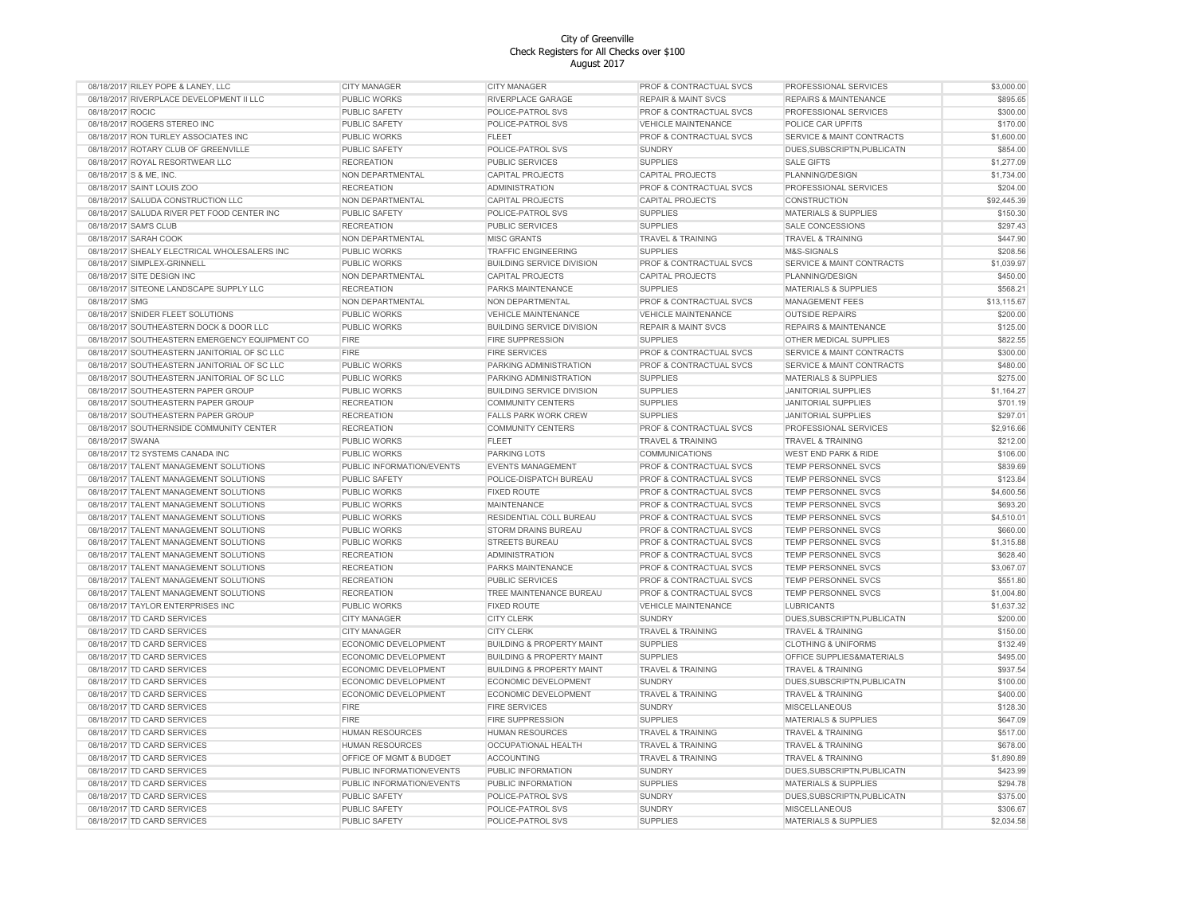| 08/18/2017 RILEY POPE & LANEY, LLC             | <b>CITY MANAGER</b>         | <b>CITY MANAGER</b>                  | PROF & CONTRACTUAL SVCS            | PROFESSIONAL SERVICES                | \$3,000.00  |
|------------------------------------------------|-----------------------------|--------------------------------------|------------------------------------|--------------------------------------|-------------|
| 08/18/2017 RIVERPLACE DEVELOPMENT II LLC       | PUBLIC WORKS                | RIVERPLACE GARAGE                    | <b>REPAIR &amp; MAINT SVCS</b>     | <b>REPAIRS &amp; MAINTENANCE</b>     | \$895.65    |
| 08/18/2017 ROCIC                               | PUBLIC SAFETY               | POLICE-PATROL SVS                    | PROF & CONTRACTUAL SVCS            | PROFESSIONAL SERVICES                | \$300.00    |
| 08/18/2017 ROGERS STEREO INC                   | PUBLIC SAFETY               | POLICE-PATROL SVS                    | <b>VEHICLE MAINTENANCE</b>         | POLICE CAR UPFITS                    | \$170.00    |
| 08/18/2017 RON TURLEY ASSOCIATES INC           | PUBLIC WORKS                | <b>FLEET</b>                         | PROF & CONTRACTUAL SVCS            | <b>SERVICE &amp; MAINT CONTRACTS</b> | \$1,600.00  |
| 08/18/2017 ROTARY CLUB OF GREENVILLE           | PUBLIC SAFETY               | POLICE-PATROL SVS                    | <b>SUNDRY</b>                      | DUES, SUBSCRIPTN, PUBLICATN          | \$854.00    |
| 08/18/2017 ROYAL RESORTWEAR LLC                | <b>RECREATION</b>           | PUBLIC SERVICES                      | <b>SUPPLIES</b>                    | <b>SALE GIFTS</b>                    | \$1,277.09  |
| 08/18/2017 S & ME, INC.                        | NON DEPARTMENTAL            | CAPITAL PROJECTS                     | <b>CAPITAL PROJECTS</b>            | PLANNING/DESIGN                      | \$1,734.00  |
| 08/18/2017 SAINT LOUIS ZOO                     | <b>RECREATION</b>           | <b>ADMINISTRATION</b>                | PROF & CONTRACTUAL SVCS            | PROFESSIONAL SERVICES                | \$204.00    |
| 08/18/2017 SALUDA CONSTRUCTION LLC             | NON DEPARTMENTAL            | CAPITAL PROJECTS                     | CAPITAL PROJECTS                   | CONSTRUCTION                         | \$92,445.39 |
| 08/18/2017 SALUDA RIVER PET FOOD CENTER INC    | PUBLIC SAFETY               | POLICE-PATROL SVS                    | <b>SUPPLIES</b>                    | <b>MATERIALS &amp; SUPPLIES</b>      | \$150.30    |
| 08/18/2017 SAM'S CLUB                          | <b>RECREATION</b>           | PUBLIC SERVICES                      | <b>SUPPLIES</b>                    | <b>SALE CONCESSIONS</b>              | \$297.43    |
| 08/18/2017 SARAH COOK                          | NON DEPARTMENTAL            | <b>MISC GRANTS</b>                   | TRAVEL & TRAINING                  | <b>TRAVEL &amp; TRAINING</b>         | \$447.90    |
| 08/18/2017 SHEALY ELECTRICAL WHOLESALERS INC   | PUBLIC WORKS                | <b>TRAFFIC ENGINEERING</b>           | <b>SUPPLIES</b>                    | M&S-SIGNALS                          | \$208.56    |
|                                                |                             |                                      |                                    |                                      |             |
| 08/18/2017 SIMPLEX-GRINNELL                    | <b>PUBLIC WORKS</b>         | <b>BUILDING SERVICE DIVISION</b>     | PROF & CONTRACTUAL SVCS            | SERVICE & MAINT CONTRACTS            | \$1,039.97  |
| 08/18/2017 SITE DESIGN INC                     | NON DEPARTMENTAL            | CAPITAL PROJECTS                     | <b>CAPITAL PROJECTS</b>            | PLANNING/DESIGN                      | \$450.00    |
| 08/18/2017 SITEONE LANDSCAPE SUPPLY LLC        | <b>RECREATION</b>           | PARKS MAINTENANCE                    | <b>SUPPLIES</b>                    | <b>MATERIALS &amp; SUPPLIES</b>      | \$568.21    |
| 08/18/2017 SMG                                 | NON DEPARTMENTAL            | NON DEPARTMENTAL                     | PROF & CONTRACTUAL SVCS            | MANAGEMENT FEES                      | \$13,115.67 |
| 08/18/2017 SNIDER FLEET SOLUTIONS              | PUBLIC WORKS                | <b>VEHICLE MAINTENANCE</b>           | VEHICLE MAINTENANCE                | <b>OUTSIDE REPAIRS</b>               | \$200.00    |
| 08/18/2017 SOUTHEASTERN DOCK & DOOR LLC        | PUBLIC WORKS                | <b>BUILDING SERVICE DIVISION</b>     | <b>REPAIR &amp; MAINT SVCS</b>     | <b>REPAIRS &amp; MAINTENANCE</b>     | \$125.00    |
| 08/18/2017 SOUTHEASTERN EMERGENCY EQUIPMENT CO | <b>FIRE</b>                 | FIRE SUPPRESSION                     | <b>SUPPLIES</b>                    | OTHER MEDICAL SUPPLIES               | \$822.55    |
| 08/18/2017 SOUTHEASTERN JANITORIAL OF SC LLC   | <b>FIRE</b>                 | <b>FIRE SERVICES</b>                 | PROF & CONTRACTUAL SVCS            | <b>SERVICE &amp; MAINT CONTRACTS</b> | \$300.00    |
| 08/18/2017 SOUTHEASTERN JANITORIAL OF SC LLC   | <b>PUBLIC WORKS</b>         | PARKING ADMINISTRATION               | PROF & CONTRACTUAL SVCS            | SERVICE & MAINT CONTRACTS            | \$480.00    |
| 08/18/2017 SOUTHEASTERN JANITORIAL OF SC LLC   | PUBLIC WORKS                | PARKING ADMINISTRATION               | <b>SUPPLIES</b>                    | <b>MATERIALS &amp; SUPPLIES</b>      | \$275.00    |
| 08/18/2017 SOUTHEASTERN PAPER GROUP            | PUBLIC WORKS                | <b>BUILDING SERVICE DIVISION</b>     | <b>SUPPLIES</b>                    | <b>JANITORIAL SUPPLIES</b>           | \$1,164.27  |
| 08/18/2017 SOUTHEASTERN PAPER GROUP            | <b>RECREATION</b>           | <b>COMMUNITY CENTERS</b>             | <b>SUPPLIES</b>                    | <b>JANITORIAL SUPPLIES</b>           | \$701.19    |
| 08/18/2017 SOUTHEASTERN PAPER GROUP            | <b>RECREATION</b>           | <b>FALLS PARK WORK CREW</b>          | <b>SUPPLIES</b>                    | <b>JANITORIAL SUPPLIES</b>           | \$297.01    |
| 08/18/2017 SOUTHERNSIDE COMMUNITY CENTER       | <b>RECREATION</b>           | <b>COMMUNITY CENTERS</b>             | PROF & CONTRACTUAL SVCS            | PROFESSIONAL SERVICES                | \$2,916.66  |
| 08/18/2017 SWANA                               | PUBLIC WORKS                | <b>FLEET</b>                         | <b>TRAVEL &amp; TRAINING</b>       | <b>TRAVEL &amp; TRAINING</b>         | \$212.00    |
| 08/18/2017 T2 SYSTEMS CANADA INC               | PUBLIC WORKS                | PARKING LOTS                         | <b>COMMUNICATIONS</b>              | WEST END PARK & RIDE                 | \$106.00    |
| 08/18/2017 TALENT MANAGEMENT SOLUTIONS         | PUBLIC INFORMATION/EVENTS   | <b>EVENTS MANAGEMENT</b>             | PROF & CONTRACTUAL SVCS            | TEMP PERSONNEL SVCS                  | \$839.69    |
| 08/18/2017 TALENT MANAGEMENT SOLUTIONS         | PUBLIC SAFETY               | POLICE-DISPATCH BUREAU               | PROF & CONTRACTUAL SVCS            | TEMP PERSONNEL SVCS                  | \$123.84    |
| 08/18/2017 TALENT MANAGEMENT SOLUTIONS         | <b>PUBLIC WORKS</b>         | <b>FIXED ROUTE</b>                   | PROF & CONTRACTUAL SVCS            | TEMP PERSONNEL SVCS                  | \$4,600.56  |
| 08/18/2017 TALENT MANAGEMENT SOLUTIONS         | <b>PUBLIC WORKS</b>         | <b>MAINTENANCE</b>                   | PROF & CONTRACTUAL SVCS            | TEMP PERSONNEL SVCS                  | \$693.20    |
| 08/18/2017 TALENT MANAGEMENT SOLUTIONS         | <b>PUBLIC WORKS</b>         | RESIDENTIAL COLL BUREAU              | PROF & CONTRACTUAL SVCS            | TEMP PERSONNEL SVCS                  | \$4,510.01  |
| 08/18/2017 TALENT MANAGEMENT SOLUTIONS         | <b>PUBLIC WORKS</b>         | STORM DRAINS BUREAU                  | PROF & CONTRACTUAL SVCS            | TEMP PERSONNEL SVCS                  | \$660.00    |
| 08/18/2017 TALENT MANAGEMENT SOLUTIONS         | PUBLIC WORKS                | <b>STREETS BUREAU</b>                | PROF & CONTRACTUAL SVCS            | <b>TEMP PERSONNEL SVCS</b>           | \$1,315.88  |
| 08/18/2017 TALENT MANAGEMENT SOLUTIONS         | <b>RECREATION</b>           | <b>ADMINISTRATION</b>                | <b>PROF &amp; CONTRACTUAL SVCS</b> | <b>TEMP PERSONNEL SVCS</b>           | \$628.40    |
| 08/18/2017 TALENT MANAGEMENT SOLUTIONS         |                             | PARKS MAINTENANCE                    | <b>PROF &amp; CONTRACTUAL SVCS</b> | <b>TEMP PERSONNEL SVCS</b>           | \$3,067.07  |
|                                                | <b>RECREATION</b>           |                                      |                                    |                                      |             |
| 08/18/2017 TALENT MANAGEMENT SOLUTIONS         | <b>RECREATION</b>           | PUBLIC SERVICES                      | <b>PROF &amp; CONTRACTUAL SVCS</b> | <b>TEMP PERSONNEL SVCS</b>           | \$551.80    |
| 08/18/2017 TALENT MANAGEMENT SOLUTIONS         | <b>RECREATION</b>           | TREE MAINTENANCE BUREAU              | PROF & CONTRACTUAL SVCS            | TEMP PERSONNEL SVCS                  | \$1,004.80  |
| 08/18/2017 TAYLOR ENTERPRISES INC              | PUBLIC WORKS                | <b>FIXED ROUTE</b>                   | <b>VEHICLE MAINTENANCE</b>         | <b>LUBRICANTS</b>                    | \$1,637.32  |
| 08/18/2017 TD CARD SERVICES                    | <b>CITY MANAGER</b>         | <b>CITY CLERK</b>                    | <b>SUNDRY</b>                      | DUES, SUBSCRIPTN, PUBLICATN          | \$200.00    |
| 08/18/2017 TD CARD SERVICES                    | <b>CITY MANAGER</b>         | <b>CITY CLERK</b>                    | <b>TRAVEL &amp; TRAINING</b>       | TRAVEL & TRAINING                    | \$150.00    |
| 08/18/2017 TD CARD SERVICES                    | ECONOMIC DEVELOPMENT        | <b>BUILDING &amp; PROPERTY MAINT</b> | <b>SUPPLIES</b>                    | <b>CLOTHING &amp; UNIFORMS</b>       | \$132.49    |
| 08/18/2017 TD CARD SERVICES                    | ECONOMIC DEVELOPMENT        | <b>BUILDING &amp; PROPERTY MAINT</b> | <b>SUPPLIES</b>                    | OFFICE SUPPLIES&MATERIALS            | \$495.00    |
| 08/18/2017 TD CARD SERVICES                    | ECONOMIC DEVELOPMENT        | <b>BUILDING &amp; PROPERTY MAINT</b> | <b>TRAVEL &amp; TRAINING</b>       | <b>TRAVEL &amp; TRAINING</b>         | \$937.54    |
| 08/18/2017 TD CARD SERVICES                    | ECONOMIC DEVELOPMENT        | ECONOMIC DEVELOPMENT                 | <b>SUNDRY</b>                      | DUES, SUBSCRIPTN, PUBLICATN          | \$100.00    |
| 08/18/2017 TD CARD SERVICES                    | <b>ECONOMIC DEVELOPMENT</b> | ECONOMIC DEVELOPMENT                 | <b>TRAVEL &amp; TRAINING</b>       | <b>TRAVEL &amp; TRAINING</b>         | \$400.00    |
| 08/18/2017 TD CARD SERVICES                    | <b>FIRE</b>                 | <b>FIRE SERVICES</b>                 | <b>SUNDRY</b>                      | <b>MISCELLANEOUS</b>                 | \$128.30    |
| 08/18/2017 TD CARD SERVICES                    | <b>FIRE</b>                 | <b>FIRE SUPPRESSION</b>              | <b>SUPPLIES</b>                    | <b>MATERIALS &amp; SUPPLIES</b>      | \$647.09    |
| 08/18/2017 TD CARD SERVICES                    | <b>HUMAN RESOURCES</b>      | <b>HUMAN RESOURCES</b>               | <b>TRAVEL &amp; TRAINING</b>       | <b>TRAVEL &amp; TRAINING</b>         | \$517.00    |
| 08/18/2017 TD CARD SERVICES                    | <b>HUMAN RESOURCES</b>      | <b>OCCUPATIONAL HEALTH</b>           | <b>TRAVEL &amp; TRAINING</b>       | <b>TRAVEL &amp; TRAINING</b>         | \$678.00    |
| 08/18/2017 TD CARD SERVICES                    | OFFICE OF MGMT & BUDGET     | <b>ACCOUNTING</b>                    | <b>TRAVEL &amp; TRAINING</b>       | <b>TRAVEL &amp; TRAINING</b>         | \$1,890.89  |
| 08/18/2017 TD CARD SERVICES                    | PUBLIC INFORMATION/EVENTS   | PUBLIC INFORMATION                   | <b>SUNDRY</b>                      | DUES, SUBSCRIPTN, PUBLICATN          | \$423.99    |
| 08/18/2017 TD CARD SERVICES                    | PUBLIC INFORMATION/EVENTS   | PUBLIC INFORMATION                   | <b>SUPPLIES</b>                    | MATERIALS & SUPPLIES                 | \$294.78    |
| 08/18/2017 TD CARD SERVICES                    | PUBLIC SAFETY               | POLICE-PATROL SVS                    | <b>SUNDRY</b>                      | DUES, SUBSCRIPTN, PUBLICATN          | \$375.00    |
| 08/18/2017 TD CARD SERVICES                    | <b>PUBLIC SAFETY</b>        | POLICE-PATROL SVS                    | <b>SUNDRY</b>                      | <b>MISCELLANEOUS</b>                 | \$306.67    |
| 08/18/2017 TD CARD SERVICES                    | PUBLIC SAFETY               | POLICE-PATROL SVS                    | <b>SUPPLIES</b>                    | <b>MATERIALS &amp; SUPPLIES</b>      | \$2,034.58  |
|                                                |                             |                                      |                                    |                                      |             |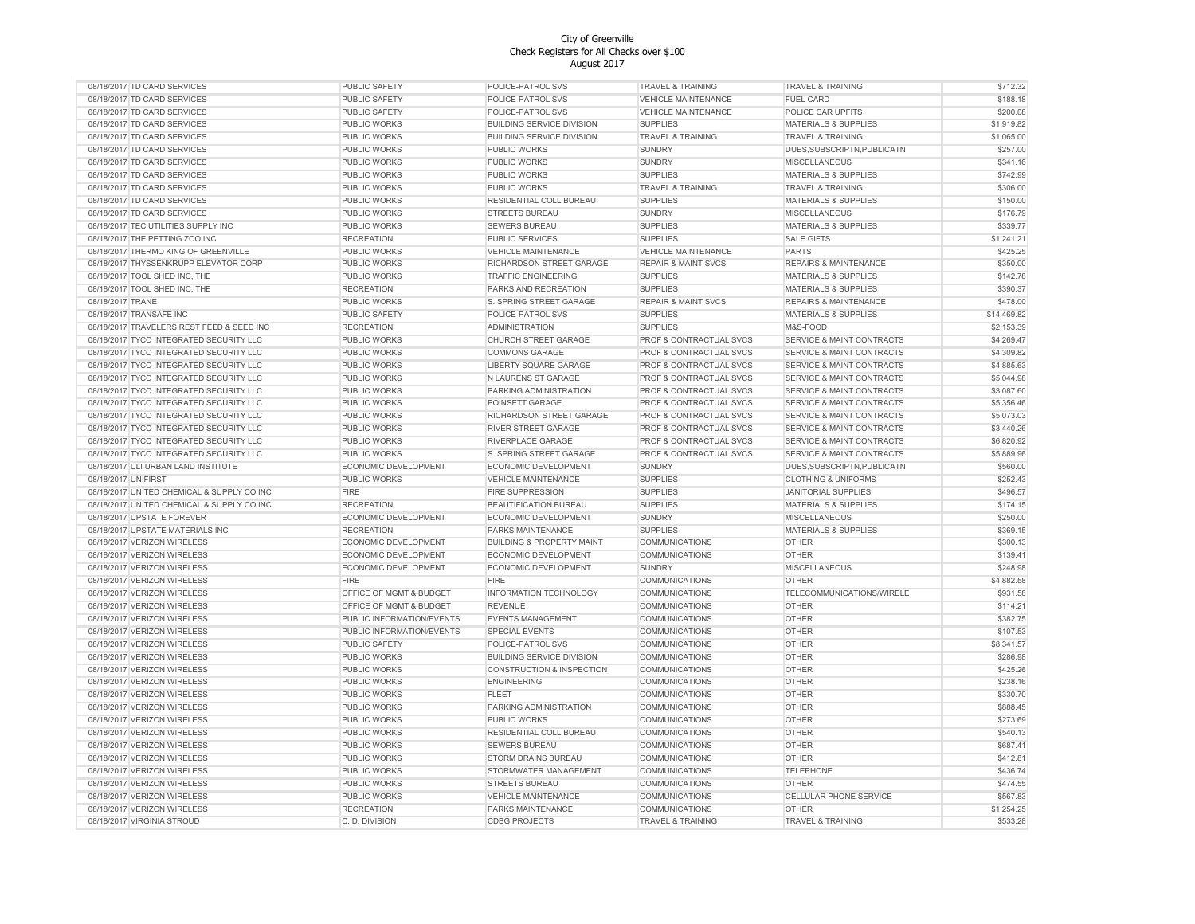| 08/18/2017 TD CARD SERVICES                                | <b>PUBLIC SAFETY</b>      | POLICE-PATROL SVS                    | TRAVEL & TRAINING                | <b>TRAVEL &amp; TRAINING</b>                                  | \$712.32    |
|------------------------------------------------------------|---------------------------|--------------------------------------|----------------------------------|---------------------------------------------------------------|-------------|
| 08/18/2017 TD CARD SERVICES                                | PUBLIC SAFETY             | POLICE-PATROL SVS                    | <b>VEHICLE MAINTENANCE</b>       | <b>FUEL CARD</b>                                              | \$188.18    |
| 08/18/2017 TD CARD SERVICES                                | PUBLIC SAFETY             | POLICE-PATROL SVS                    | <b>VEHICLE MAINTENANCE</b>       | POLICE CAR UPFITS                                             | \$200.08    |
| 08/18/2017 TD CARD SERVICES                                | PUBLIC WORKS              | <b>BUILDING SERVICE DIVISION</b>     | <b>SUPPLIES</b>                  | <b>MATERIALS &amp; SUPPLIES</b>                               | \$1,919.82  |
| 08/18/2017 TD CARD SERVICES                                | PUBLIC WORKS              | <b>BUILDING SERVICE DIVISION</b>     | <b>TRAVEL &amp; TRAINING</b>     | <b>TRAVEL &amp; TRAINING</b>                                  | \$1,065.00  |
| 08/18/2017 TD CARD SERVICES                                | PUBLIC WORKS              | PUBLIC WORKS                         | <b>SUNDRY</b>                    | DUES, SUBSCRIPTN, PUBLICATN                                   | \$257.00    |
| 08/18/2017 TD CARD SERVICES                                | PUBLIC WORKS              | PUBLIC WORKS                         | <b>SUNDRY</b>                    | <b>MISCELLANEOUS</b>                                          | \$341.16    |
| 08/18/2017 TD CARD SERVICES                                | PUBLIC WORKS              | PUBLIC WORKS                         | <b>SUPPLIES</b>                  | <b>MATERIALS &amp; SUPPLIES</b>                               | \$742.99    |
| 08/18/2017 TD CARD SERVICES                                | PUBLIC WORKS              | PUBLIC WORKS                         | TRAVEL & TRAINING                | <b>TRAVEL &amp; TRAINING</b>                                  | \$306.00    |
| 08/18/2017 TD CARD SERVICES                                | PUBLIC WORKS              | RESIDENTIAL COLL BUREAU              | <b>SUPPLIES</b>                  | <b>MATERIALS &amp; SUPPLIES</b>                               | \$150.00    |
| 08/18/2017 TD CARD SERVICES                                | PUBLIC WORKS              | STREETS BUREAU                       |                                  | <b>MISCELLANEOUS</b>                                          |             |
|                                                            |                           |                                      | <b>SUNDRY</b>                    |                                                               | \$176.79    |
| 08/18/2017 TEC UTILITIES SUPPLY INC                        | PUBLIC WORKS              | SEWERS BUREAU                        | <b>SUPPLIES</b>                  | <b>MATERIALS &amp; SUPPLIES</b>                               | \$339.77    |
| 08/18/2017 THE PETTING ZOO INC                             | <b>RECREATION</b>         | PUBLIC SERVICES                      | <b>SUPPLIES</b>                  | <b>SALE GIFTS</b>                                             | \$1,241.21  |
| 08/18/2017 THERMO KING OF GREENVILLE                       | PUBLIC WORKS              | <b>VEHICLE MAINTENANCE</b>           | <b>VEHICLE MAINTENANCE</b>       | <b>PARTS</b>                                                  | \$425.25    |
| 08/18/2017 THYSSENKRUPP ELEVATOR CORP                      | PUBLIC WORKS              | RICHARDSON STREET GARAGE             | <b>REPAIR &amp; MAINT SVCS</b>   | REPAIRS & MAINTENANCE                                         | \$350.00    |
| 08/18/2017 TOOL SHED INC, THE                              | PUBLIC WORKS              | <b>TRAFFIC ENGINEERING</b>           | <b>SUPPLIES</b>                  | <b>MATERIALS &amp; SUPPLIES</b>                               | \$142.78    |
| 08/18/2017 TOOL SHED INC, THE                              | <b>RECREATION</b>         | PARKS AND RECREATION                 | <b>SUPPLIES</b>                  | <b>MATERIALS &amp; SUPPLIES</b>                               | \$390.37    |
| 08/18/2017 TRANE                                           | <b>PUBLIC WORKS</b>       | S. SPRING STREET GARAGE              | <b>REPAIR &amp; MAINT SVCS</b>   | <b>REPAIRS &amp; MAINTENANCE</b>                              | \$478.00    |
| 08/18/2017 TRANSAFE INC                                    | PUBLIC SAFETY             | POLICE-PATROL SVS                    | <b>SUPPLIES</b>                  | <b>MATERIALS &amp; SUPPLIES</b>                               | \$14,469.82 |
| 08/18/2017 TRAVELERS REST FEED & SEED INC                  | <b>RECREATION</b>         | <b>ADMINISTRATION</b>                | <b>SUPPLIES</b>                  | M&S-FOOD                                                      | \$2,153.39  |
| 08/18/2017 TYCO INTEGRATED SECURITY LLC                    | PUBLIC WORKS              | CHURCH STREET GARAGE                 | PROF & CONTRACTUAL SVCS          | SERVICE & MAINT CONTRACTS                                     | \$4,269.47  |
| 08/18/2017 TYCO INTEGRATED SECURITY LLC                    | PUBLIC WORKS              | <b>COMMONS GARAGE</b>                | PROF & CONTRACTUAL SVCS          | SERVICE & MAINT CONTRACTS                                     | \$4,309.82  |
| 08/18/2017 TYCO INTEGRATED SECURITY LLC                    | PUBLIC WORKS              | LIBERTY SQUARE GARAGE                | PROF & CONTRACTUAL SVCS          | SERVICE & MAINT CONTRACTS                                     | \$4,885.63  |
| 08/18/2017 TYCO INTEGRATED SECURITY LLC                    | PUBLIC WORKS              | N LAURENS ST GARAGE                  | PROF & CONTRACTUAL SVCS          | <b>SERVICE &amp; MAINT CONTRACTS</b>                          | \$5,044.98  |
| 08/18/2017 TYCO INTEGRATED SECURITY LLC                    | PUBLIC WORKS              | PARKING ADMINISTRATION               | PROF & CONTRACTUAL SVCS          | <b>SERVICE &amp; MAINT CONTRACTS</b>                          | \$3,087.60  |
| 08/18/2017 TYCO INTEGRATED SECURITY LLC                    | PUBLIC WORKS              | POINSETT GARAGE                      | PROF & CONTRACTUAL SVCS          | <b>SERVICE &amp; MAINT CONTRACTS</b>                          | \$5,356.46  |
| 08/18/2017 TYCO INTEGRATED SECURITY LLC                    | PUBLIC WORKS              | RICHARDSON STREET GARAGE             | PROF & CONTRACTUAL SVCS          | <b>SERVICE &amp; MAINT CONTRACTS</b>                          | \$5,073.03  |
| 08/18/2017 TYCO INTEGRATED SECURITY LLC                    | PUBLIC WORKS              | RIVER STREET GARAGE                  | PROF & CONTRACTUAL SVCS          | <b>SERVICE &amp; MAINT CONTRACTS</b>                          | \$3,440.26  |
| 08/18/2017 TYCO INTEGRATED SECURITY LLC                    | PUBLIC WORKS              | RIVERPLACE GARAGE                    | PROF & CONTRACTUAL SVCS          | SERVICE & MAINT CONTRACTS                                     | \$6,820.92  |
| 08/18/2017 TYCO INTEGRATED SECURITY LLC                    | <b>PUBLIC WORKS</b>       | S. SPRING STREET GARAGE              | PROF & CONTRACTUAL SVCS          | SERVICE & MAINT CONTRACTS                                     | \$5,889.96  |
|                                                            | ECONOMIC DEVELOPMENT      | ECONOMIC DEVELOPMENT                 |                                  |                                                               | \$560.00    |
| 08/18/2017 ULI URBAN LAND INSTITUTE<br>08/18/2017 UNIFIRST | PUBLIC WORKS              | <b>VEHICLE MAINTENANCE</b>           | <b>SUNDRY</b><br><b>SUPPLIES</b> | DUES, SUBSCRIPTN, PUBLICATN<br><b>CLOTHING &amp; UNIFORMS</b> | \$252.43    |
|                                                            |                           |                                      |                                  |                                                               |             |
| 08/18/2017 UNITED CHEMICAL & SUPPLY CO INC                 | <b>FIRE</b>               | <b>FIRE SUPPRESSION</b>              | <b>SUPPLIES</b>                  | <b>JANITORIAL SUPPLIES</b>                                    | \$496.57    |
| 08/18/2017 UNITED CHEMICAL & SUPPLY CO INC                 | <b>RECREATION</b>         | BEAUTIFICATION BUREAU                | <b>SUPPLIES</b>                  | <b>MATERIALS &amp; SUPPLIES</b>                               | \$174.15    |
| 08/18/2017 UPSTATE FOREVER                                 | ECONOMIC DEVELOPMENT      | ECONOMIC DEVELOPMENT                 | <b>SUNDRY</b>                    | <b>MISCELLANEOUS</b>                                          | \$250.00    |
| 08/18/2017 UPSTATE MATERIALS INC                           | <b>RECREATION</b>         | PARKS MAINTENANCE                    | <b>SUPPLIES</b>                  | MATERIALS & SUPPLIES                                          | \$369.15    |
| 08/18/2017 VERIZON WIRELESS                                | ECONOMIC DEVELOPMENT      | <b>BUILDING &amp; PROPERTY MAINT</b> | <b>COMMUNICATIONS</b>            | <b>OTHER</b>                                                  | \$300.13    |
| 08/18/2017 VERIZON WIRELESS                                | ECONOMIC DEVELOPMENT      | ECONOMIC DEVELOPMENT                 | <b>COMMUNICATIONS</b>            | <b>OTHER</b>                                                  | \$139.41    |
| 08/18/2017 VERIZON WIRELESS                                | ECONOMIC DEVELOPMENT      | ECONOMIC DEVELOPMENT                 | <b>SUNDRY</b>                    | <b>MISCELLANEOUS</b>                                          | \$248.98    |
| 08/18/2017 VERIZON WIRELESS                                | <b>FIRE</b>               | <b>FIRE</b>                          | <b>COMMUNICATIONS</b>            | <b>OTHER</b>                                                  | \$4,882.58  |
| 08/18/2017 VERIZON WIRELESS                                | OFFICE OF MGMT & BUDGET   | INFORMATION TECHNOLOGY               | <b>COMMUNICATIONS</b>            | TELECOMMUNICATIONS/WIRELE                                     | \$931.58    |
| 08/18/2017 VERIZON WIRELESS                                | OFFICE OF MGMT & BUDGET   | <b>REVENUE</b>                       | <b>COMMUNICATIONS</b>            | <b>OTHER</b>                                                  | \$114.21    |
| 08/18/2017 VERIZON WIRELESS                                | PUBLIC INFORMATION/EVENTS | <b>EVENTS MANAGEMENT</b>             | <b>COMMUNICATIONS</b>            | <b>OTHER</b>                                                  | \$382.75    |
| 08/18/2017 VERIZON WIRELESS                                | PUBLIC INFORMATION/EVENTS | <b>SPECIAL EVENTS</b>                | <b>COMMUNICATIONS</b>            | <b>OTHER</b>                                                  | \$107.53    |
| 08/18/2017 VERIZON WIRELESS                                | PUBLIC SAFETY             | POLICE-PATROL SVS                    | <b>COMMUNICATIONS</b>            | <b>OTHER</b>                                                  | \$8,341.57  |
| 08/18/2017 VERIZON WIRELESS                                | PUBLIC WORKS              | <b>BUILDING SERVICE DIVISION</b>     | <b>COMMUNICATIONS</b>            | <b>OTHER</b>                                                  | \$286.98    |
| 08/18/2017 VERIZON WIRELESS                                | PUBLIC WORKS              | <b>CONSTRUCTION &amp; INSPECTION</b> | COMMUNICATIONS                   | OTHER                                                         | \$425.26    |
| 08/18/2017 VERIZON WIRELESS                                | PUBLIC WORKS              | <b>ENGINEERING</b>                   | <b>COMMUNICATIONS</b>            | OTHER                                                         | \$238.16    |
| 08/18/2017 VERIZON WIRELESS                                | PUBLIC WORKS              | <b>FLEET</b>                         | <b>COMMUNICATIONS</b>            | <b>OTHER</b>                                                  | \$330.70    |
| 08/18/2017 VERIZON WIRELESS                                | PUBLIC WORKS              | PARKING ADMINISTRATION               | <b>COMMUNICATIONS</b>            | <b>OTHER</b>                                                  | \$888.45    |
| 08/18/2017 VERIZON WIRELESS                                | PUBLIC WORKS              | PUBLIC WORKS                         | <b>COMMUNICATIONS</b>            | <b>OTHER</b>                                                  | \$273.69    |
| 08/18/2017 VERIZON WIRELESS                                | PUBLIC WORKS              | RESIDENTIAL COLL BUREAU              | <b>COMMUNICATIONS</b>            | <b>OTHER</b>                                                  | \$540.13    |
|                                                            |                           |                                      |                                  |                                                               |             |
| 08/18/2017 VERIZON WIRELESS                                | PUBLIC WORKS              | <b>SEWERS BUREAU</b>                 | COMMUNICATIONS                   | OTHER                                                         | \$687.41    |
| 08/18/2017 VERIZON WIRELESS                                | PUBLIC WORKS              | STORM DRAINS BUREAU                  | COMMUNICATIONS                   | <b>OTHER</b>                                                  | \$412.81    |
| 08/18/2017 VERIZON WIRELESS                                | PUBLIC WORKS              | STORMWATER MANAGEMENT                | <b>COMMUNICATIONS</b>            | <b>TELEPHONE</b>                                              | \$436.74    |
| 08/18/2017 VERIZON WIRELESS                                | PUBLIC WORKS              | STREETS BUREAU                       | <b>COMMUNICATIONS</b>            | OTHER                                                         | \$474.55    |
| 08/18/2017 VERIZON WIRELESS                                | PUBLIC WORKS              | <b>VEHICLE MAINTENANCE</b>           | <b>COMMUNICATIONS</b>            | CELLULAR PHONE SERVICE                                        | \$567.83    |
| 08/18/2017 VERIZON WIRELESS                                | <b>RECREATION</b>         | PARKS MAINTENANCE                    | <b>COMMUNICATIONS</b>            | <b>OTHER</b>                                                  | \$1.254.25  |
| 08/18/2017 VIRGINIA STROUD                                 | C. D. DIVISION            | <b>CDBG PROJECTS</b>                 | <b>TRAVEL &amp; TRAINING</b>     | <b>TRAVEL &amp; TRAINING</b>                                  | \$533.28    |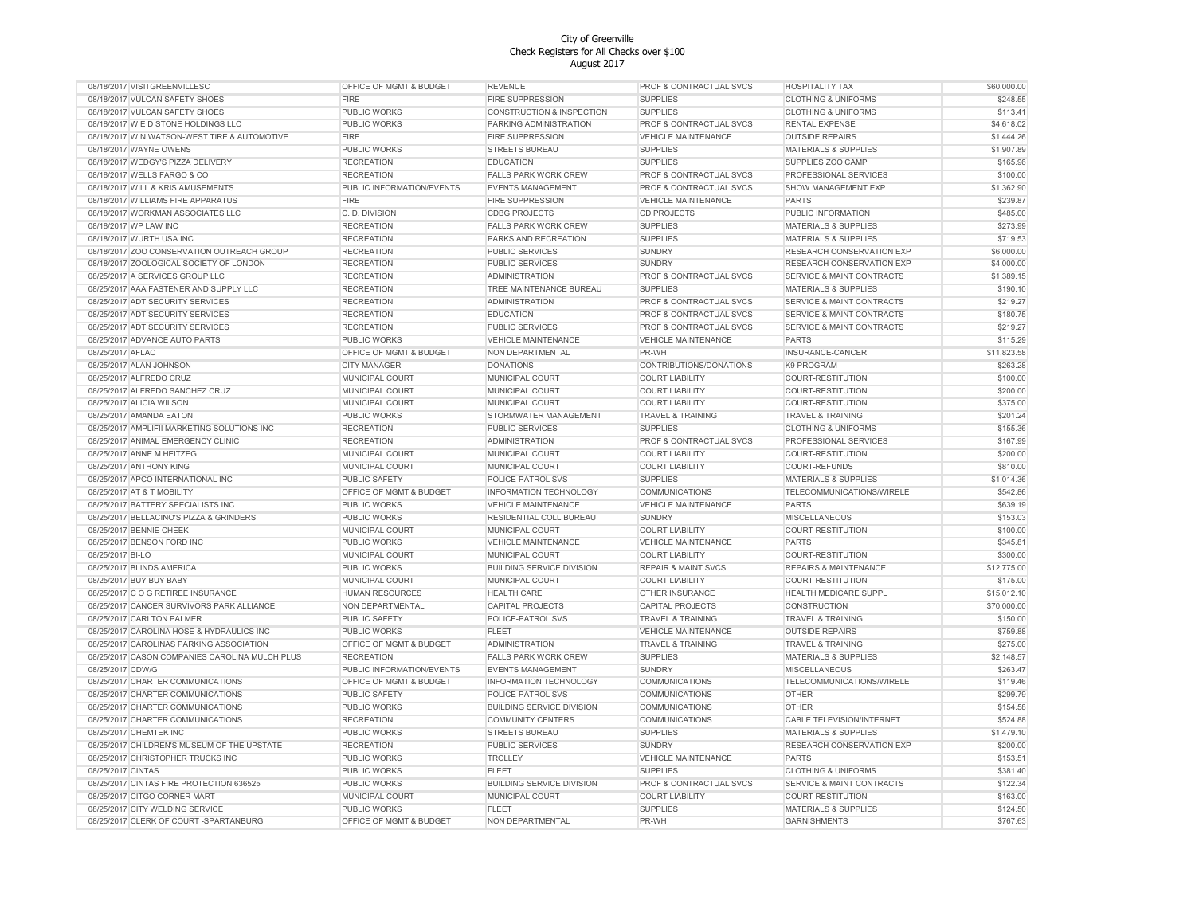| 08/18/2017 VISITGREENVILLESC                   | OFFICE OF MGMT & BUDGET   | <b>REVENUE</b>                   | PROF & CONTRACTUAL SVCS            | <b>HOSPITALITY TAX</b>               | \$60,000.00 |
|------------------------------------------------|---------------------------|----------------------------------|------------------------------------|--------------------------------------|-------------|
| 08/18/2017 VULCAN SAFETY SHOES                 | <b>FIRE</b>               | <b>FIRE SUPPRESSION</b>          | <b>SUPPLIES</b>                    | <b>CLOTHING &amp; UNIFORMS</b>       | \$248.55    |
| 08/18/2017 VULCAN SAFETY SHOES                 | PUBLIC WORKS              | CONSTRUCTION & INSPECTION        | <b>SUPPLIES</b>                    | <b>CLOTHING &amp; UNIFORMS</b>       | \$113.41    |
| 08/18/2017 W E D STONE HOLDINGS LLC            | PUBLIC WORKS              | PARKING ADMINISTRATION           | PROF & CONTRACTUAL SVCS            | <b>RENTAL EXPENSE</b>                | \$4,618.02  |
| 08/18/2017 W N WATSON-WEST TIRE & AUTOMOTIVE   | <b>FIRE</b>               | <b>FIRE SUPPRESSION</b>          | <b>VEHICLE MAINTENANCE</b>         | <b>OUTSIDE REPAIRS</b>               | \$1,444.26  |
| 08/18/2017 WAYNE OWENS                         | PUBLIC WORKS              | STREETS BUREAU                   | <b>SUPPLIES</b>                    | MATERIALS & SUPPLIES                 | \$1,907.89  |
| 08/18/2017 WEDGY'S PIZZA DELIVERY              | <b>RECREATION</b>         | <b>EDUCATION</b>                 | <b>SUPPLIES</b>                    | SUPPLIES ZOO CAMP                    | \$165.96    |
| 08/18/2017 WELLS FARGO & CO                    | <b>RECREATION</b>         | <b>FALLS PARK WORK CREW</b>      | PROF & CONTRACTUAL SVCS            | PROFESSIONAL SERVICES                | \$100.00    |
| 08/18/2017 WILL & KRIS AMUSEMENTS              | PUBLIC INFORMATION/EVENTS | <b>EVENTS MANAGEMENT</b>         | PROF & CONTRACTUAL SVCS            | <b>SHOW MANAGEMENT EXP</b>           | \$1,362.90  |
| 08/18/2017 WILLIAMS FIRE APPARATUS             | <b>FIRE</b>               | <b>FIRE SUPPRESSION</b>          | <b>VEHICLE MAINTENANCE</b>         | <b>PARTS</b>                         | \$239.87    |
|                                                |                           |                                  |                                    |                                      |             |
| 08/18/2017 WORKMAN ASSOCIATES LLC              | C. D. DIVISION            | <b>CDBG PROJECTS</b>             | <b>CD PROJECTS</b>                 | PUBLIC INFORMATION                   | \$485.00    |
| 08/18/2017 WP LAW INC                          | <b>RECREATION</b>         | <b>FALLS PARK WORK CREW</b>      | <b>SUPPLIES</b>                    | <b>MATERIALS &amp; SUPPLIES</b>      | \$273.99    |
| 08/18/2017 WURTH USA INC                       | <b>RECREATION</b>         | PARKS AND RECREATION             | <b>SUPPLIES</b>                    | MATERIALS & SUPPLIES                 | \$719.53    |
| 08/18/2017 ZOO CONSERVATION OUTREACH GROUP     | <b>RECREATION</b>         | <b>PUBLIC SERVICES</b>           | <b>SUNDRY</b>                      | RESEARCH CONSERVATION EXP            | \$6,000.00  |
| 08/18/2017 ZOOLOGICAL SOCIETY OF LONDON        | <b>RECREATION</b>         | <b>PUBLIC SERVICES</b>           | <b>SUNDRY</b>                      | <b>RESEARCH CONSERVATION EXP</b>     | \$4,000.00  |
| 08/25/2017 A SERVICES GROUP LLC                | <b>RECREATION</b>         | <b>ADMINISTRATION</b>            | PROF & CONTRACTUAL SVCS            | <b>SERVICE &amp; MAINT CONTRACTS</b> | \$1,389.15  |
| 08/25/2017 AAA FASTENER AND SUPPLY LLC         | <b>RECREATION</b>         | TREE MAINTENANCE BUREAU          | <b>SUPPLIES</b>                    | <b>MATERIALS &amp; SUPPLIES</b>      | \$190.10    |
| 08/25/2017 ADT SECURITY SERVICES               | <b>RECREATION</b>         | <b>ADMINISTRATION</b>            | <b>PROF &amp; CONTRACTUAL SVCS</b> | <b>SERVICE &amp; MAINT CONTRACTS</b> | \$219.27    |
| 08/25/2017 ADT SECURITY SERVICES               | <b>RECREATION</b>         | <b>EDUCATION</b>                 | <b>PROF &amp; CONTRACTUAL SVCS</b> | SERVICE & MAINT CONTRACTS            | \$180.75    |
| 08/25/2017 ADT SECURITY SERVICES               | <b>RECREATION</b>         | PUBLIC SERVICES                  | PROF & CONTRACTUAL SVCS            | SERVICE & MAINT CONTRACTS            | \$219.27    |
| 08/25/2017 ADVANCE AUTO PARTS                  | PUBLIC WORKS              | VEHICLE MAINTENANCE              | <b>VEHICLE MAINTENANCE</b>         | <b>PARTS</b>                         | \$115.29    |
| 08/25/2017 AFLAC                               | OFFICE OF MGMT & BUDGET   | NON DEPARTMENTAL                 | PR-WH                              | INSURANCE-CANCER                     | \$11,823.58 |
| 08/25/2017 ALAN JOHNSON                        | <b>CITY MANAGER</b>       | <b>DONATIONS</b>                 | CONTRIBUTIONS/DONATIONS            | K9 PROGRAM                           | \$263.28    |
| 08/25/2017 ALFREDO CRUZ                        | MUNICIPAL COURT           | MUNICIPAL COURT                  | <b>COURT LIABILITY</b>             | COURT-RESTITUTION                    | \$100.00    |
|                                                |                           |                                  |                                    |                                      |             |
| 08/25/2017 ALFREDO SANCHEZ CRUZ                | MUNICIPAL COURT           | MUNICIPAL COURT                  | <b>COURT LIABILITY</b>             | COURT-RESTITUTION                    | \$200.00    |
| 08/25/2017 ALICIA WILSON                       | MUNICIPAL COURT           | MUNICIPAL COURT                  | <b>COURT LIABILITY</b>             | COURT-RESTITUTION                    | \$375.00    |
| 08/25/2017 AMANDA EATON                        | PUBLIC WORKS              | STORMWATER MANAGEMENT            | TRAVEL & TRAINING                  | <b>TRAVEL &amp; TRAINING</b>         | \$201.24    |
| 08/25/2017 AMPLIFII MARKETING SOLUTIONS INC    | <b>RECREATION</b>         | <b>PUBLIC SERVICES</b>           | <b>SUPPLIES</b>                    | <b>CLOTHING &amp; UNIFORMS</b>       | \$155.36    |
| 08/25/2017 ANIMAL EMERGENCY CLINIC             | <b>RECREATION</b>         | <b>ADMINISTRATION</b>            | PROF & CONTRACTUAL SVCS            | PROFESSIONAL SERVICES                | \$167.99    |
| 08/25/2017 ANNE M HEITZEG                      | MUNICIPAL COURT           | MUNICIPAL COURT                  | <b>COURT LIABILITY</b>             | COURT-RESTITUTION                    | \$200.00    |
| 08/25/2017 ANTHONY KING                        | MUNICIPAL COURT           | MUNICIPAL COURT                  | <b>COURT LIABILITY</b>             | <b>COURT-REFUNDS</b>                 | \$810.00    |
| 08/25/2017 APCO INTERNATIONAL INC              | PUBLIC SAFETY             | POLICE-PATROL SVS                | <b>SUPPLIES</b>                    | <b>MATERIALS &amp; SUPPLIES</b>      | \$1,014.36  |
| 08/25/2017 AT & T MOBILITY                     | OFFICE OF MGMT & BUDGET   | INFORMATION TECHNOLOGY           | <b>COMMUNICATIONS</b>              | TELECOMMUNICATIONS/WIRELE            | \$542.86    |
| 08/25/2017 BATTERY SPECIALISTS INC             | <b>PUBLIC WORKS</b>       | <b>VEHICLE MAINTENANCE</b>       | <b>VEHICLE MAINTENANCE</b>         | <b>PARTS</b>                         | \$639.19    |
| 08/25/2017 BELLACINO'S PIZZA & GRINDERS        | PUBLIC WORKS              | RESIDENTIAL COLL BUREAU          | <b>SUNDRY</b>                      | <b>MISCELLANEOUS</b>                 | \$153.03    |
| 08/25/2017 BENNIE CHEEK                        | MUNICIPAL COURT           | MUNICIPAL COURT                  | <b>COURT LIABILITY</b>             | COURT-RESTITUTION                    | \$100.00    |
| 08/25/2017 BENSON FORD INC                     | PUBLIC WORKS              | <b>VEHICLE MAINTENANCE</b>       | <b>VEHICLE MAINTENANCE</b>         | <b>PARTS</b>                         | \$345.81    |
| 08/25/2017 BI-LO                               | MUNICIPAL COURT           | MUNICIPAL COURT                  | <b>COURT LIABILITY</b>             | COURT-RESTITUTION                    | \$300.00    |
| 08/25/2017 BLINDS AMERICA                      | PUBLIC WORKS              | <b>BUILDING SERVICE DIVISION</b> | <b>REPAIR &amp; MAINT SVCS</b>     | <b>REPAIRS &amp; MAINTENANCE</b>     | \$12,775.00 |
|                                                |                           |                                  |                                    |                                      |             |
| 08/25/2017 BUY BUY BABY                        | MUNICIPAL COURT           | MUNICIPAL COURT                  | <b>COURT LIABILITY</b>             | COURT-RESTITUTION                    | \$175.00    |
| 08/25/2017 C O G RETIREE INSURANCE             | <b>HUMAN RESOURCES</b>    | <b>HEALTH CARE</b>               | OTHER INSURANCE                    | HEALTH MEDICARE SUPPL                | \$15,012.10 |
| 08/25/2017 CANCER SURVIVORS PARK ALLIANCE      | NON DEPARTMENTAL          | <b>CAPITAL PROJECTS</b>          | <b>CAPITAL PROJECTS</b>            | CONSTRUCTION                         | \$70,000.00 |
| 08/25/2017 CARLTON PALMER                      | PUBLIC SAFETY             | POLICE-PATROL SVS                | <b>TRAVEL &amp; TRAINING</b>       | <b>TRAVEL &amp; TRAINING</b>         | \$150.00    |
| 08/25/2017 CAROLINA HOSE & HYDRAULICS INC      | PUBLIC WORKS              | <b>FLEET</b>                     | <b>VEHICLE MAINTENANCE</b>         | <b>OUTSIDE REPAIRS</b>               | \$759.88    |
| 08/25/2017 CAROLINAS PARKING ASSOCIATION       | OFFICE OF MGMT & BUDGET   | <b>ADMINISTRATION</b>            | <b>TRAVEL &amp; TRAINING</b>       | <b>TRAVEL &amp; TRAINING</b>         | \$275.00    |
| 08/25/2017 CASON COMPANIES CAROLINA MULCH PLUS | <b>RECREATION</b>         | <b>FALLS PARK WORK CREW</b>      | <b>SUPPLIES</b>                    | MATERIALS & SUPPLIES                 | \$2,148.57  |
| 08/25/2017 CDW/G                               | PUBLIC INFORMATION/EVENTS | <b>EVENTS MANAGEMENT</b>         | <b>SUNDRY</b>                      | MISCELLANEOUS                        | \$263.47    |
| 08/25/2017 CHARTER COMMUNICATIONS              | OFFICE OF MGMT & BUDGET   | INFORMATION TECHNOLOGY           | COMMUNICATIONS                     | TELECOMMUNICATIONS/WIRELE            | \$119.46    |
| 08/25/2017 CHARTER COMMUNICATIONS              | PUBLIC SAFETY             | POLICE-PATROL SVS                | COMMUNICATIONS                     | <b>OTHER</b>                         | \$299.79    |
| 08/25/2017 CHARTER COMMUNICATIONS              | PUBLIC WORKS              | <b>BUILDING SERVICE DIVISION</b> | COMMUNICATIONS                     | <b>OTHER</b>                         | \$154.58    |
| 08/25/2017 CHARTER COMMUNICATIONS              | <b>RECREATION</b>         | <b>COMMUNITY CENTERS</b>         | <b>COMMUNICATIONS</b>              | CABLE TELEVISION/INTERNET            | \$524.88    |
| 08/25/2017 CHEMTEK INC                         | PUBLIC WORKS              | STREETS BUREAU                   | <b>SUPPLIES</b>                    | <b>MATERIALS &amp; SUPPLIES</b>      | \$1,479.10  |
|                                                |                           |                                  |                                    |                                      |             |
| 08/25/2017 CHILDREN'S MUSEUM OF THE UPSTATE    | <b>RECREATION</b>         | PUBLIC SERVICES                  | <b>SUNDRY</b>                      | RESEARCH CONSERVATION EXP            | \$200.00    |
| 08/25/2017 CHRISTOPHER TRUCKS INC              | PUBLIC WORKS              | <b>TROLLEY</b>                   | VEHICLE MAINTENANCE                | <b>PARTS</b>                         | \$153.51    |
| 08/25/2017 CINTAS                              | PUBLIC WORKS              | <b>FLEET</b>                     | <b>SUPPLIES</b>                    | <b>CLOTHING &amp; UNIFORMS</b>       | \$381.40    |
| 08/25/2017 CINTAS FIRE PROTECTION 636525       | PUBLIC WORKS              | <b>BUILDING SERVICE DIVISION</b> | PROF & CONTRACTUAL SVCS            | <b>SERVICE &amp; MAINT CONTRACTS</b> | \$122.34    |
| 08/25/2017 CITGO CORNER MART                   | MUNICIPAL COURT           | MUNICIPAL COURT                  | <b>COURT LIABILITY</b>             | COURT-RESTITUTION                    | \$163.00    |
| 08/25/2017 CITY WELDING SERVICE                | PUBLIC WORKS              | <b>FLEET</b>                     | <b>SUPPLIES</b>                    | <b>MATERIALS &amp; SUPPLIES</b>      | \$124.50    |
| 08/25/2017 CLERK OF COURT -SPARTANBURG         | OFFICE OF MGMT & BUDGET   | NON DEPARTMENTAL                 | PR-WH                              | <b>GARNISHMENTS</b>                  | \$767.63    |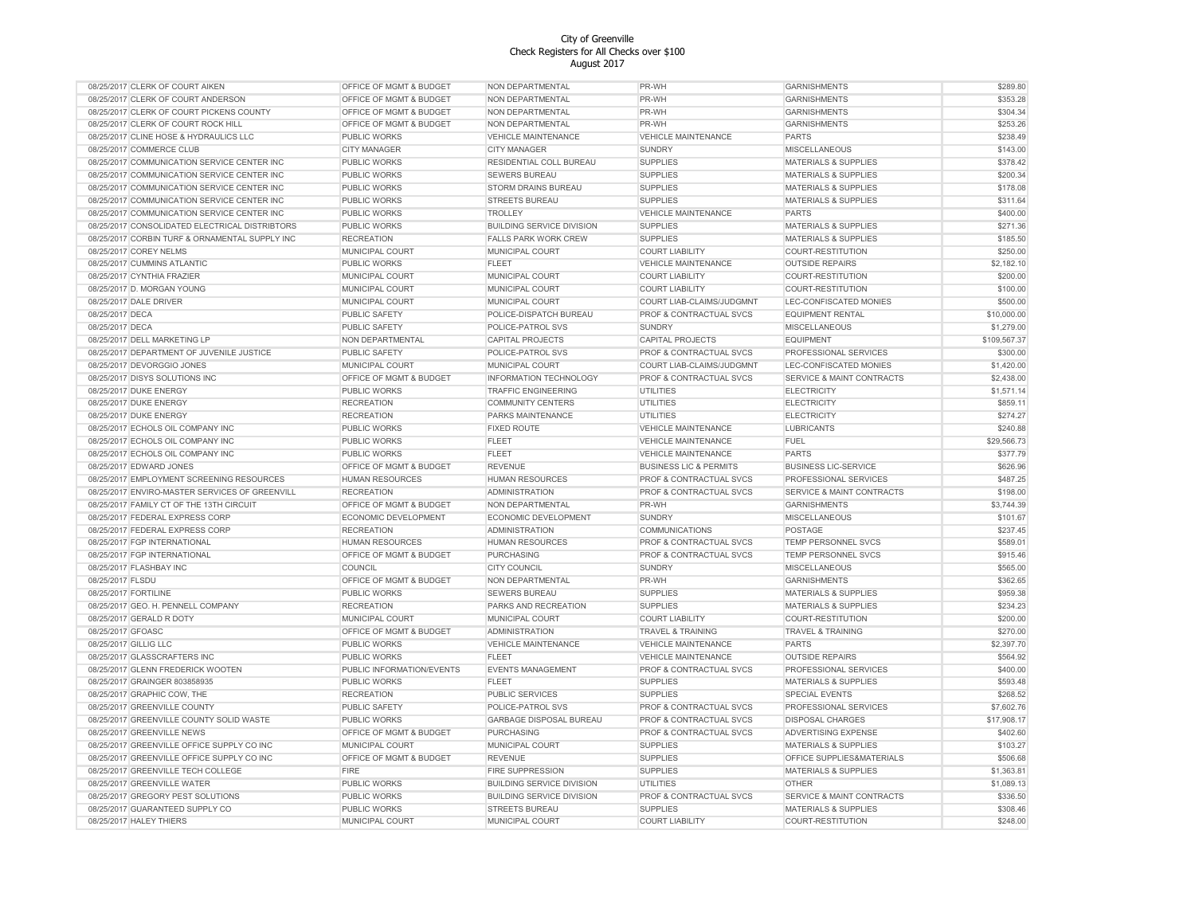| 08/25/2017 CLERK OF COURT AIKEN                | OFFICE OF MGMT & BUDGET   | NON DEPARTMENTAL                 | PR-WH                              | <b>GARNISHMENTS</b>                  | \$289.80     |
|------------------------------------------------|---------------------------|----------------------------------|------------------------------------|--------------------------------------|--------------|
| 08/25/2017 CLERK OF COURT ANDERSON             | OFFICE OF MGMT & BUDGET   | NON DEPARTMENTAL                 | PR-WH                              | <b>GARNISHMENTS</b>                  | \$353.28     |
| 08/25/2017 CLERK OF COURT PICKENS COUNTY       | OFFICE OF MGMT & BUDGET   | NON DEPARTMENTAL                 | PR-WH                              | <b>GARNISHMENTS</b>                  | \$304.34     |
| 08/25/2017 CLERK OF COURT ROCK HILL            | OFFICE OF MGMT & BUDGET   | NON DEPARTMENTAL                 | PR-WH                              | <b>GARNISHMENTS</b>                  | \$253.26     |
| 08/25/2017 CLINE HOSE & HYDRAULICS LLC         | PUBLIC WORKS              | <b>VEHICLE MAINTENANCE</b>       | <b>VEHICLE MAINTENANCE</b>         | <b>PARTS</b>                         | \$238.49     |
| 08/25/2017 COMMERCE CLUB                       | CITY MANAGER              | <b>CITY MANAGER</b>              | <b>SUNDRY</b>                      | <b>MISCELLANEOUS</b>                 | \$143.00     |
| 08/25/2017 COMMUNICATION SERVICE CENTER INC    | PUBLIC WORKS              | RESIDENTIAL COLL BUREAU          | <b>SUPPLIES</b>                    | <b>MATERIALS &amp; SUPPLIES</b>      | \$378.42     |
| 08/25/2017 COMMUNICATION SERVICE CENTER INC    | <b>PUBLIC WORKS</b>       | <b>SEWERS BUREAU</b>             | <b>SUPPLIES</b>                    | <b>MATERIALS &amp; SUPPLIES</b>      | \$200.34     |
| 08/25/2017 COMMUNICATION SERVICE CENTER INC    | PUBLIC WORKS              | STORM DRAINS BUREAU              | <b>SUPPLIES</b>                    | <b>MATERIALS &amp; SUPPLIES</b>      | \$178.08     |
| 08/25/2017 COMMUNICATION SERVICE CENTER INC    | PUBLIC WORKS              | STREETS BUREAU                   | <b>SUPPLIES</b>                    | <b>MATERIALS &amp; SUPPLIES</b>      | \$311.64     |
| 08/25/2017 COMMUNICATION SERVICE CENTER INC    | PUBLIC WORKS              | TROLLEY                          | <b>VEHICLE MAINTENANCE</b>         | <b>PARTS</b>                         | \$400.00     |
| 08/25/2017 CONSOLIDATED ELECTRICAL DISTRIBTORS | <b>PUBLIC WORKS</b>       | <b>BUILDING SERVICE DIVISION</b> | <b>SUPPLIES</b>                    | <b>MATERIALS &amp; SUPPLIES</b>      | \$271.36     |
| 08/25/2017 CORBIN TURF & ORNAMENTAL SUPPLY INC | <b>RECREATION</b>         | <b>FALLS PARK WORK CREW</b>      | <b>SUPPLIES</b>                    | <b>MATERIALS &amp; SUPPLIES</b>      | \$185.50     |
| 08/25/2017 COREY NELMS                         |                           | MUNICIPAL COURT                  | <b>COURT LIABILITY</b>             | COURT-RESTITUTION                    | \$250.00     |
|                                                | MUNICIPAL COURT           |                                  |                                    |                                      |              |
| 08/25/2017 CUMMINS ATLANTIC                    | PUBLIC WORKS              | <b>FLEET</b>                     | <b>VEHICLE MAINTENANCE</b>         | <b>OUTSIDE REPAIRS</b>               | \$2,182.10   |
| 08/25/2017 CYNTHIA FRAZIER                     | MUNICIPAL COURT           | MUNICIPAL COURT                  | <b>COURT LIABILITY</b>             | COURT-RESTITUTION                    | \$200.00     |
| 08/25/2017 D. MORGAN YOUNG                     | MUNICIPAL COURT           | MUNICIPAL COURT                  | <b>COURT LIABILITY</b>             | COURT-RESTITUTION                    | \$100.00     |
| 08/25/2017 DALE DRIVER                         | MUNICIPAL COURT           | MUNICIPAL COURT                  | COURT LIAB-CLAIMS/JUDGMNT          | LEC-CONFISCATED MONIES               | \$500.00     |
| 08/25/2017 DECA                                | PUBLIC SAFETY             | POLICE-DISPATCH BUREAU           | PROF & CONTRACTUAL SVCS            | <b>EQUIPMENT RENTAL</b>              | \$10,000.00  |
| 08/25/2017 DECA                                | PUBLIC SAFETY             | POLICE-PATROL SVS                | <b>SUNDRY</b>                      | MISCELLANEOUS                        | \$1,279.00   |
| 08/25/2017 DELL MARKETING LP                   | NON DEPARTMENTAL          | CAPITAL PROJECTS                 | <b>CAPITAL PROJECTS</b>            | <b>EQUIPMENT</b>                     | \$109,567.37 |
| 08/25/2017 DEPARTMENT OF JUVENILE JUSTICE      | PUBLIC SAFETY             | POLICE-PATROL SVS                | PROF & CONTRACTUAL SVCS            | PROFESSIONAL SERVICES                | \$300.00     |
| 08/25/2017 DEVORGGIO JONES                     | MUNICIPAL COURT           | MUNICIPAL COURT                  | COURT LIAB-CLAIMS/JUDGMNT          | LEC-CONFISCATED MONIES               | \$1,420.00   |
| 08/25/2017 DISYS SOLUTIONS INC                 | OFFICE OF MGMT & BUDGET   | <b>INFORMATION TECHNOLOGY</b>    | PROF & CONTRACTUAL SVCS            | SERVICE & MAINT CONTRACTS            | \$2,438.00   |
| 08/25/2017 DUKE ENERGY                         | PUBLIC WORKS              | <b>TRAFFIC ENGINEERING</b>       | UTILITIES                          | <b>ELECTRICITY</b>                   | \$1,571.14   |
| 08/25/2017 DUKE ENERGY                         | <b>RECREATION</b>         | <b>COMMUNITY CENTERS</b>         | <b>UTILITIES</b>                   | <b>ELECTRICITY</b>                   | \$859.11     |
| 08/25/2017 DUKE ENERGY                         | <b>RECREATION</b>         | PARKS MAINTENANCE                | <b>UTILITIES</b>                   | ELECTRICITY                          | \$274.27     |
| 08/25/2017 ECHOLS OIL COMPANY INC              | PUBLIC WORKS              | <b>FIXED ROUTE</b>               | <b>VEHICLE MAINTENANCE</b>         | <b>LUBRICANTS</b>                    | \$240.88     |
| 08/25/2017 ECHOLS OIL COMPANY INC              | PUBLIC WORKS              | <b>FLEET</b>                     | <b>VEHICLE MAINTENANCE</b>         | <b>FUEL</b>                          | \$29,566.73  |
| 08/25/2017 ECHOLS OIL COMPANY INC              | PUBLIC WORKS              | <b>FLEET</b>                     | <b>VEHICLE MAINTENANCE</b>         | <b>PARTS</b>                         | \$377.79     |
| 08/25/2017 EDWARD JONES                        | OFFICE OF MGMT & BUDGET   | <b>REVENUE</b>                   | <b>BUSINESS LIC &amp; PERMITS</b>  | <b>BUSINESS LIC-SERVICE</b>          | \$626.96     |
| 08/25/2017 EMPLOYMENT SCREENING RESOURCES      | <b>HUMAN RESOURCES</b>    | <b>HUMAN RESOURCES</b>           | PROF & CONTRACTUAL SVCS            | PROFESSIONAL SERVICES                | \$487.25     |
| 08/25/2017 ENVIRO-MASTER SERVICES OF GREENVILL | <b>RECREATION</b>         | <b>ADMINISTRATION</b>            | PROF & CONTRACTUAL SVCS            | <b>SERVICE &amp; MAINT CONTRACTS</b> | \$198.00     |
| 08/25/2017 FAMILY CT OF THE 13TH CIRCUIT       | OFFICE OF MGMT & BUDGET   | NON DEPARTMENTAL                 | PR-WH                              | <b>GARNISHMENTS</b>                  | \$3,744.39   |
| 08/25/2017 FEDERAL EXPRESS CORP                | ECONOMIC DEVELOPMENT      | ECONOMIC DEVELOPMENT             | SUNDRY                             | MISCELLANEOUS                        | \$101.67     |
| 08/25/2017 FEDERAL EXPRESS CORP                | <b>RECREATION</b>         | <b>ADMINISTRATION</b>            | <b>COMMUNICATIONS</b>              | POSTAGE                              | \$237.45     |
| 08/25/2017 FGP INTERNATIONAL                   | <b>HUMAN RESOURCES</b>    | <b>HUMAN RESOURCES</b>           | PROF & CONTRACTUAL SVCS            | <b>TEMP PERSONNEL SVCS</b>           | \$589.01     |
| 08/25/2017 FGP INTERNATIONAL                   | OFFICE OF MGMT & BUDGET   | PURCHASING                       | PROF & CONTRACTUAL SVCS            | TEMP PERSONNEL SVCS                  | \$915.46     |
| 08/25/2017 FLASHBAY INC                        | COUNCIL                   | <b>CITY COUNCIL</b>              | <b>SUNDRY</b>                      | <b>MISCELLANEOUS</b>                 | \$565.00     |
|                                                |                           | NON DEPARTMENTAL                 | PR-WH                              | <b>GARNISHMENTS</b>                  | \$362.65     |
| 08/25/2017 FLSDU                               | OFFICE OF MGMT & BUDGET   |                                  |                                    |                                      |              |
| 08/25/2017 FORTILINE                           | <b>PUBLIC WORKS</b>       | SEWERS BUREAU                    | <b>SUPPLIES</b><br><b>SUPPLIES</b> | <b>MATERIALS &amp; SUPPLIES</b>      | \$959.38     |
| 08/25/2017 GEO. H. PENNELL COMPANY             | <b>RECREATION</b>         | PARKS AND RECREATION             |                                    | <b>MATERIALS &amp; SUPPLIES</b>      | \$234.23     |
| 08/25/2017 GERALD R DOTY                       | MUNICIPAL COURT           | MUNICIPAL COURT                  | <b>COURT LIABILITY</b>             | <b>COURT-RESTITUTION</b>             | \$200.00     |
| 08/25/2017 GFOASC                              | OFFICE OF MGMT & BUDGET   | <b>ADMINISTRATION</b>            | TRAVEL & TRAINING                  | TRAVEL & TRAINING                    | \$270.00     |
| 08/25/2017 GILLIG LLC                          | PUBLIC WORKS              | <b>VEHICLE MAINTENANCE</b>       | <b>VEHICLE MAINTENANCE</b>         | <b>PARTS</b>                         | \$2,397.70   |
| 08/25/2017 GLASSCRAFTERS INC                   | PUBLIC WORKS              | <b>FLEET</b>                     | <b>VEHICLE MAINTENANCE</b>         | <b>OUTSIDE REPAIRS</b>               | \$564.92     |
| 08/25/2017 GLENN FREDERICK WOOTEN              | PUBLIC INFORMATION/EVENTS | <b>EVENTS MANAGEMENT</b>         | PROF & CONTRACTUAL SVCS            | PROFESSIONAL SERVICES                | \$400.00     |
| 08/25/2017 GRAINGER 803858935                  | PUBLIC WORKS              | <b>FLEET</b>                     | <b>SUPPLIES</b>                    | <b>MATERIALS &amp; SUPPLIES</b>      | \$593.48     |
| 08/25/2017 GRAPHIC COW, THE                    | <b>RECREATION</b>         | <b>PUBLIC SERVICES</b>           | <b>SUPPLIES</b>                    | <b>SPECIAL EVENTS</b>                | \$268.52     |
| 08/25/2017 GREENVILLE COUNTY                   | <b>PUBLIC SAFETY</b>      | POLICE-PATROL SVS                | PROF & CONTRACTUAL SVCS            | PROFESSIONAL SERVICES                | \$7,602.76   |
| 08/25/2017 GREENVILLE COUNTY SOLID WASTE       | PUBLIC WORKS              | GARBAGE DISPOSAL BUREAU          | PROF & CONTRACTUAL SVCS            | <b>DISPOSAL CHARGES</b>              | \$17,908.17  |
| 08/25/2017 GREENVILLE NEWS                     | OFFICE OF MGMT & BUDGET   | PURCHASING                       | PROF & CONTRACTUAL SVCS            | ADVERTISING EXPENSE                  | \$402.60     |
| 08/25/2017 GREENVILLE OFFICE SUPPLY CO INC     | MUNICIPAL COURT           | MUNICIPAL COURT                  | <b>SUPPLIES</b>                    | <b>MATERIALS &amp; SUPPLIES</b>      | \$103.27     |
| 08/25/2017 GREENVILLE OFFICE SUPPLY CO INC     | OFFICE OF MGMT & BUDGET   | <b>REVENUE</b>                   | <b>SUPPLIES</b>                    | OFFICE SUPPLIES&MATERIALS            | \$506.68     |
| 08/25/2017 GREENVILLE TECH COLLEGE             | FIRE                      | <b>FIRE SUPPRESSION</b>          | <b>SUPPLIES</b>                    | <b>MATERIALS &amp; SUPPLIES</b>      | \$1,363.81   |
| 08/25/2017 GREENVILLE WATER                    | <b>PUBLIC WORKS</b>       | <b>BUILDING SERVICE DIVISION</b> | UTILITIES                          | OTHER                                | \$1,089.13   |
| 08/25/2017 GREGORY PEST SOLUTIONS              | PUBLIC WORKS              | <b>BUILDING SERVICE DIVISION</b> | PROF & CONTRACTUAL SVCS            | SERVICE & MAINT CONTRACTS            | \$336.50     |
| 08/25/2017 GUARANTEED SUPPLY CO                | <b>PUBLIC WORKS</b>       | <b>STREETS BUREAU</b>            | <b>SUPPLIES</b>                    | <b>MATERIALS &amp; SUPPLIES</b>      | \$308.46     |
| 08/25/2017 HALEY THIERS                        | MUNICIPAL COURT           | MUNICIPAL COURT                  | <b>COURT LIABILITY</b>             | COURT-RESTITUTION                    | \$248.00     |
|                                                |                           |                                  |                                    |                                      |              |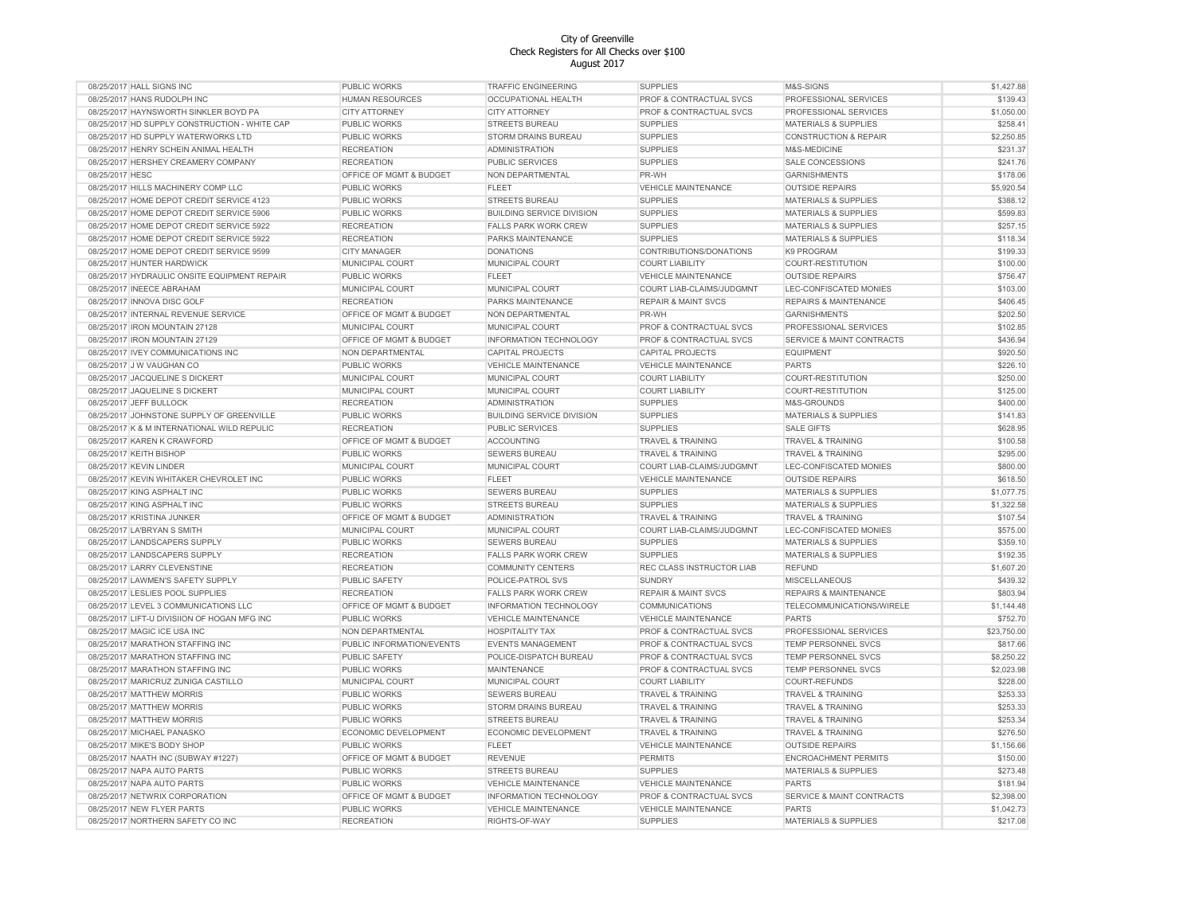| 08/25/2017 HALL SIGNS INC                     | <b>PUBLIC WORKS</b>       | <b>TRAFFIC ENGINEERING</b>       | <b>SUPPLIES</b>                | M&S-SIGNS                            | \$1,427.88  |
|-----------------------------------------------|---------------------------|----------------------------------|--------------------------------|--------------------------------------|-------------|
| 08/25/2017 HANS RUDOLPH INC                   | <b>HUMAN RESOURCES</b>    | OCCUPATIONAL HEALTH              | PROF & CONTRACTUAL SVCS        | PROFESSIONAL SERVICES                | \$139.43    |
| 08/25/2017 HAYNSWORTH SINKLER BOYD PA         | <b>CITY ATTORNEY</b>      | <b>CITY ATTORNEY</b>             | PROF & CONTRACTUAL SVCS        | PROFESSIONAL SERVICES                | \$1,050.00  |
| 08/25/2017 HD SUPPLY CONSTRUCTION - WHITE CAP | PUBLIC WORKS              | <b>STREETS BUREAU</b>            | <b>SUPPLIES</b>                | <b>MATERIALS &amp; SUPPLIES</b>      | \$258.41    |
| 08/25/2017 HD SUPPLY WATERWORKS LTD           | PUBLIC WORKS              | STORM DRAINS BUREAU              | <b>SUPPLIES</b>                | <b>CONSTRUCTION &amp; REPAIR</b>     | \$2,250.85  |
| 08/25/2017 HENRY SCHEIN ANIMAL HEALTH         | <b>RECREATION</b>         | <b>ADMINISTRATION</b>            | <b>SUPPLIES</b>                | M&S-MEDICINE                         | \$231.37    |
| 08/25/2017 HERSHEY CREAMERY COMPANY           | <b>RECREATION</b>         | <b>PUBLIC SERVICES</b>           | <b>SUPPLIES</b>                | <b>SALE CONCESSIONS</b>              | \$241.76    |
| 08/25/2017 HESC                               | OFFICE OF MGMT & BUDGET   | NON DEPARTMENTAL                 | PR-WH                          | <b>GARNISHMENTS</b>                  | \$178.06    |
| 08/25/2017 HILLS MACHINERY COMP LLC           | PUBLIC WORKS              | <b>FLEET</b>                     | <b>VEHICLE MAINTENANCE</b>     | <b>OUTSIDE REPAIRS</b>               | \$5,920.54  |
| 08/25/2017 HOME DEPOT CREDIT SERVICE 4123     | PUBLIC WORKS              | STREETS BUREAU                   | <b>SUPPLIES</b>                | <b>MATERIALS &amp; SUPPLIES</b>      | \$388.12    |
| 08/25/2017 HOME DEPOT CREDIT SERVICE 5906     | PUBLIC WORKS              | <b>BUILDING SERVICE DIVISION</b> | <b>SUPPLIES</b>                | <b>MATERIALS &amp; SUPPLIES</b>      | \$599.83    |
| 08/25/2017 HOME DEPOT CREDIT SERVICE 5922     | <b>RECREATION</b>         | <b>FALLS PARK WORK CREW</b>      | <b>SUPPLIES</b>                | <b>MATERIALS &amp; SUPPLIES</b>      | \$257.15    |
| 08/25/2017 HOME DEPOT CREDIT SERVICE 5922     | <b>RECREATION</b>         | PARKS MAINTENANCE                | <b>SUPPLIES</b>                | <b>MATERIALS &amp; SUPPLIES</b>      | \$118.34    |
| 08/25/2017 HOME DEPOT CREDIT SERVICE 9599     | <b>CITY MANAGER</b>       | <b>DONATIONS</b>                 | CONTRIBUTIONS/DONATIONS        | K9 PROGRAM                           | \$199.33    |
|                                               |                           |                                  |                                |                                      |             |
| 08/25/2017 HUNTER HARDWICK                    | MUNICIPAL COURT           | MUNICIPAL COURT                  | <b>COURT LIABILITY</b>         | COURT-RESTITUTION                    | \$100.00    |
| 08/25/2017 HYDRAULIC ONSITE EQUIPMENT REPAIR  | <b>PUBLIC WORKS</b>       | <b>FLEET</b>                     | <b>VEHICLE MAINTENANCE</b>     | <b>OUTSIDE REPAIRS</b>               | \$756.47    |
| 08/25/2017 INEECE ABRAHAM                     | MUNICIPAL COURT           | MUNICIPAL COURT                  | COURT LIAB-CLAIMS/JUDGMNT      | LEC-CONFISCATED MONIES               | \$103.00    |
| 08/25/2017 INNOVA DISC GOLF                   | <b>RECREATION</b>         | PARKS MAINTENANCE                | <b>REPAIR &amp; MAINT SVCS</b> | <b>REPAIRS &amp; MAINTENANCE</b>     | \$406.45    |
| 08/25/2017 INTERNAL REVENUE SERVICE           | OFFICE OF MGMT & BUDGET   | NON DEPARTMENTAL                 | PR-WH                          | <b>GARNISHMENTS</b>                  | \$202.50    |
| 08/25/2017 IRON MOUNTAIN 27128                | MUNICIPAL COURT           | MUNICIPAL COURT                  | PROF & CONTRACTUAL SVCS        | PROFESSIONAL SERVICES                | \$102.85    |
| 08/25/2017 IRON MOUNTAIN 27129                | OFFICE OF MGMT & BUDGET   | INFORMATION TECHNOLOGY           | PROF & CONTRACTUAL SVCS        | SERVICE & MAINT CONTRACTS            | \$436.94    |
| 08/25/2017 IVEY COMMUNICATIONS INC            | NON DEPARTMENTAL          | <b>CAPITAL PROJECTS</b>          | CAPITAL PROJECTS               | <b>EQUIPMENT</b>                     | \$920.50    |
| 08/25/2017 J W VAUGHAN CO                     | <b>PUBLIC WORKS</b>       | <b>VEHICLE MAINTENANCE</b>       | <b>VEHICLE MAINTENANCE</b>     | <b>PARTS</b>                         | \$226.10    |
| 08/25/2017 JACQUELINE S DICKERT               | MUNICIPAL COURT           | MUNICIPAL COURT                  | <b>COURT LIABILITY</b>         | COURT-RESTITUTION                    | \$250.00    |
| 08/25/2017 JAQUELINE S DICKERT                | MUNICIPAL COURT           | MUNICIPAL COURT                  | <b>COURT LIABILITY</b>         | COURT-RESTITUTION                    | \$125.00    |
| 08/25/2017 JEFF BULLOCK                       | <b>RECREATION</b>         | <b>ADMINISTRATION</b>            | <b>SUPPLIES</b>                | M&S-GROUNDS                          | \$400.00    |
| 08/25/2017 JOHNSTONE SUPPLY OF GREENVILLE     | PUBLIC WORKS              | <b>BUILDING SERVICE DIVISION</b> | <b>SUPPLIES</b>                | <b>MATERIALS &amp; SUPPLIES</b>      | \$141.83    |
| 08/25/2017 K & M INTERNATIONAL WILD REPULIC   | <b>RECREATION</b>         | PUBLIC SERVICES                  | <b>SUPPLIES</b>                | <b>SALE GIFTS</b>                    | \$628.95    |
| 08/25/2017 KAREN K CRAWFORD                   | OFFICE OF MGMT & BUDGET   | <b>ACCOUNTING</b>                | <b>TRAVEL &amp; TRAINING</b>   | <b>TRAVEL &amp; TRAINING</b>         | \$100.58    |
| 08/25/2017 KEITH BISHOP                       | PUBLIC WORKS              | <b>SEWERS BUREAU</b>             | <b>TRAVEL &amp; TRAINING</b>   | <b>TRAVEL &amp; TRAINING</b>         | \$295.00    |
| 08/25/2017 KEVIN LINDER                       | MUNICIPAL COURT           | MUNICIPAL COURT                  | COURT LIAB-CLAIMS/JUDGMNT      | LEC-CONFISCATED MONIES               | \$800.00    |
| 08/25/2017 KEVIN WHITAKER CHEVROLET INC       | PUBLIC WORKS              | <b>FLEET</b>                     | <b>VEHICLE MAINTENANCE</b>     | <b>OUTSIDE REPAIRS</b>               | \$618.50    |
| 08/25/2017 KING ASPHALT INC                   | <b>PUBLIC WORKS</b>       | <b>SEWERS BUREAU</b>             | <b>SUPPLIES</b>                | <b>MATERIALS &amp; SUPPLIES</b>      | \$1,077.75  |
| 08/25/2017 KING ASPHALT INC                   | <b>PUBLIC WORKS</b>       | <b>STREETS BUREAU</b>            | <b>SUPPLIES</b>                | <b>MATERIALS &amp; SUPPLIES</b>      | \$1,322.58  |
| 08/25/2017 KRISTINA JUNKER                    | OFFICE OF MGMT & BUDGET   | <b>ADMINISTRATION</b>            | <b>TRAVEL &amp; TRAINING</b>   | <b>TRAVEL &amp; TRAINING</b>         | \$107.54    |
| 08/25/2017 LA'BRYAN S SMITH                   | MUNICIPAL COURT           | MUNICIPAL COURT                  | COURT LIAB-CLAIMS/JUDGMNT      | LEC-CONFISCATED MONIES               | \$575.00    |
| 08/25/2017 LANDSCAPERS SUPPLY                 | PUBLIC WORKS              | <b>SEWERS BUREAU</b>             | <b>SUPPLIES</b>                | <b>MATERIALS &amp; SUPPLIES</b>      | \$359.10    |
| 08/25/2017 LANDSCAPERS SUPPLY                 | <b>RECREATION</b>         | <b>FALLS PARK WORK CREW</b>      | <b>SUPPLIES</b>                | <b>MATERIALS &amp; SUPPLIES</b>      | \$192.35    |
| 08/25/2017 LARRY CLEVENSTINE                  | <b>RECREATION</b>         | <b>COMMUNITY CENTERS</b>         | REC CLASS INSTRUCTOR LIAB      | <b>REFUND</b>                        | \$1,607.20  |
| 08/25/2017 LAWMEN'S SAFETY SUPPLY             | PUBLIC SAFETY             | POLICE-PATROL SVS                | <b>SUNDRY</b>                  | <b>MISCELLANEOUS</b>                 | \$439.32    |
| 08/25/2017 LESLIES POOL SUPPLIES              | <b>RECREATION</b>         | <b>FALLS PARK WORK CREW</b>      | <b>REPAIR &amp; MAINT SVCS</b> | <b>REPAIRS &amp; MAINTENANCE</b>     | \$803.94    |
| 08/25/2017 LEVEL 3 COMMUNICATIONS LLC         | OFFICE OF MGMT & BUDGET   | INFORMATION TECHNOLOGY           | <b>COMMUNICATIONS</b>          | TELECOMMUNICATIONS/WIRELE            | \$1,144.48  |
| 08/25/2017 LIFT-U DIVISIION OF HOGAN MFG INC  | PUBLIC WORKS              | <b>VEHICLE MAINTENANCE</b>       | <b>VEHICLE MAINTENANCE</b>     | <b>PARTS</b>                         | \$752.70    |
| 08/25/2017 MAGIC ICE USA INC                  | NON DEPARTMENTAL          | <b>HOSPITALITY TAX</b>           | PROF & CONTRACTUAL SVCS        | PROFESSIONAL SERVICES                | \$23,750.00 |
|                                               |                           |                                  | PROF & CONTRACTUAL SVCS        | <b>TEMP PERSONNEL SVCS</b>           |             |
| 08/25/2017 MARATHON STAFFING INC              | PUBLIC INFORMATION/EVENTS | <b>EVENTS MANAGEMENT</b>         |                                |                                      | \$817.66    |
| 08/25/2017 MARATHON STAFFING INC              | PUBLIC SAFETY             | POLICE-DISPATCH BUREAU           | PROF & CONTRACTUAL SVCS        | <b>TEMP PERSONNEL SVCS</b>           | \$8,250.22  |
| 08/25/2017 MARATHON STAFFING INC              | PUBLIC WORKS              | MAINTENANCE                      | PROF & CONTRACTUAL SVCS        | TEMP PERSONNEL SVCS                  | \$2,023.98  |
| 08/25/2017 MARICRUZ ZUNIGA CASTILLO           | MUNICIPAL COURT           | MUNICIPAL COURT                  | <b>COURT LIABILITY</b>         | COURT-REFUNDS                        | \$228.00    |
| 08/25/2017 MATTHEW MORRIS                     | PUBLIC WORKS              | SEWERS BUREAU                    | <b>TRAVEL &amp; TRAINING</b>   | <b>TRAVEL &amp; TRAINING</b>         | \$253.33    |
| 08/25/2017 MATTHEW MORRIS                     | PUBLIC WORKS              | STORM DRAINS BUREAU              | <b>TRAVEL &amp; TRAINING</b>   | TRAVEL & TRAINING                    | \$253.33    |
| 08/25/2017 MATTHEW MORRIS                     | PUBLIC WORKS              | STREETS BUREAU                   | TRAVEL & TRAINING              | <b>TRAVEL &amp; TRAINING</b>         | \$253.34    |
| 08/25/2017 MICHAEL PANASKO                    | ECONOMIC DEVELOPMENT      | ECONOMIC DEVELOPMENT             | TRAVEL & TRAINING              | <b>TRAVEL &amp; TRAINING</b>         | \$276.50    |
| 08/25/2017 MIKE'S BODY SHOP                   | PUBLIC WORKS              | <b>FLEET</b>                     | <b>VEHICLE MAINTENANCE</b>     | <b>OUTSIDE REPAIRS</b>               | \$1,156.66  |
| 08/25/2017 NAATH INC (SUBWAY #1227)           | OFFICE OF MGMT & BUDGET   | <b>REVENUE</b>                   | <b>PERMITS</b>                 | <b>ENCROACHMENT PERMITS</b>          | \$150.00    |
| 08/25/2017 NAPA AUTO PARTS                    | <b>PUBLIC WORKS</b>       | <b>STREETS BUREAU</b>            | <b>SUPPLIES</b>                | MATERIALS & SUPPLIES                 | \$273.48    |
| 08/25/2017 NAPA AUTO PARTS                    | <b>PUBLIC WORKS</b>       | <b>VEHICLE MAINTENANCE</b>       | <b>VEHICLE MAINTENANCE</b>     | <b>PARTS</b>                         | \$181.94    |
| 08/25/2017 NETWRIX CORPORATION                | OFFICE OF MGMT & BUDGET   | <b>INFORMATION TECHNOLOGY</b>    | PROF & CONTRACTUAL SVCS        | <b>SERVICE &amp; MAINT CONTRACTS</b> | \$2,398.00  |
| 08/25/2017 NEW FLYER PARTS                    | PUBLIC WORKS              | <b>VEHICLE MAINTENANCE</b>       | <b>VEHICLE MAINTENANCE</b>     | <b>PARTS</b>                         | \$1,042.73  |
| 08/25/2017 NORTHERN SAFETY CO INC             | <b>RECREATION</b>         | RIGHTS-OF-WAY                    | <b>SUPPLIES</b>                | <b>MATERIALS &amp; SUPPLIES</b>      | \$217.08    |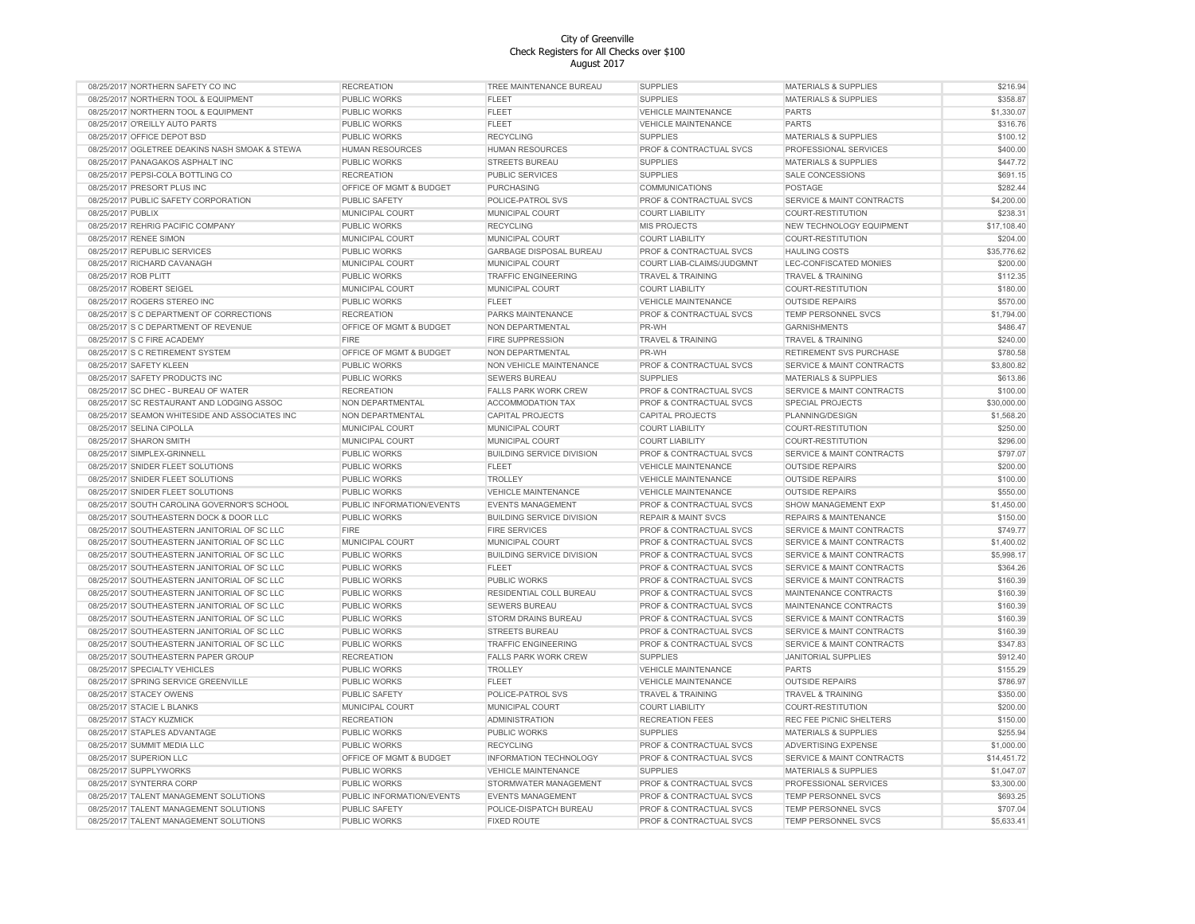|                                                          |                           | August 2017                      |                                           |                                                            |                      |
|----------------------------------------------------------|---------------------------|----------------------------------|-------------------------------------------|------------------------------------------------------------|----------------------|
| 08/25/2017 NORTHERN SAFETY CO INC                        | <b>RECREATION</b>         | TREE MAINTENANCE BUREAU          | <b>SUPPLIES</b>                           | <b>MATERIALS &amp; SUPPLIES</b>                            | \$216.94             |
| 08/25/2017 NORTHERN TOOL & EQUIPMENT                     | PUBLIC WORKS              | <b>FLEET</b>                     | <b>SUPPLIES</b>                           | <b>MATERIALS &amp; SUPPLIES</b>                            | \$358.87             |
| 08/25/2017 NORTHERN TOOL & EQUIPMENT                     | PUBLIC WORKS              | <b>FLEET</b>                     | <b>VEHICLE MAINTENANCE</b>                | <b>PARTS</b>                                               | \$1,330.07           |
| 08/25/2017 O'REILLY AUTO PARTS                           | PUBLIC WORKS              | <b>FLEET</b>                     | VEHICLE MAINTENANCE                       | <b>PARTS</b>                                               | \$316.76             |
| 08/25/2017 OFFICE DEPOT BSD                              | PUBLIC WORKS              | <b>RECYCLING</b>                 | <b>SUPPLIES</b>                           | <b>MATERIALS &amp; SUPPLIES</b>                            | \$100.12             |
| 08/25/2017 OGLETREE DEAKINS NASH SMOAK & STEWA           | <b>HUMAN RESOURCES</b>    | <b>HUMAN RESOURCES</b>           | <b>PROF &amp; CONTRACTUAL SVCS</b>        | PROFESSIONAL SERVICES                                      | \$400.00             |
| 08/25/2017 PANAGAKOS ASPHALT INC                         | PUBLIC WORKS              | <b>STREETS BUREAU</b>            | <b>SUPPLIES</b>                           | <b>MATERIALS &amp; SUPPLIES</b>                            | \$447.72             |
| 08/25/2017 PEPSI-COLA BOTTLING CO                        | <b>RECREATION</b>         | <b>PUBLIC SERVICES</b>           | <b>SUPPLIES</b>                           | <b>SALE CONCESSIONS</b>                                    | \$691.15             |
| 08/25/2017 PRESORT PLUS INC                              | OFFICE OF MGMT & BUDGET   | PURCHASING                       | <b>COMMUNICATIONS</b>                     | POSTAGE                                                    | \$282.44             |
| 08/25/2017 PUBLIC SAFETY CORPORATION                     | <b>PUBLIC SAFETY</b>      | POLICE-PATROL SVS                | PROF & CONTRACTUAL SVCS                   | SERVICE & MAINT CONTRACTS                                  | \$4,200.00           |
| 08/25/2017 PUBLIX                                        | MUNICIPAL COURT           | MUNICIPAL COURT                  | <b>COURT LIABILITY</b>                    | COURT-RESTITUTION                                          | \$238.31             |
| 08/25/2017 REHRIG PACIFIC COMPANY                        | PUBLIC WORKS              | <b>RECYCLING</b>                 | MIS PROJECTS                              | NEW TECHNOLOGY EQUIPMENT                                   | \$17,108.40          |
| 08/25/2017 RENEE SIMON                                   | MUNICIPAL COURT           | MUNICIPAL COURT                  | <b>COURT LIABILITY</b>                    | COURT-RESTITUTION                                          | \$204.00             |
| 08/25/2017 REPUBLIC SERVICES                             | PUBLIC WORKS              | <b>GARBAGE DISPOSAL BUREAU</b>   | PROF & CONTRACTUAL SVCS                   | <b>HAULING COSTS</b>                                       | \$35,776.62          |
| 08/25/2017 RICHARD CAVANAGH                              | MUNICIPAL COURT           | MUNICIPAL COURT                  | COURT LIAB-CLAIMS/JUDGMNT                 | LEC-CONFISCATED MONIES                                     | \$200.00             |
| 08/25/2017 ROB PLITT                                     | PUBLIC WORKS              | <b>TRAFFIC ENGINEERING</b>       | <b>TRAVEL &amp; TRAINING</b>              | TRAVEL & TRAINING                                          | \$112.35             |
| 08/25/2017 ROBERT SEIGEL                                 | MUNICIPAL COURT           | MUNICIPAL COURT                  | COURT LIABILITY                           | <b>COURT-RESTITUTION</b>                                   | \$180.00             |
| 08/25/2017 ROGERS STEREO INC                             | <b>PUBLIC WORKS</b>       | <b>FLEET</b>                     | <b>VEHICLE MAINTENANCE</b>                | <b>OUTSIDE REPAIRS</b>                                     | \$570.00             |
| 08/25/2017 S C DEPARTMENT OF CORRECTIONS                 | <b>RECREATION</b>         | PARKS MAINTENANCE                | PROF & CONTRACTUAL SVCS                   | TEMP PERSONNEL SVCS                                        | \$1,794.00           |
| 08/25/2017 S C DEPARTMENT OF REVENUE                     | OFFICE OF MGMT & BUDGET   | NON DEPARTMENTAL                 | PR-WH                                     | <b>GARNISHMENTS</b>                                        | \$486.47             |
| 08/25/2017 S C FIRE ACADEMY                              | FIRE                      | FIRE SUPPRESSION                 | <b>TRAVEL &amp; TRAINING</b>              | <b>TRAVEL &amp; TRAINING</b>                               | \$240.00             |
| 08/25/2017 S C RETIREMENT SYSTEM                         | OFFICE OF MGMT & BUDGET   | NON DEPARTMENTAL                 | PR-WH                                     | <b>RETIREMENT SVS PURCHASE</b>                             | \$780.58             |
| 08/25/2017 SAFETY KLEEN                                  | PUBLIC WORKS              | NON VEHICLE MAINTENANCE          | PROF & CONTRACTUAL SVCS                   | SERVICE & MAINT CONTRACTS                                  | \$3,800.82           |
| 08/25/2017 SAFETY PRODUCTS INC                           | PUBLIC WORKS              | <b>SEWERS BUREAU</b>             | <b>SUPPLIES</b>                           | <b>MATERIALS &amp; SUPPLIES</b>                            | \$613.86             |
| 08/25/2017 SC DHEC - BUREAU OF WATER                     | <b>RECREATION</b>         | <b>FALLS PARK WORK CREW</b>      | <b>PROF &amp; CONTRACTUAL SVCS</b>        | SERVICE & MAINT CONTRACTS                                  | \$100.00             |
| 08/25/2017 SC RESTAURANT AND LODGING ASSOC               | NON DEPARTMENTAL          | ACCOMMODATION TAX                | PROF & CONTRACTUAL SVCS                   | SPECIAL PROJECTS                                           | \$30,000.00          |
| 08/25/2017 SEAMON WHITESIDE AND ASSOCIATES INC           | NON DEPARTMENTAL          | <b>CAPITAL PROJECTS</b>          | <b>CAPITAL PROJECTS</b>                   | PLANNING/DESIGN                                            | \$1,568.20           |
| 08/25/2017 SELINA CIPOLLA                                | MUNICIPAL COURT           | MUNICIPAL COURT                  | <b>COURT LIABILITY</b>                    | COURT-RESTITUTION                                          | \$250.00             |
| 08/25/2017 SHARON SMITH                                  | MUNICIPAL COURT           | MUNICIPAL COURT                  | COURT LIABILITY                           | COURT-RESTITUTION                                          | \$296.00             |
| 08/25/2017 SIMPLEX-GRINNELL                              | PUBLIC WORKS              | <b>BUILDING SERVICE DIVISION</b> | <b>PROF &amp; CONTRACTUAL SVCS</b>        | <b>SERVICE &amp; MAINT CONTRACTS</b>                       | \$797.07             |
| 08/25/2017 SNIDER FLEET SOLUTIONS                        | PUBLIC WORKS              | <b>FLEET</b>                     | <b>VEHICLE MAINTENANCE</b>                | <b>OUTSIDE REPAIRS</b>                                     | \$200.00             |
| 08/25/2017 SNIDER FLEET SOLUTIONS                        | PUBLIC WORKS              | <b>TROLLEY</b>                   | <b>VEHICLE MAINTENANCE</b>                | <b>OUTSIDE REPAIRS</b>                                     | \$100.00             |
| 08/25/2017 SNIDER FLEET SOLUTIONS                        | PUBLIC WORKS              | <b>VEHICLE MAINTENANCE</b>       | <b>VEHICLE MAINTENANCE</b>                | <b>OUTSIDE REPAIRS</b>                                     | \$550.00             |
| 08/25/2017 SOUTH CAROLINA GOVERNOR'S SCHOOL              | PUBLIC INFORMATION/EVENTS | <b>EVENTS MANAGEMENT</b>         | PROF & CONTRACTUAL SVCS                   | SHOW MANAGEMENT EXP                                        | \$1,450.00           |
| 08/25/2017 SOUTHEASTERN DOCK & DOOR LLC                  | <b>PUBLIC WORKS</b>       | <b>BUILDING SERVICE DIVISION</b> | <b>REPAIR &amp; MAINT SVCS</b>            | <b>REPAIRS &amp; MAINTENANCE</b>                           | \$150.00             |
| 08/25/2017 SOUTHEASTERN JANITORIAL OF SC LLC             | <b>FIRE</b>               | <b>FIRE SERVICES</b>             | PROF & CONTRACTUAL SVCS                   | <b>SERVICE &amp; MAINT CONTRACTS</b>                       | \$749.77             |
| 08/25/2017 SOUTHEASTERN JANITORIAL OF SC LLC             | MUNICIPAL COURT           | <b>MUNICIPAL COURT</b>           | PROF & CONTRACTUAL SVCS                   | <b>SERVICE &amp; MAINT CONTRACTS</b>                       | \$1,400.02           |
| 08/25/2017 SOUTHEASTERN JANITORIAL OF SC LLC             | PUBLIC WORKS              | <b>BUILDING SERVICE DIVISION</b> | PROF & CONTRACTUAL SVCS                   | SERVICE & MAINT CONTRACTS                                  | \$5,998.17           |
| 08/25/2017 SOUTHEASTERN JANITORIAL OF SC LLC             | PUBLIC WORKS              | <b>FLEET</b>                     | PROF & CONTRACTUAL SVCS                   | SERVICE & MAINT CONTRACTS                                  | \$364.26             |
| 08/25/2017 SOUTHEASTERN JANITORIAL OF SC LLC             | PUBLIC WORKS              | PUBLIC WORKS                     | <b>PROF &amp; CONTRACTUAL SVCS</b>        | SERVICE & MAINT CONTRACTS                                  | \$160.39             |
| 08/25/2017 SOUTHEASTERN JANITORIAL OF SC LLC             | PUBLIC WORKS              | RESIDENTIAL COLL BUREAU          | PROF & CONTRACTUAL SVCS                   | MAINTENANCE CONTRACTS                                      | \$160.39             |
| 08/25/2017 SOUTHEASTERN JANITORIAL OF SC LLC             | PUBLIC WORKS              | <b>SEWERS BUREAU</b>             | PROF & CONTRACTUAL SVCS                   | MAINTENANCE CONTRACTS                                      | \$160.39             |
| 08/25/2017 SOUTHEASTERN JANITORIAL OF SC LLC             | PUBLIC WORKS              | STORM DRAINS BUREAU              | PROF & CONTRACTUAL SVCS                   | SERVICE & MAINT CONTRACTS                                  | \$160.39             |
| 08/25/2017 SOUTHEASTERN JANITORIAL OF SC LLC             | PUBLIC WORKS              | <b>STREETS BUREAU</b>            | PROF & CONTRACTUAL SVCS                   | <b>SERVICE &amp; MAINT CONTRACTS</b>                       | \$160.39             |
| 08/25/2017 SOUTHEASTERN JANITORIAL OF SC LLC             | PUBLIC WORKS              | <b>TRAFFIC ENGINEERING</b>       | PROF & CONTRACTUAL SVCS                   | SERVICE & MAINT CONTRACTS                                  | \$347.83             |
| 08/25/2017 SOUTHEASTERN PAPER GROUP                      | <b>RECREATION</b>         | <b>FALLS PARK WORK CREW</b>      | <b>SUPPLIES</b>                           | JANITORIAL SUPPLIES                                        | \$912.40             |
| 08/25/2017 SPECIALTY VEHICLES                            | PUBLIC WORKS              | <b>TROLLEY</b>                   | <b>VEHICLE MAINTENANCE</b>                | <b>PARTS</b>                                               | \$155.29             |
| 08/25/2017 SPRING SERVICE GREENVILLE                     | PUBLIC WORKS              | <b>FLEET</b>                     | <b>VEHICLE MAINTENANCE</b>                | <b>OUTSIDE REPAIRS</b>                                     | \$786.97             |
| 08/25/2017 STACEY OWENS                                  | PUBLIC SAFETY             | POLICE-PATROL SVS                | <b>TRAVEL &amp; TRAINING</b>              | <b>TRAVEL &amp; TRAINING</b>                               | \$350.00             |
|                                                          |                           |                                  |                                           |                                                            |                      |
| 08/25/2017 STACIE L BLANKS                               | MUNICIPAL COURT           | MUNICIPAL COURT                  | <b>COURT LIABILITY</b>                    | COURT-RESTITUTION                                          | \$200.00             |
| 08/25/2017 STACY KUZMICK<br>08/25/2017 STAPLES ADVANTAGE | <b>RECREATION</b>         | <b>ADMINISTRATION</b>            | <b>RECREATION FEES</b><br><b>SUPPLIES</b> | REC FEE PICNIC SHELTERS<br><b>MATERIALS &amp; SUPPLIES</b> | \$150.00<br>\$255.94 |
|                                                          | PUBLIC WORKS              | PUBLIC WORKS                     |                                           |                                                            |                      |
| 08/25/2017 SUMMIT MEDIA LLC                              | PUBLIC WORKS              | <b>RECYCLING</b>                 | PROF & CONTRACTUAL SVCS                   | <b>ADVERTISING EXPENSE</b>                                 | \$1,000.00           |
| 08/25/2017 SUPERION LLC                                  | OFFICE OF MGMT & BUDGET   | <b>INFORMATION TECHNOLOGY</b>    | <b>PROF &amp; CONTRACTUAL SVCS</b>        | SERVICE & MAINT CONTRACTS                                  | \$14,451.72          |
| 08/25/2017 SUPPLYWORKS                                   | PUBLIC WORKS              | <b>VEHICLE MAINTENANCE</b>       | <b>SUPPLIES</b>                           | <b>MATERIALS &amp; SUPPLIES</b>                            | \$1,047.07           |
| 08/25/2017 SYNTERRA CORP                                 | PUBLIC WORKS              | STORMWATER MANAGEMENT            | <b>PROF &amp; CONTRACTUAL SVCS</b>        | PROFESSIONAL SERVICES                                      | \$3,300.00           |
| 08/25/2017 TALENT MANAGEMENT SOLUTIONS                   | PUBLIC INFORMATION/EVENTS | <b>EVENTS MANAGEMENT</b>         | PROF & CONTRACTUAL SVCS                   | <b>TEMP PERSONNEL SVCS</b>                                 | \$693.25             |
| 08/25/2017 TALENT MANAGEMENT SOLUTIONS                   | <b>PUBLIC SAFETY</b>      | POLICE-DISPATCH BUREAU           | PROF & CONTRACTUAL SVCS                   | TEMP PERSONNEL SVCS                                        | \$707.04             |
| 08/25/2017 TALENT MANAGEMENT SOLUTIONS                   | PUBLIC WORKS              | <b>FIXED ROUTE</b>               | PROF & CONTRACTUAL SVCS                   | TEMP PERSONNEL SVCS                                        | \$5,633.41           |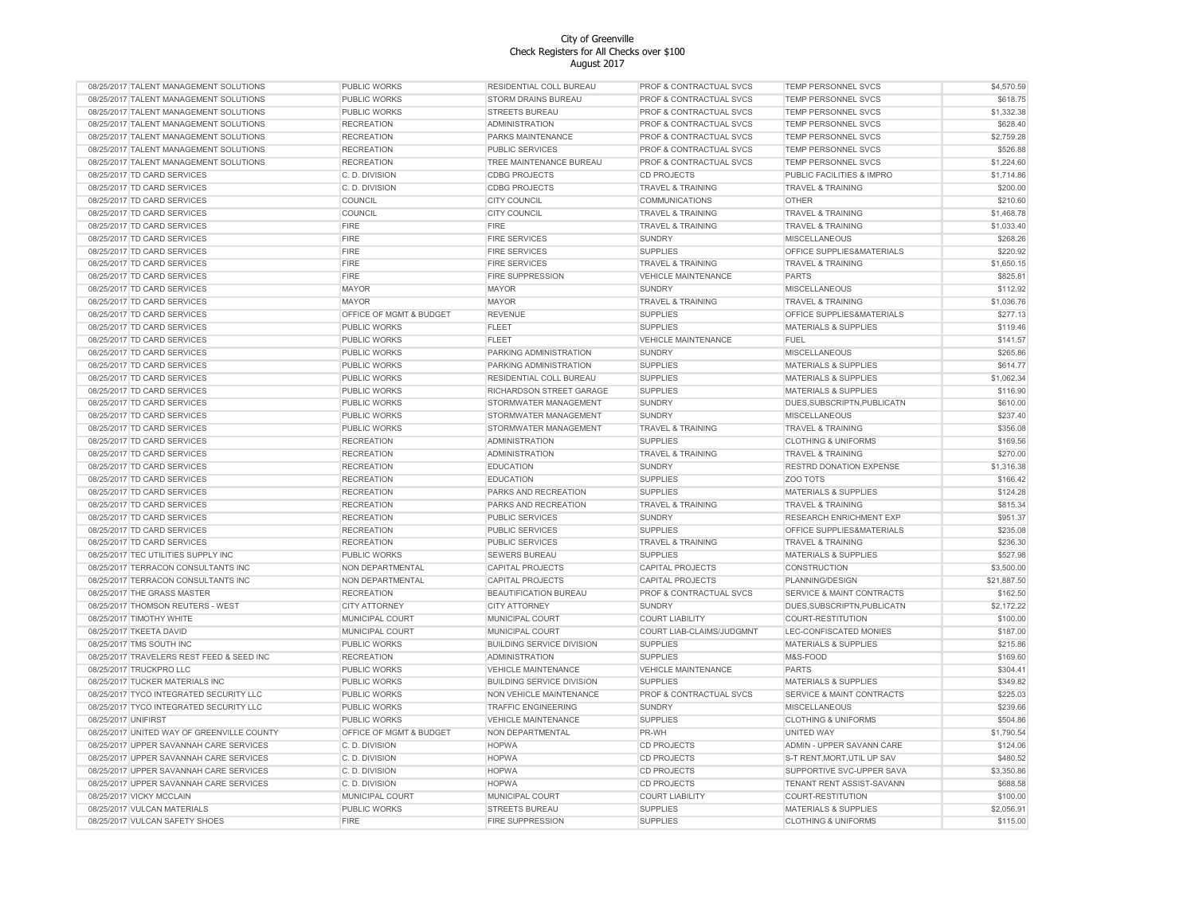| 08/25/2017 TALENT MANAGEMENT SOLUTIONS     | PUBLIC WORKS            | RESIDENTIAL COLL BUREAU          | PROF & CONTRACTUAL SVCS      | TEMP PERSONNEL SVCS                  | \$4,570.59  |
|--------------------------------------------|-------------------------|----------------------------------|------------------------------|--------------------------------------|-------------|
| 08/25/2017 TALENT MANAGEMENT SOLUTIONS     | PUBLIC WORKS            | STORM DRAINS BUREAU              | PROF & CONTRACTUAL SVCS      | <b>TEMP PERSONNEL SVCS</b>           | \$618.75    |
| 08/25/2017 TALENT MANAGEMENT SOLUTIONS     | PUBLIC WORKS            | <b>STREETS BUREAU</b>            | PROF & CONTRACTUAL SVCS      | <b>TEMP PERSONNEL SVCS</b>           | \$1,332.38  |
| 08/25/2017 TALENT MANAGEMENT SOLUTIONS     | <b>RECREATION</b>       | <b>ADMINISTRATION</b>            | PROF & CONTRACTUAL SVCS      | TEMP PERSONNEL SVCS                  | \$628.40    |
| 08/25/2017 TALENT MANAGEMENT SOLUTIONS     | <b>RECREATION</b>       | PARKS MAINTENANCE                | PROF & CONTRACTUAL SVCS      | <b>TEMP PERSONNEL SVCS</b>           | \$2,759.28  |
| 08/25/2017 TALENT MANAGEMENT SOLUTIONS     | <b>RECREATION</b>       | <b>PUBLIC SERVICES</b>           | PROF & CONTRACTUAL SVCS      | TEMP PERSONNEL SVCS                  | \$526.88    |
| 08/25/2017 TALENT MANAGEMENT SOLUTIONS     | <b>RECREATION</b>       | TREE MAINTENANCE BUREAU          | PROF & CONTRACTUAL SVCS      | <b>TEMP PERSONNEL SVCS</b>           | \$1,224.60  |
| 08/25/2017 TD CARD SERVICES                | C. D. DIVISION          | <b>CDBG PROJECTS</b>             | <b>CD PROJECTS</b>           | PUBLIC FACILITIES & IMPRO            | \$1,714.86  |
| 08/25/2017 TD CARD SERVICES                | C. D. DIVISION          | <b>CDBG PROJECTS</b>             | <b>TRAVEL &amp; TRAINING</b> | <b>TRAVEL &amp; TRAINING</b>         | \$200.00    |
| 08/25/2017 TD CARD SERVICES                | COUNCIL                 | <b>CITY COUNCIL</b>              | <b>COMMUNICATIONS</b>        | <b>OTHER</b>                         | \$210.60    |
| 08/25/2017 TD CARD SERVICES                | COUNCIL                 | <b>CITY COUNCIL</b>              | <b>TRAVEL &amp; TRAINING</b> | <b>TRAVEL &amp; TRAINING</b>         | \$1,468.78  |
| 08/25/2017 TD CARD SERVICES                | <b>FIRE</b>             | <b>FIRE</b>                      | <b>TRAVEL &amp; TRAINING</b> | <b>TRAVEL &amp; TRAINING</b>         | \$1,033.40  |
| 08/25/2017 TD CARD SERVICES                | <b>FIRE</b>             | <b>FIRE SERVICES</b>             |                              | <b>MISCELLANEOUS</b>                 | \$268.26    |
|                                            | <b>FIRE</b>             | <b>FIRE SERVICES</b>             | SUNDRY                       | OFFICE SUPPLIES&MATERIALS            | \$220.92    |
| 08/25/2017 TD CARD SERVICES                |                         |                                  | <b>SUPPLIES</b>              |                                      |             |
| 08/25/2017 TD CARD SERVICES                | <b>FIRE</b>             | <b>FIRE SERVICES</b>             | <b>TRAVEL &amp; TRAINING</b> | <b>TRAVEL &amp; TRAINING</b>         | \$1,650.15  |
| 08/25/2017 TD CARD SERVICES                | <b>FIRE</b>             | FIRE SUPPRESSION                 | <b>VEHICLE MAINTENANCE</b>   | <b>PARTS</b>                         | \$825.81    |
| 08/25/2017 TD CARD SERVICES                | <b>MAYOR</b>            | <b>MAYOR</b>                     | SUNDRY                       | MISCELLANEOUS                        | \$112.92    |
| 08/25/2017 TD CARD SERVICES                | <b>MAYOR</b>            | <b>MAYOR</b>                     | TRAVEL & TRAINING            | <b>TRAVEL &amp; TRAINING</b>         | \$1,036.76  |
| 08/25/2017 TD CARD SERVICES                | OFFICE OF MGMT & BUDGET | <b>REVENUE</b>                   | <b>SUPPLIES</b>              | OFFICE SUPPLIES&MATERIALS            | \$277.13    |
| 08/25/2017 TD CARD SERVICES                | <b>PUBLIC WORKS</b>     | FLEET                            | <b>SUPPLIES</b>              | MATERIALS & SUPPLIES                 | \$119.46    |
| 08/25/2017 TD CARD SERVICES                | <b>PUBLIC WORKS</b>     | <b>FLEET</b>                     | <b>VEHICLE MAINTENANCE</b>   | <b>FUEL</b>                          | \$141.57    |
| 08/25/2017 TD CARD SERVICES                | PUBLIC WORKS            | PARKING ADMINISTRATION           | <b>SUNDRY</b>                | <b>MISCELLANEOUS</b>                 | \$265.86    |
| 08/25/2017 TD CARD SERVICES                | PUBLIC WORKS            | PARKING ADMINISTRATION           | <b>SUPPLIES</b>              | <b>MATERIALS &amp; SUPPLIES</b>      | \$614.77    |
| 08/25/2017 TD CARD SERVICES                | PUBLIC WORKS            | RESIDENTIAL COLL BUREAU          | <b>SUPPLIES</b>              | <b>MATERIALS &amp; SUPPLIES</b>      | \$1,062.34  |
| 08/25/2017 TD CARD SERVICES                | PUBLIC WORKS            | RICHARDSON STREET GARAGE         | <b>SUPPLIES</b>              | <b>MATERIALS &amp; SUPPLIES</b>      | \$116.90    |
| 08/25/2017 TD CARD SERVICES                | PUBLIC WORKS            | STORMWATER MANAGEMENT            | SUNDRY                       | DUES, SUBSCRIPTN, PUBLICATN          | \$610.00    |
| 08/25/2017 TD CARD SERVICES                | PUBLIC WORKS            | STORMWATER MANAGEMENT            | <b>SUNDRY</b>                | <b>MISCELLANEOUS</b>                 | \$237.40    |
| 08/25/2017 TD CARD SERVICES                | PUBLIC WORKS            | STORMWATER MANAGEMENT            | <b>TRAVEL &amp; TRAINING</b> | <b>TRAVEL &amp; TRAINING</b>         | \$356.08    |
| 08/25/2017 TD CARD SERVICES                | <b>RECREATION</b>       | <b>ADMINISTRATION</b>            | <b>SUPPLIES</b>              | <b>CLOTHING &amp; UNIFORMS</b>       | \$169.56    |
| 08/25/2017 TD CARD SERVICES                | <b>RECREATION</b>       | <b>ADMINISTRATION</b>            | <b>TRAVEL &amp; TRAINING</b> | <b>TRAVEL &amp; TRAINING</b>         | \$270.00    |
| 08/25/2017 TD CARD SERVICES                | <b>RECREATION</b>       | <b>EDUCATION</b>                 | SUNDRY                       | RESTRD DONATION EXPENSE              | \$1,316.38  |
| 08/25/2017 TD CARD SERVICES                | <b>RECREATION</b>       | <b>EDUCATION</b>                 | <b>SUPPLIES</b>              | ZOO TOTS                             | \$166.42    |
|                                            |                         |                                  |                              |                                      |             |
| 08/25/2017 TD CARD SERVICES                | <b>RECREATION</b>       | PARKS AND RECREATION             | <b>SUPPLIES</b>              | MATERIALS & SUPPLIES                 | \$124.28    |
| 08/25/2017 TD CARD SERVICES                | <b>RECREATION</b>       | PARKS AND RECREATION             | <b>TRAVEL &amp; TRAINING</b> | <b>TRAVEL &amp; TRAINING</b>         | \$815.34    |
| 08/25/2017 TD CARD SERVICES                | <b>RECREATION</b>       | PUBLIC SERVICES                  | SUNDRY                       | <b>RESEARCH ENRICHMENT EXP</b>       | \$951.37    |
| 08/25/2017 TD CARD SERVICES                | <b>RECREATION</b>       | <b>PUBLIC SERVICES</b>           | <b>SUPPLIES</b>              | OFFICE SUPPLIES&MATERIALS            | \$235.08    |
| 08/25/2017 TD CARD SERVICES                | <b>RECREATION</b>       | <b>PUBLIC SERVICES</b>           | <b>TRAVEL &amp; TRAINING</b> | <b>TRAVEL &amp; TRAINING</b>         | \$236.30    |
| 08/25/2017 TEC UTILITIES SUPPLY INC        | PUBLIC WORKS            | <b>SEWERS BUREAU</b>             | <b>SUPPLIES</b>              | <b>MATERIALS &amp; SUPPLIES</b>      | \$527.98    |
| 08/25/2017 TERRACON CONSULTANTS INC        | NON DEPARTMENTAL        | <b>CAPITAL PROJECTS</b>          | <b>CAPITAL PROJECTS</b>      | CONSTRUCTION                         | \$3,500.00  |
| 08/25/2017 TERRACON CONSULTANTS INC        | NON DEPARTMENTAL        | <b>CAPITAL PROJECTS</b>          | <b>CAPITAL PROJECTS</b>      | PLANNING/DESIGN                      | \$21,887.50 |
| 08/25/2017 THE GRASS MASTER                | <b>RECREATION</b>       | <b>BEAUTIFICATION BUREAU</b>     | PROF & CONTRACTUAL SVCS      | <b>SERVICE &amp; MAINT CONTRACTS</b> | \$162.50    |
| 08/25/2017 THOMSON REUTERS - WEST          | <b>CITY ATTORNEY</b>    | <b>CITY ATTORNEY</b>             | <b>SUNDRY</b>                | DUES, SUBSCRIPTN, PUBLICATN          | \$2,172.22  |
| 08/25/2017 TIMOTHY WHITE                   | MUNICIPAL COURT         | MUNICIPAL COURT                  | <b>COURT LIABILITY</b>       | COURT-RESTITUTION                    | \$100.00    |
| 08/25/2017 TKEETA DAVID                    | MUNICIPAL COURT         | MUNICIPAL COURT                  | COURT LIAB-CLAIMS/JUDGMNT    | LEC-CONFISCATED MONIES               | \$187.00    |
| 08/25/2017 TMS SOUTH INC                   | PUBLIC WORKS            | <b>BUILDING SERVICE DIVISION</b> | <b>SUPPLIES</b>              | <b>MATERIALS &amp; SUPPLIES</b>      | \$215.86    |
| 08/25/2017 TRAVELERS REST FEED & SEED INC  | <b>RECREATION</b>       | <b>ADMINISTRATION</b>            | <b>SUPPLIES</b>              | M&S-FOOD                             | \$169.60    |
| 08/25/2017 TRUCKPRO LLC                    | PUBLIC WORKS            | <b>VEHICLE MAINTENANCE</b>       | <b>VEHICLE MAINTENANCE</b>   | <b>PARTS</b>                         | \$304.41    |
| 08/25/2017 TUCKER MATERIALS INC            | PUBLIC WORKS            | <b>BUILDING SERVICE DIVISION</b> | <b>SUPPLIES</b>              | <b>MATERIALS &amp; SUPPLIES</b>      | \$349.82    |
| 08/25/2017 TYCO INTEGRATED SECURITY LLC    | PUBLIC WORKS            | NON VEHICLE MAINTENANCE          | PROF & CONTRACTUAL SVCS      | <b>SERVICE &amp; MAINT CONTRACTS</b> | \$225.03    |
| 08/25/2017 TYCO INTEGRATED SECURITY LLC    | PUBLIC WORKS            | <b>TRAFFIC ENGINEERING</b>       | SUNDRY                       | MISCELLANEOUS                        | \$239.66    |
| 08/25/2017 UNIFIRST                        | PUBLIC WORKS            | <b>VEHICLE MAINTENANCE</b>       | <b>SUPPLIES</b>              | <b>CLOTHING &amp; UNIFORMS</b>       | \$504.86    |
| 08/25/2017 UNITED WAY OF GREENVILLE COUNTY | OFFICE OF MGMT & BUDGET |                                  | PR-WH                        | <b>UNITED WAY</b>                    | \$1,790.54  |
|                                            |                         | NON DEPARTMENTAL                 |                              |                                      |             |
| 08/25/2017 UPPER SAVANNAH CARE SERVICES    | C.D. DIVISION           | <b>HOPWA</b>                     | <b>CD PROJECTS</b>           | ADMIN - UPPER SAVANN CARE            | \$124.06    |
| 08/25/2017 UPPER SAVANNAH CARE SERVICES    | C. D. DIVISION          | <b>HOPWA</b>                     | <b>CD PROJECTS</b>           | S-T RENT, MORT, UTIL UP SAV          | \$480.52    |
| 08/25/2017 UPPER SAVANNAH CARE SERVICES    | C. D. DIVISION          | <b>HOPWA</b>                     | <b>CD PROJECTS</b>           | SUPPORTIVE SVC-UPPER SAVA            | \$3,350.86  |
| 08/25/2017 UPPER SAVANNAH CARE SERVICES    | C. D. DIVISION          | <b>HOPWA</b>                     | <b>CD PROJECTS</b>           | TENANT RENT ASSIST-SAVANN            | \$688.58    |
| 08/25/2017 VICKY MCCLAIN                   | MUNICIPAL COURT         | MUNICIPAL COURT                  | <b>COURT LIABILITY</b>       | COURT-RESTITUTION                    | \$100.00    |
| 08/25/2017 VULCAN MATERIALS                | PUBLIC WORKS            | <b>STREETS BUREAU</b>            | <b>SUPPLIES</b>              | <b>MATERIALS &amp; SUPPLIES</b>      | \$2,056.91  |
| 08/25/2017 VULCAN SAFETY SHOES             | <b>FIRE</b>             | <b>FIRE SUPPRESSION</b>          | <b>SUPPLIES</b>              | <b>CLOTHING &amp; UNIFORMS</b>       | \$115.00    |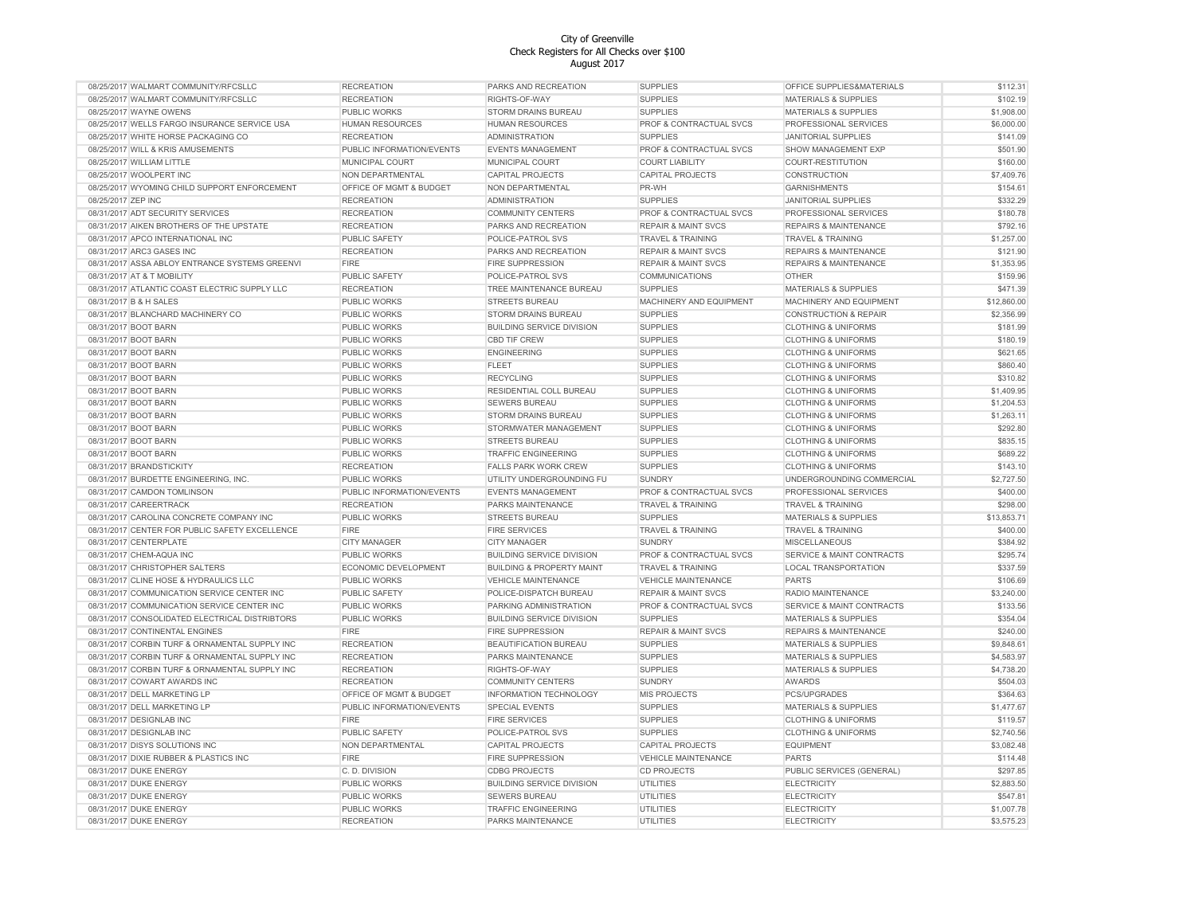| 08/25/2017 WALMART COMMUNITY/RFCSLLC           | <b>RECREATION</b>         | PARKS AND RECREATION                 | <b>SUPPLIES</b>                | OFFICE SUPPLIES&MATERIALS        | \$112.31    |
|------------------------------------------------|---------------------------|--------------------------------------|--------------------------------|----------------------------------|-------------|
| 08/25/2017 WALMART COMMUNITY/RFCSLLC           | <b>RECREATION</b>         | RIGHTS-OF-WAY                        | <b>SUPPLIES</b>                | <b>MATERIALS &amp; SUPPLIES</b>  | \$102.19    |
| 08/25/2017 WAYNE OWENS                         | PUBLIC WORKS              | STORM DRAINS BUREAU                  | <b>SUPPLIES</b>                | <b>MATERIALS &amp; SUPPLIES</b>  | \$1,908.00  |
| 08/25/2017 WELLS FARGO INSURANCE SERVICE USA   | <b>HUMAN RESOURCES</b>    | <b>HUMAN RESOURCES</b>               | PROF & CONTRACTUAL SVCS        | PROFESSIONAL SERVICES            | \$6,000.00  |
| 08/25/2017 WHITE HORSE PACKAGING CO            | <b>RECREATION</b>         | <b>ADMINISTRATION</b>                | <b>SUPPLIES</b>                | <b>JANITORIAL SUPPLIES</b>       | \$141.09    |
| 08/25/2017 WILL & KRIS AMUSEMENTS              | PUBLIC INFORMATION/EVENTS | <b>EVENTS MANAGEMENT</b>             | PROF & CONTRACTUAL SVCS        | SHOW MANAGEMENT EXP              | \$501.90    |
| 08/25/2017 WILLIAM LITTLE                      | MUNICIPAL COURT           | MUNICIPAL COURT                      | <b>COURT LIABILITY</b>         | COURT-RESTITUTION                | \$160.00    |
| 08/25/2017 WOOLPERT INC                        | NON DEPARTMENTAL          | CAPITAL PROJECTS                     | CAPITAL PROJECTS               | CONSTRUCTION                     | \$7,409.76  |
| 08/25/2017 WYOMING CHILD SUPPORT ENFORCEMENT   | OFFICE OF MGMT & BUDGET   | NON DEPARTMENTAL                     | PR-WH                          | <b>GARNISHMENTS</b>              | \$154.61    |
| 08/25/2017 ZEP INC                             | <b>RECREATION</b>         |                                      | <b>SUPPLIES</b>                | <b>JANITORIAL SUPPLIES</b>       | \$332.29    |
|                                                |                           | ADMINISTRATION                       | PROF & CONTRACTUAL SVCS        |                                  |             |
| 08/31/2017 ADT SECURITY SERVICES               | <b>RECREATION</b>         | <b>COMMUNITY CENTERS</b>             |                                | PROFESSIONAL SERVICES            | \$180.78    |
| 08/31/2017 AIKEN BROTHERS OF THE UPSTATE       | <b>RECREATION</b>         | PARKS AND RECREATION                 | <b>REPAIR &amp; MAINT SVCS</b> | REPAIRS & MAINTENANCE            | \$792.16    |
| 08/31/2017 APCO INTERNATIONAL INC              | <b>PUBLIC SAFETY</b>      | POLICE-PATROL SVS                    | <b>TRAVEL &amp; TRAINING</b>   | <b>TRAVEL &amp; TRAINING</b>     | \$1,257.00  |
| 08/31/2017 ARC3 GASES INC                      | <b>RECREATION</b>         | PARKS AND RECREATION                 | <b>REPAIR &amp; MAINT SVCS</b> | <b>REPAIRS &amp; MAINTENANCE</b> | \$121.90    |
| 08/31/2017 ASSA ABLOY ENTRANCE SYSTEMS GREENVI | <b>FIRE</b>               | <b>FIRE SUPPRESSION</b>              | <b>REPAIR &amp; MAINT SVCS</b> | <b>REPAIRS &amp; MAINTENANCE</b> | \$1,353.95  |
| 08/31/2017 AT & T MOBILITY                     | <b>PUBLIC SAFETY</b>      | POLICE-PATROL SVS                    | <b>COMMUNICATIONS</b>          | <b>OTHER</b>                     | \$159.96    |
| 08/31/2017 ATLANTIC COAST ELECTRIC SUPPLY LLC  | <b>RECREATION</b>         | TREE MAINTENANCE BUREAU              | <b>SUPPLIES</b>                | <b>MATERIALS &amp; SUPPLIES</b>  | \$471.39    |
| 08/31/2017 B & H SALES                         | <b>PUBLIC WORKS</b>       | <b>STREETS BUREAU</b>                | MACHINERY AND EQUIPMENT        | MACHINERY AND EQUIPMENT          | \$12,860.00 |
| 08/31/2017 BLANCHARD MACHINERY CO              | PUBLIC WORKS              | STORM DRAINS BUREAU                  | <b>SUPPLIES</b>                | <b>CONSTRUCTION &amp; REPAIR</b> | \$2,356.99  |
| 08/31/2017 BOOT BARN                           | PUBLIC WORKS              | <b>BUILDING SERVICE DIVISION</b>     | <b>SUPPLIES</b>                | <b>CLOTHING &amp; UNIFORMS</b>   | \$181.99    |
| 08/31/2017 BOOT BARN                           | PUBLIC WORKS              | <b>CBD TIF CREW</b>                  | <b>SUPPLIES</b>                | <b>CLOTHING &amp; UNIFORMS</b>   | \$180.19    |
| 08/31/2017 BOOT BARN                           | PUBLIC WORKS              | <b>ENGINEERING</b>                   | <b>SUPPLIES</b>                | <b>CLOTHING &amp; UNIFORMS</b>   | \$621.65    |
| 08/31/2017 BOOT BARN                           | PUBLIC WORKS              | FLEET                                | <b>SUPPLIES</b>                | <b>CLOTHING &amp; UNIFORMS</b>   | \$860.40    |
| 08/31/2017 BOOT BARN                           | PUBLIC WORKS              | <b>RECYCLING</b>                     | <b>SUPPLIES</b>                | <b>CLOTHING &amp; UNIFORMS</b>   | \$310.82    |
| 08/31/2017 BOOT BARN                           | PUBLIC WORKS              | RESIDENTIAL COLL BUREAU              | <b>SUPPLIES</b>                | <b>CLOTHING &amp; UNIFORMS</b>   | \$1,409.95  |
| 08/31/2017 BOOT BARN                           | PUBLIC WORKS              | <b>SEWERS BUREAU</b>                 | <b>SUPPLIES</b>                | <b>CLOTHING &amp; UNIFORMS</b>   | \$1,204.53  |
| 08/31/2017 BOOT BARN                           | PUBLIC WORKS              | <b>STORM DRAINS BUREAU</b>           | <b>SUPPLIES</b>                | <b>CLOTHING &amp; UNIFORMS</b>   | \$1,263.11  |
|                                                |                           |                                      |                                |                                  |             |
| 08/31/2017 BOOT BARN                           | PUBLIC WORKS              | STORMWATER MANAGEMENT                | <b>SUPPLIES</b>                | <b>CLOTHING &amp; UNIFORMS</b>   | \$292.80    |
| 08/31/2017 BOOT BARN                           | PUBLIC WORKS              | STREETS BUREAU                       | <b>SUPPLIES</b>                | <b>CLOTHING &amp; UNIFORMS</b>   | \$835.15    |
| 08/31/2017 BOOT BARN                           | PUBLIC WORKS              | <b>TRAFFIC ENGINEERING</b>           | <b>SUPPLIES</b>                | <b>CLOTHING &amp; UNIFORMS</b>   | \$689.22    |
| 08/31/2017 BRANDSTICKITY                       | <b>RECREATION</b>         | <b>FALLS PARK WORK CREW</b>          | <b>SUPPLIES</b>                | <b>CLOTHING &amp; UNIFORMS</b>   | \$143.10    |
| 08/31/2017 BURDETTE ENGINEERING, INC.          | PUBLIC WORKS              | UTILITY UNDERGROUNDING FU            | <b>SUNDRY</b>                  | UNDERGROUNDING COMMERCIAL        | \$2,727.50  |
| 08/31/2017 CAMDON TOMLINSON                    | PUBLIC INFORMATION/EVENTS | <b>EVENTS MANAGEMENT</b>             | PROF & CONTRACTUAL SVCS        | PROFESSIONAL SERVICES            | \$400.00    |
| 08/31/2017 CAREERTRACK                         | <b>RECREATION</b>         | PARKS MAINTENANCE                    | <b>TRAVEL &amp; TRAINING</b>   | <b>TRAVEL &amp; TRAINING</b>     | \$298.00    |
| 08/31/2017 CAROLINA CONCRETE COMPANY INC       | PUBLIC WORKS              | <b>STREETS BUREAU</b>                | <b>SUPPLIES</b>                | MATERIALS & SUPPLIES             | \$13,853.71 |
| 08/31/2017 CENTER FOR PUBLIC SAFETY EXCELLENCE | <b>FIRE</b>               | <b>FIRE SERVICES</b>                 | <b>TRAVEL &amp; TRAINING</b>   | <b>TRAVEL &amp; TRAINING</b>     | \$400.00    |
| 08/31/2017 CENTERPLATE                         | CITY MANAGER              | <b>CITY MANAGER</b>                  | <b>SUNDRY</b>                  | <b>MISCELLANEOUS</b>             | \$384.92    |
| 08/31/2017 CHEM-AQUA INC                       | <b>PUBLIC WORKS</b>       | <b>BUILDING SERVICE DIVISION</b>     | PROF & CONTRACTUAL SVCS        | SERVICE & MAINT CONTRACTS        | \$295.74    |
| 08/31/2017 CHRISTOPHER SALTERS                 | ECONOMIC DEVELOPMENT      | <b>BUILDING &amp; PROPERTY MAINT</b> | <b>TRAVEL &amp; TRAINING</b>   | LOCAL TRANSPORTATION             | \$337.59    |
| 08/31/2017 CLINE HOSE & HYDRAULICS LLC         | <b>PUBLIC WORKS</b>       | <b>VEHICLE MAINTENANCE</b>           | <b>VEHICLE MAINTENANCE</b>     | <b>PARTS</b>                     | \$106.69    |
| 08/31/2017 COMMUNICATION SERVICE CENTER INC    | <b>PUBLIC SAFETY</b>      | POLICE-DISPATCH BUREAU               | <b>REPAIR &amp; MAINT SVCS</b> | RADIO MAINTENANCE                | \$3,240.00  |
| 08/31/2017 COMMUNICATION SERVICE CENTER INC    | <b>PUBLIC WORKS</b>       | PARKING ADMINISTRATION               | PROF & CONTRACTUAL SVCS        | SERVICE & MAINT CONTRACTS        | \$133.56    |
| 08/31/2017 CONSOLIDATED ELECTRICAL DISTRIBTORS | PUBLIC WORKS              | <b>BUILDING SERVICE DIVISION</b>     | <b>SUPPLIES</b>                | <b>MATERIALS &amp; SUPPLIES</b>  | \$354.04    |
| 08/31/2017 CONTINENTAL ENGINES                 | <b>FIRE</b>               | <b>FIRE SUPPRESSION</b>              | <b>REPAIR &amp; MAINT SVCS</b> | <b>REPAIRS &amp; MAINTENANCE</b> | \$240.00    |
| 08/31/2017 CORBIN TURF & ORNAMENTAL SUPPLY INC |                           | BEAUTIFICATION BUREAU                | <b>SUPPLIES</b>                | MATERIALS & SUPPLIES             | \$9,848.61  |
|                                                | <b>RECREATION</b>         |                                      |                                |                                  |             |
| 08/31/2017 CORBIN TURF & ORNAMENTAL SUPPLY INC | <b>RECREATION</b>         | PARKS MAINTENANCE                    | <b>SUPPLIES</b>                | <b>MATERIALS &amp; SUPPLIES</b>  | \$4,583.97  |
| 08/31/2017 CORBIN TURF & ORNAMENTAL SUPPLY INC | <b>RECREATION</b>         | RIGHTS-OF-WAY                        | <b>SUPPLIES</b>                | <b>MATERIALS &amp; SUPPLIES</b>  | \$4,738.20  |
| 08/31/2017 COWART AWARDS INC                   | <b>RECREATION</b>         | <b>COMMUNITY CENTERS</b>             | SUNDRY                         | <b>AWARDS</b>                    | \$504.03    |
| 08/31/2017 DELL MARKETING LP                   | OFFICE OF MGMT & BUDGET   | INFORMATION TECHNOLOGY               | MIS PROJECTS                   | PCS/UPGRADES                     | \$364.63    |
| 08/31/2017 DELL MARKETING LP                   | PUBLIC INFORMATION/EVENTS | <b>SPECIAL EVENTS</b>                | <b>SUPPLIES</b>                | MATERIALS & SUPPLIES             | \$1,477.67  |
| 08/31/2017 DESIGNLAB INC                       | <b>FIRE</b>               | <b>FIRE SERVICES</b>                 | <b>SUPPLIES</b>                | <b>CLOTHING &amp; UNIFORMS</b>   | \$119.57    |
| 08/31/2017 DESIGNLAB INC                       | PUBLIC SAFETY             | POLICE-PATROL SVS                    | <b>SUPPLIES</b>                | <b>CLOTHING &amp; UNIFORMS</b>   | \$2,740.56  |
| 08/31/2017 DISYS SOLUTIONS INC                 | NON DEPARTMENTAL          | <b>CAPITAL PROJECTS</b>              | <b>CAPITAL PROJECTS</b>        | <b>EQUIPMENT</b>                 | \$3,082.48  |
| 08/31/2017 DIXIE RUBBER & PLASTICS INC         | <b>FIRE</b>               | <b>FIRE SUPPRESSION</b>              | <b>VEHICLE MAINTENANCE</b>     | <b>PARTS</b>                     | \$114.48    |
| 08/31/2017 DUKE ENERGY                         | C. D. DIVISION            | <b>CDBG PROJECTS</b>                 | <b>CD PROJECTS</b>             | PUBLIC SERVICES (GENERAL)        | \$297.85    |
| 08/31/2017 DUKE ENERGY                         | PUBLIC WORKS              | <b>BUILDING SERVICE DIVISION</b>     | <b>UTILITIES</b>               | <b>ELECTRICITY</b>               | \$2,883.50  |
| 08/31/2017 DUKE ENERGY                         | PUBLIC WORKS              | <b>SEWERS BUREAU</b>                 | <b>UTILITIES</b>               | <b>ELECTRICITY</b>               | \$547.81    |
| 08/31/2017 DUKE ENERGY                         | <b>PUBLIC WORKS</b>       | <b>TRAFFIC ENGINEERING</b>           | UTILITIES                      | <b>ELECTRICITY</b>               | \$1,007.78  |
| 08/31/2017 DUKE ENERGY                         | <b>RECREATION</b>         | PARKS MAINTENANCE                    | <b>UTILITIES</b>               | <b>ELECTRICITY</b>               | \$3,575.23  |
|                                                |                           |                                      |                                |                                  |             |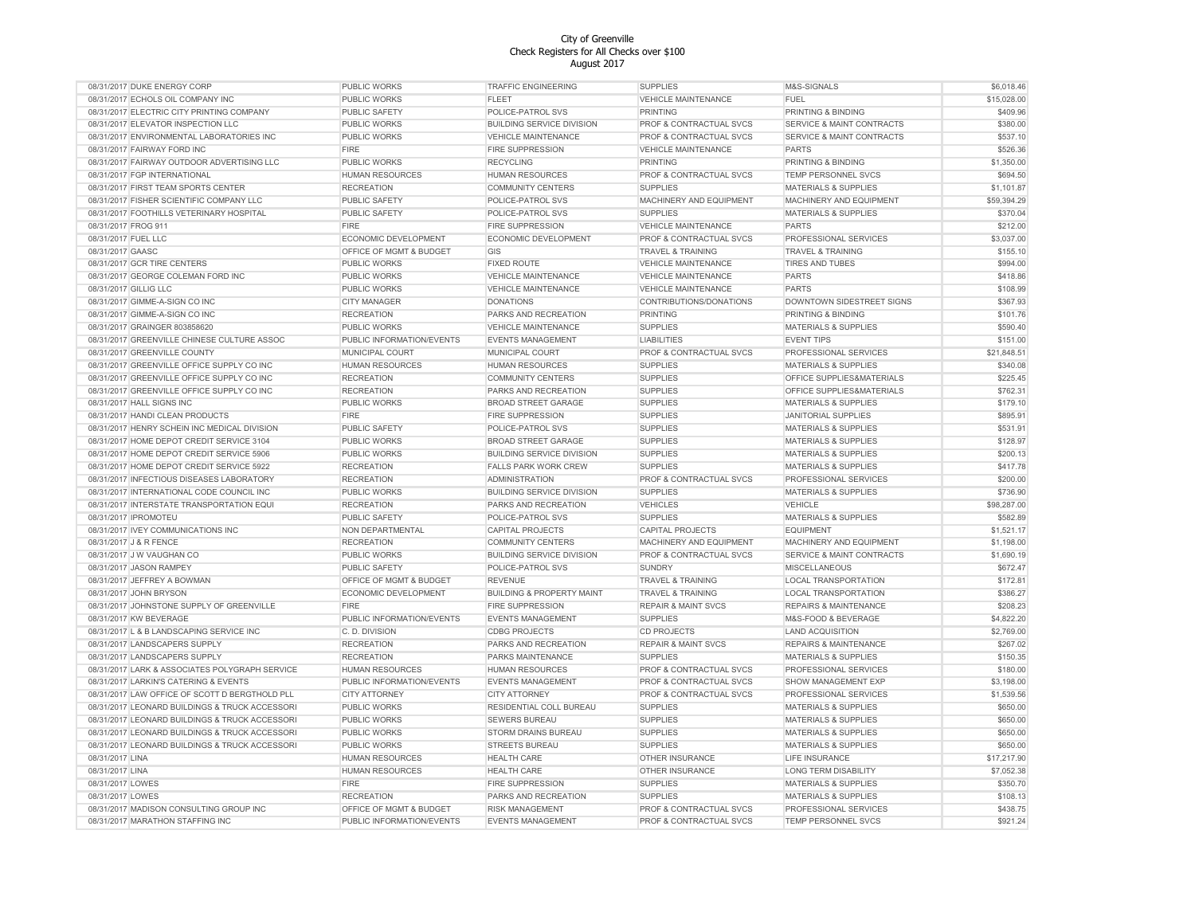| 08/31/2017 DUKE ENERGY CORP                    | <b>PUBLIC WORKS</b>       | <b>TRAFFIC ENGINEERING</b>           | <b>SUPPLIES</b>                    | M&S-SIGNALS                          | \$6,018.46  |
|------------------------------------------------|---------------------------|--------------------------------------|------------------------------------|--------------------------------------|-------------|
| 08/31/2017 ECHOLS OIL COMPANY INC              | PUBLIC WORKS              | <b>FLEET</b>                         | <b>VEHICLE MAINTENANCE</b>         | <b>FUEL</b>                          | \$15,028.00 |
| 08/31/2017 ELECTRIC CITY PRINTING COMPANY      | PUBLIC SAFETY             | POLICE-PATROL SVS                    | <b>PRINTING</b>                    | PRINTING & BINDING                   | \$409.96    |
| 08/31/2017 ELEVATOR INSPECTION LLC             | PUBLIC WORKS              | <b>BUILDING SERVICE DIVISION</b>     | PROF & CONTRACTUAL SVCS            | SERVICE & MAINT CONTRACTS            | \$380.00    |
| 08/31/2017 ENVIRONMENTAL LABORATORIES INC      | <b>PUBLIC WORKS</b>       | <b>VEHICLE MAINTENANCE</b>           | PROF & CONTRACTUAL SVCS            | SERVICE & MAINT CONTRACTS            | \$537.10    |
| 08/31/2017 FAIRWAY FORD INC                    | <b>FIRE</b>               | <b>FIRE SUPPRESSION</b>              | <b>VEHICLE MAINTENANCE</b>         | <b>PARTS</b>                         | \$526.36    |
| 08/31/2017 FAIRWAY OUTDOOR ADVERTISING LLC     | PUBLIC WORKS              | <b>RECYCLING</b>                     | <b>PRINTING</b>                    | PRINTING & BINDING                   | \$1,350.00  |
| 08/31/2017 FGP INTERNATIONAL                   | HUMAN RESOURCES           | HUMAN RESOURCES                      | PROF & CONTRACTUAL SVCS            | TEMP PERSONNEL SVCS                  | \$694.50    |
| 08/31/2017 FIRST TEAM SPORTS CENTER            | <b>RECREATION</b>         | <b>COMMUNITY CENTERS</b>             | <b>SUPPLIES</b>                    | <b>MATERIALS &amp; SUPPLIES</b>      | \$1,101.87  |
|                                                |                           |                                      |                                    |                                      |             |
| 08/31/2017 FISHER SCIENTIFIC COMPANY LLC       | PUBLIC SAFETY             | POLICE-PATROL SVS                    | MACHINERY AND EQUIPMENT            | MACHINERY AND EQUIPMENT              | \$59,394.29 |
| 08/31/2017 FOOTHILLS VETERINARY HOSPITAL       | <b>PUBLIC SAFETY</b>      | POLICE-PATROL SVS                    | <b>SUPPLIES</b>                    | <b>MATERIALS &amp; SUPPLIES</b>      | \$370.04    |
| 08/31/2017 FROG 911                            | <b>FIRE</b>               | FIRE SUPPRESSION                     | <b>VEHICLE MAINTENANCE</b>         | <b>PARTS</b>                         | \$212.00    |
| 08/31/2017 FUEL LLC                            | ECONOMIC DEVELOPMENT      | ECONOMIC DEVELOPMENT                 | PROF & CONTRACTUAL SVCS            | PROFESSIONAL SERVICES                | \$3,037.00  |
| 08/31/2017 GAASC                               | OFFICE OF MGMT & BUDGET   | GIS                                  | <b>TRAVEL &amp; TRAINING</b>       | <b>TRAVEL &amp; TRAINING</b>         | \$155.10    |
| 08/31/2017 GCR TIRE CENTERS                    | <b>PUBLIC WORKS</b>       | <b>FIXED ROUTE</b>                   | <b>VEHICLE MAINTENANCE</b>         | <b>TIRES AND TUBES</b>               | \$994.00    |
| 08/31/2017 GEORGE COLEMAN FORD INC             | <b>PUBLIC WORKS</b>       | VEHICLE MAINTENANCE                  | VEHICLE MAINTENANCE                | <b>PARTS</b>                         | \$418.86    |
| 08/31/2017 GILLIG LLC                          | PUBLIC WORKS              | <b>VEHICLE MAINTENANCE</b>           | <b>VEHICLE MAINTENANCE</b>         | <b>PARTS</b>                         | \$108.99    |
| 08/31/2017 GIMME-A-SIGN CO INC                 | <b>CITY MANAGER</b>       | <b>DONATIONS</b>                     | CONTRIBUTIONS/DONATIONS            | DOWNTOWN SIDESTREET SIGNS            | \$367.93    |
| 08/31/2017 GIMME-A-SIGN CO INC                 | <b>RECREATION</b>         | PARKS AND RECREATION                 | <b>PRINTING</b>                    | PRINTING & BINDING                   | \$101.76    |
| 08/31/2017 GRAINGER 803858620                  | <b>PUBLIC WORKS</b>       | <b>VEHICLE MAINTENANCE</b>           | <b>SUPPLIES</b>                    | <b>MATERIALS &amp; SUPPLIES</b>      | \$590.40    |
| 08/31/2017 GREENVILLE CHINESE CULTURE ASSOC    | PUBLIC INFORMATION/EVENTS | <b>EVENTS MANAGEMENT</b>             | <b>LIABILITIES</b>                 | <b>EVENT TIPS</b>                    | \$151.00    |
| 08/31/2017 GREENVILLE COUNTY                   | MUNICIPAL COURT           | MUNICIPAL COURT                      | PROF & CONTRACTUAL SVCS            | PROFESSIONAL SERVICES                | \$21,848.51 |
| 08/31/2017 GREENVILLE OFFICE SUPPLY CO INC     | <b>HUMAN RESOURCES</b>    | <b>HUMAN RESOURCES</b>               | <b>SUPPLIES</b>                    | <b>MATERIALS &amp; SUPPLIES</b>      | \$340.08    |
| 08/31/2017 GREENVILLE OFFICE SUPPLY CO INC     | <b>RECREATION</b>         | <b>COMMUNITY CENTERS</b>             | <b>SUPPLIES</b>                    | OFFICE SUPPLIES&MATERIALS            | \$225.45    |
|                                                |                           |                                      |                                    |                                      |             |
| 08/31/2017 GREENVILLE OFFICE SUPPLY CO INC     | <b>RECREATION</b>         | PARKS AND RECREATION                 | <b>SUPPLIES</b>                    | OFFICE SUPPLIES&MATERIALS            | \$762.31    |
| 08/31/2017 HALL SIGNS INC                      | <b>PUBLIC WORKS</b>       | BROAD STREET GARAGE                  | <b>SUPPLIES</b>                    | MATERIALS & SUPPLIES                 | \$179.10    |
| 08/31/2017 HANDI CLEAN PRODUCTS                | <b>FIRE</b>               | FIRE SUPPRESSION                     | <b>SUPPLIES</b>                    | <b>JANITORIAL SUPPLIES</b>           | \$895.91    |
| 08/31/2017 HENRY SCHEIN INC MEDICAL DIVISION   | PUBLIC SAFETY             | POLICE-PATROL SVS                    | <b>SUPPLIES</b>                    | <b>MATERIALS &amp; SUPPLIES</b>      | \$531.91    |
| 08/31/2017 HOME DEPOT CREDIT SERVICE 3104      | PUBLIC WORKS              | <b>BROAD STREET GARAGE</b>           | <b>SUPPLIES</b>                    | <b>MATERIALS &amp; SUPPLIES</b>      | \$128.97    |
| 08/31/2017 HOME DEPOT CREDIT SERVICE 5906      | PUBLIC WORKS              | <b>BUILDING SERVICE DIVISION</b>     | <b>SUPPLIES</b>                    | <b>MATERIALS &amp; SUPPLIES</b>      | \$200.13    |
| 08/31/2017 HOME DEPOT CREDIT SERVICE 5922      | <b>RECREATION</b>         | <b>FALLS PARK WORK CREW</b>          | <b>SUPPLIES</b>                    | <b>MATERIALS &amp; SUPPLIES</b>      | \$417.78    |
| 08/31/2017 INFECTIOUS DISEASES LABORATORY      | <b>RECREATION</b>         | <b>ADMINISTRATION</b>                | PROF & CONTRACTUAL SVCS            | PROFESSIONAL SERVICES                | \$200.00    |
| 08/31/2017 INTERNATIONAL CODE COUNCIL INC      | <b>PUBLIC WORKS</b>       | <b>BUILDING SERVICE DIVISION</b>     | <b>SUPPLIES</b>                    | <b>MATERIALS &amp; SUPPLIES</b>      | \$736.90    |
| 08/31/2017 INTERSTATE TRANSPORTATION EQUI      | <b>RECREATION</b>         | PARKS AND RECREATION                 | <b>VEHICLES</b>                    | <b>VEHICLE</b>                       | \$98,287.00 |
| 08/31/2017 IPROMOTEU                           | PUBLIC SAFETY             | POLICE-PATROL SVS                    | <b>SUPPLIES</b>                    | <b>MATERIALS &amp; SUPPLIES</b>      | \$582.89    |
| 08/31/2017 IVEY COMMUNICATIONS INC             | NON DEPARTMENTAL          | <b>CAPITAL PROJECTS</b>              | <b>CAPITAL PROJECTS</b>            | <b>EQUIPMENT</b>                     | \$1.521.17  |
| 08/31/2017 J & R FENCE                         | <b>RECREATION</b>         | <b>COMMUNITY CENTERS</b>             | <b>MACHINERY AND EQUIPMENT</b>     | MACHINERY AND EQUIPMENT              | \$1,198.00  |
| 08/31/2017 J W VAUGHAN CO                      | PUBLIC WORKS              | <b>BUILDING SERVICE DIVISION</b>     | <b>PROF &amp; CONTRACTUAL SVCS</b> | <b>SERVICE &amp; MAINT CONTRACTS</b> | \$1,690.19  |
| 08/31/2017 JASON RAMPEY                        | PUBLIC SAFETY             | POLICE-PATROL SVS                    | <b>SUNDRY</b>                      | <b>MISCELLANEOUS</b>                 | \$672.47    |
|                                                |                           |                                      |                                    | <b>LOCAL TRANSPORTATION</b>          | \$172.81    |
| 08/31/2017 JEFFREY A BOWMAN                    | OFFICE OF MGMT & BUDGET   | <b>REVENUE</b>                       | <b>TRAVEL &amp; TRAINING</b>       |                                      |             |
| 08/31/2017 JOHN BRYSON                         | ECONOMIC DEVELOPMENT      | <b>BUILDING &amp; PROPERTY MAINT</b> | TRAVEL & TRAINING                  | <b>LOCAL TRANSPORTATION</b>          | \$386.27    |
| 08/31/2017 JOHNSTONE SUPPLY OF GREENVILLE      | <b>FIRE</b>               | <b>FIRE SUPPRESSION</b>              | <b>REPAIR &amp; MAINT SVCS</b>     | <b>REPAIRS &amp; MAINTENANCE</b>     | \$208.23    |
| 08/31/2017 KW BEVERAGE                         | PUBLIC INFORMATION/EVENTS | <b>EVENTS MANAGEMENT</b>             | <b>SUPPLIES</b>                    | M&S-FOOD & BEVERAGE                  | \$4,822.20  |
| 08/31/2017 L & B LANDSCAPING SERVICE INC       | C. D. DIVISION            | <b>CDBG PROJECTS</b>                 | <b>CD PROJECTS</b>                 | <b>LAND ACQUISITION</b>              | \$2,769.00  |
| 08/31/2017 LANDSCAPERS SUPPLY                  | <b>RECREATION</b>         | PARKS AND RECREATION                 | <b>REPAIR &amp; MAINT SVCS</b>     | <b>REPAIRS &amp; MAINTENANCE</b>     | \$267.02    |
| 08/31/2017 LANDSCAPERS SUPPLY                  | <b>RECREATION</b>         | PARKS MAINTENANCE                    | <b>SUPPLIES</b>                    | <b>MATERIALS &amp; SUPPLIES</b>      | \$150.35    |
| 08/31/2017 LARK & ASSOCIATES POLYGRAPH SERVICE | HUMAN RESOURCES           | <b>HUMAN RESOURCES</b>               | PROF & CONTRACTUAL SVCS            | PROFESSIONAL SERVICES                | \$180.00    |
| 08/31/2017 LARKIN'S CATERING & EVENTS          | PUBLIC INFORMATION/EVENTS | <b>EVENTS MANAGEMENT</b>             | PROF & CONTRACTUAL SVCS            | <b>SHOW MANAGEMENT EXP</b>           | \$3,198.00  |
| 08/31/2017 LAW OFFICE OF SCOTT D BERGTHOLD PLL | <b>CITY ATTORNEY</b>      | <b>CITY ATTORNEY</b>                 | PROF & CONTRACTUAL SVCS            | PROFESSIONAL SERVICES                | \$1,539.56  |
| 08/31/2017 LEONARD BUILDINGS & TRUCK ACCESSORI | <b>PUBLIC WORKS</b>       | RESIDENTIAL COLL BUREAU              | <b>SUPPLIES</b>                    | <b>MATERIALS &amp; SUPPLIES</b>      | \$650.00    |
| 08/31/2017 LEONARD BUILDINGS & TRUCK ACCESSORI | <b>PUBLIC WORKS</b>       | <b>SEWERS BUREAU</b>                 | <b>SUPPLIES</b>                    | <b>MATERIALS &amp; SUPPLIES</b>      | \$650.00    |
| 08/31/2017 LEONARD BUILDINGS & TRUCK ACCESSORI | PUBLIC WORKS              | STORM DRAINS BUREAU                  | <b>SUPPLIES</b>                    | <b>MATERIALS &amp; SUPPLIES</b>      | \$650.00    |
| 08/31/2017 LEONARD BUILDINGS & TRUCK ACCESSORI | PUBLIC WORKS              | STREETS BUREAU                       | <b>SUPPLIES</b>                    | <b>MATERIALS &amp; SUPPLIES</b>      | \$650.00    |
| 08/31/2017 LINA                                | HUMAN RESOURCES           | <b>HEALTH CARE</b>                   | OTHER INSURANCE                    | LIFE INSURANCE                       | \$17,217.90 |
|                                                |                           |                                      |                                    |                                      |             |
| 08/31/2017 LINA                                | <b>HUMAN RESOURCES</b>    | <b>HEALTH CARE</b>                   | OTHER INSURANCE                    | <b>LONG TERM DISABILITY</b>          | \$7,052.38  |
| 08/31/2017 LOWES                               | <b>FIRE</b>               | FIRE SUPPRESSION                     | <b>SUPPLIES</b>                    | <b>MATERIALS &amp; SUPPLIES</b>      | \$350.70    |
| 08/31/2017 LOWES                               | <b>RECREATION</b>         | PARKS AND RECREATION                 | <b>SUPPLIES</b>                    | <b>MATERIALS &amp; SUPPLIES</b>      | \$108.13    |
| 08/31/2017 MADISON CONSULTING GROUP INC        | OFFICE OF MGMT & BUDGET   | <b>RISK MANAGEMENT</b>               | PROF & CONTRACTUAL SVCS            | PROFESSIONAL SERVICES                | \$438.75    |
| 08/31/2017 MARATHON STAFFING INC               | PUBLIC INFORMATION/EVENTS | <b>EVENTS MANAGEMENT</b>             | PROF & CONTRACTUAL SVCS            | TEMP PERSONNEL SVCS                  | \$921.24    |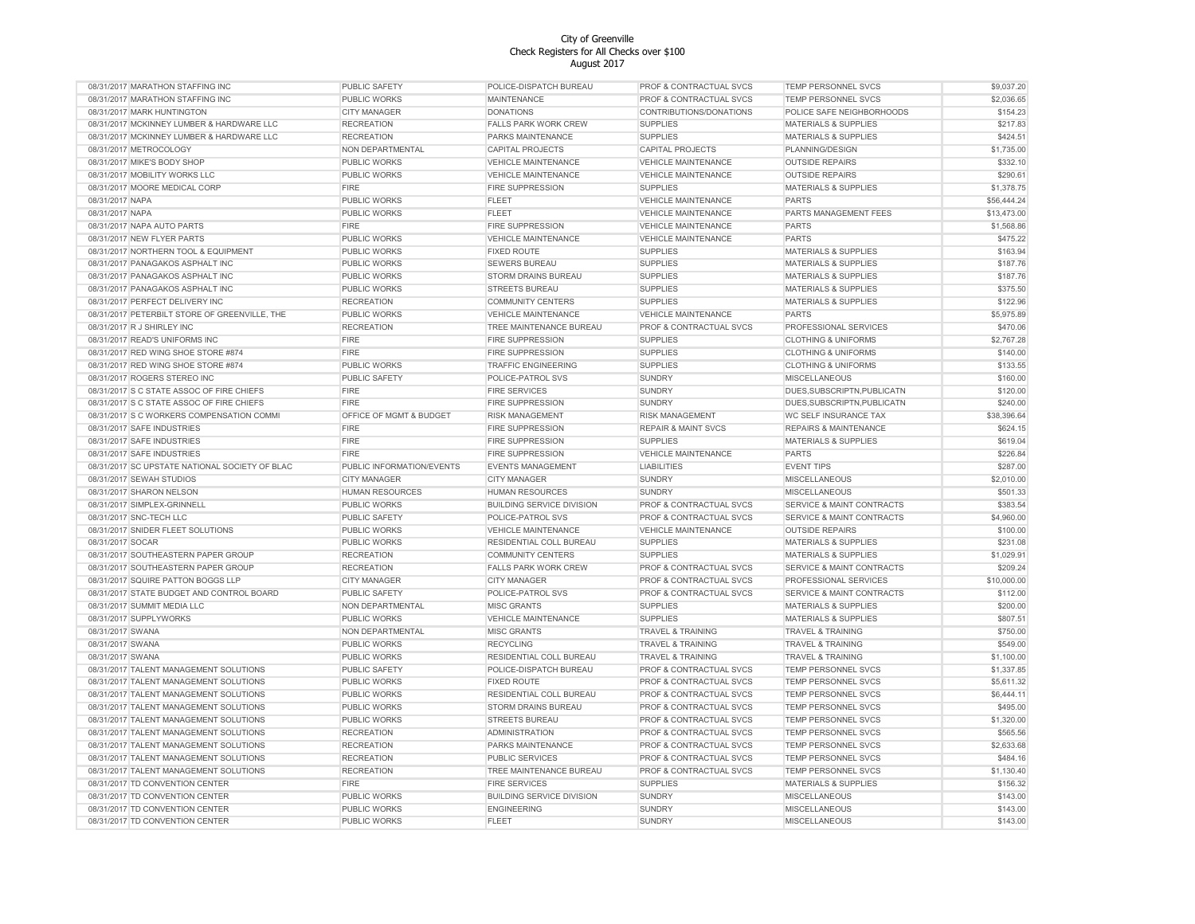| 08/31/2017 MARATHON STAFFING INC               | PUBLIC SAFETY             | POLICE-DISPATCH BUREAU           | PROF & CONTRACTUAL SVCS            | TEMP PERSONNEL SVCS                  | \$9,037.20  |
|------------------------------------------------|---------------------------|----------------------------------|------------------------------------|--------------------------------------|-------------|
| 08/31/2017 MARATHON STAFFING INC               | PUBLIC WORKS              | <b>MAINTENANCE</b>               | <b>PROF &amp; CONTRACTUAL SVCS</b> | TEMP PERSONNEL SVCS                  | \$2,036.65  |
| 08/31/2017 MARK HUNTINGTON                     | <b>CITY MANAGER</b>       | <b>DONATIONS</b>                 | CONTRIBUTIONS/DONATIONS            | POLICE SAFE NEIGHBORHOODS            | \$154.23    |
| 08/31/2017 MCKINNEY LUMBER & HARDWARE LLC      | <b>RECREATION</b>         | <b>FALLS PARK WORK CREW</b>      | <b>SUPPLIES</b>                    | <b>MATERIALS &amp; SUPPLIES</b>      | \$217.83    |
| 08/31/2017 MCKINNEY LUMBER & HARDWARE LLC      | <b>RECREATION</b>         | PARKS MAINTENANCE                | <b>SUPPLIES</b>                    | <b>MATERIALS &amp; SUPPLIES</b>      | \$424.51    |
| 08/31/2017 METROCOLOGY                         | NON DEPARTMENTAL          | <b>CAPITAL PROJECTS</b>          | <b>CAPITAL PROJECTS</b>            | PLANNING/DESIGN                      | \$1,735.00  |
| 08/31/2017 MIKE'S BODY SHOP                    | PUBLIC WORKS              | <b>VEHICLE MAINTENANCE</b>       | <b>VEHICLE MAINTENANCE</b>         | <b>OUTSIDE REPAIRS</b>               | \$332.10    |
| 08/31/2017 MOBILITY WORKS LLC                  | PUBLIC WORKS              | <b>VEHICLE MAINTENANCE</b>       | <b>VEHICLE MAINTENANCE</b>         | <b>OUTSIDE REPAIRS</b>               | \$290.61    |
| 08/31/2017 MOORE MEDICAL CORP                  | <b>FIRE</b>               | <b>FIRE SUPPRESSION</b>          | <b>SUPPLIES</b>                    | MATERIALS & SUPPLIES                 | \$1,378.75  |
| 08/31/2017 NAPA                                | PUBLIC WORKS              | FLEET                            | <b>VEHICLE MAINTENANCE</b>         | <b>PARTS</b>                         | \$56,444.24 |
| 08/31/2017 NAPA                                | PUBLIC WORKS              | FLEET                            | VEHICLE MAINTENANCE                | PARTS MANAGEMENT FEES                | \$13,473.00 |
| 08/31/2017 NAPA AUTO PARTS                     | <b>FIRE</b>               | <b>FIRE SUPPRESSION</b>          | <b>VEHICLE MAINTENANCE</b>         | <b>PARTS</b>                         | \$1,568.86  |
| 08/31/2017 NEW FLYER PARTS                     | PUBLIC WORKS              | <b>VEHICLE MAINTENANCE</b>       | <b>VEHICLE MAINTENANCE</b>         | <b>PARTS</b>                         | \$475.22    |
| 08/31/2017 NORTHERN TOOL & EQUIPMENT           | PUBLIC WORKS              | <b>FIXED ROUTE</b>               | <b>SUPPLIES</b>                    | <b>MATERIALS &amp; SUPPLIES</b>      | \$163.94    |
| 08/31/2017 PANAGAKOS ASPHALT INC               | PUBLIC WORKS              | <b>SEWERS BUREAU</b>             | <b>SUPPLIES</b>                    | MATERIALS & SUPPLIES                 | \$187.76    |
|                                                |                           |                                  |                                    |                                      |             |
| 08/31/2017 PANAGAKOS ASPHALT INC               | PUBLIC WORKS              | STORM DRAINS BUREAU              | <b>SUPPLIES</b>                    | <b>MATERIALS &amp; SUPPLIES</b>      | \$187.76    |
| 08/31/2017 PANAGAKOS ASPHALT INC               | PUBLIC WORKS              | <b>STREETS BUREAU</b>            | <b>SUPPLIES</b>                    | <b>MATERIALS &amp; SUPPLIES</b>      | \$375.50    |
| 08/31/2017 PERFECT DELIVERY INC                | <b>RECREATION</b>         | <b>COMMUNITY CENTERS</b>         | <b>SUPPLIES</b>                    | <b>MATERIALS &amp; SUPPLIES</b>      | \$122.96    |
| 08/31/2017 PETERBILT STORE OF GREENVILLE, THE  | PUBLIC WORKS              | <b>VEHICLE MAINTENANCE</b>       | <b>VEHICLE MAINTENANCE</b>         | <b>PARTS</b>                         | \$5,975.89  |
| 08/31/2017 R J SHIRLEY INC                     | <b>RECREATION</b>         | TREE MAINTENANCE BUREAU          | <b>PROF &amp; CONTRACTUAL SVCS</b> | PROFESSIONAL SERVICES                | \$470.06    |
| 08/31/2017 READ'S UNIFORMS INC                 | <b>FIRE</b>               | FIRE SUPPRESSION                 | <b>SUPPLIES</b>                    | <b>CLOTHING &amp; UNIFORMS</b>       | \$2,767.28  |
| 08/31/2017 RED WING SHOE STORE #874            | <b>FIRE</b>               | <b>FIRE SUPPRESSION</b>          | <b>SUPPLIES</b>                    | <b>CLOTHING &amp; UNIFORMS</b>       | \$140.00    |
| 08/31/2017 RED WING SHOE STORE #874            | <b>PUBLIC WORKS</b>       | <b>TRAFFIC ENGINEERING</b>       | <b>SUPPLIES</b>                    | <b>CLOTHING &amp; UNIFORMS</b>       | \$133.55    |
| 08/31/2017 ROGERS STEREO INC                   | PUBLIC SAFETY             | POLICE-PATROL SVS                | <b>SUNDRY</b>                      | <b>MISCELLANEOUS</b>                 | \$160.00    |
| 08/31/2017 S C STATE ASSOC OF FIRE CHIEFS      | <b>FIRE</b>               | <b>FIRE SERVICES</b>             | <b>SUNDRY</b>                      | DUES, SUBSCRIPTN, PUBLICATN          | \$120.00    |
| 08/31/2017 S C STATE ASSOC OF FIRE CHIEFS      | <b>FIRE</b>               | <b>FIRE SUPPRESSION</b>          | <b>SUNDRY</b>                      | DUES, SUBSCRIPTN, PUBLICATN          | \$240.00    |
| 08/31/2017 S C WORKERS COMPENSATION COMMI      | OFFICE OF MGMT & BUDGET   | <b>RISK MANAGEMENT</b>           | <b>RISK MANAGEMENT</b>             | WC SELF INSURANCE TAX                | \$38,396.64 |
| 08/31/2017 SAFE INDUSTRIES                     | <b>FIRE</b>               | <b>FIRE SUPPRESSION</b>          | <b>REPAIR &amp; MAINT SVCS</b>     | <b>REPAIRS &amp; MAINTENANCE</b>     | \$624.15    |
| 08/31/2017 SAFE INDUSTRIES                     | <b>FIRE</b>               | <b>FIRE SUPPRESSION</b>          | <b>SUPPLIES</b>                    | <b>MATERIALS &amp; SUPPLIES</b>      | \$619.04    |
| 08/31/2017 SAFE INDUSTRIES                     | <b>FIRE</b>               | <b>FIRE SUPPRESSION</b>          | <b>VEHICLE MAINTENANCE</b>         | <b>PARTS</b>                         | \$226.84    |
| 08/31/2017 SC UPSTATE NATIONAL SOCIETY OF BLAC | PUBLIC INFORMATION/EVENTS | <b>EVENTS MANAGEMENT</b>         | <b>LIABILITIES</b>                 | <b>EVENT TIPS</b>                    | \$287.00    |
| 08/31/2017 SEWAH STUDIOS                       | <b>CITY MANAGER</b>       | <b>CITY MANAGER</b>              | <b>SUNDRY</b>                      | <b>MISCELLANEOUS</b>                 | \$2,010.00  |
| 08/31/2017 SHARON NELSON                       | HUMAN RESOURCES           | <b>HUMAN RESOURCES</b>           | SUNDRY                             | <b>MISCELLANEOUS</b>                 | \$501.33    |
| 08/31/2017 SIMPLEX-GRINNELL                    | PUBLIC WORKS              | <b>BUILDING SERVICE DIVISION</b> | PROF & CONTRACTUAL SVCS            | SERVICE & MAINT CONTRACTS            | \$383.54    |
| 08/31/2017 SNC-TECH LLC                        | PUBLIC SAFETY             | POLICE-PATROL SVS                | PROF & CONTRACTUAL SVCS            | SERVICE & MAINT CONTRACTS            | \$4,960.00  |
|                                                | PUBLIC WORKS              |                                  |                                    |                                      | \$100.00    |
| 08/31/2017 SNIDER FLEET SOLUTIONS              |                           | <b>VEHICLE MAINTENANCE</b>       | <b>VEHICLE MAINTENANCE</b>         | <b>OUTSIDE REPAIRS</b>               |             |
| 08/31/2017 SOCAR                               | PUBLIC WORKS              | RESIDENTIAL COLL BUREAU          | <b>SUPPLIES</b>                    | <b>MATERIALS &amp; SUPPLIES</b>      | \$231.08    |
| 08/31/2017 SOUTHEASTERN PAPER GROUP            | <b>RECREATION</b>         | <b>COMMUNITY CENTERS</b>         | <b>SUPPLIES</b>                    | <b>MATERIALS &amp; SUPPLIES</b>      | \$1,029.91  |
| 08/31/2017 SOUTHEASTERN PAPER GROUP            | <b>RECREATION</b>         | <b>FALLS PARK WORK CREW</b>      | PROF & CONTRACTUAL SVCS            | <b>SERVICE &amp; MAINT CONTRACTS</b> | \$209.24    |
| 08/31/2017 SQUIRE PATTON BOGGS LLP             | <b>CITY MANAGER</b>       | <b>CITY MANAGER</b>              | PROF & CONTRACTUAL SVCS            | PROFESSIONAL SERVICES                | \$10,000.00 |
| 08/31/2017 STATE BUDGET AND CONTROL BOARD      | PUBLIC SAFETY             | POLICE-PATROL SVS                | PROF & CONTRACTUAL SVCS            | <b>SERVICE &amp; MAINT CONTRACTS</b> | \$112.00    |
| 08/31/2017 SUMMIT MEDIA LLC                    | NON DEPARTMENTAL          | <b>MISC GRANTS</b>               | <b>SUPPLIES</b>                    | <b>MATERIALS &amp; SUPPLIES</b>      | \$200.00    |
| 08/31/2017 SUPPLYWORKS                         | <b>PUBLIC WORKS</b>       | <b>VEHICLE MAINTENANCE</b>       | <b>SUPPLIES</b>                    | <b>MATERIALS &amp; SUPPLIES</b>      | \$807.51    |
| 08/31/2017 SWANA                               | NON DEPARTMENTAL          | <b>MISC GRANTS</b>               | <b>TRAVEL &amp; TRAINING</b>       | <b>TRAVEL &amp; TRAINING</b>         | \$750.00    |
| 08/31/2017 SWANA                               | PUBLIC WORKS              | <b>RECYCLING</b>                 | <b>TRAVEL &amp; TRAINING</b>       | <b>TRAVEL &amp; TRAINING</b>         | \$549.00    |
| 08/31/2017 SWANA                               | PUBLIC WORKS              | RESIDENTIAL COLL BUREAU          | <b>TRAVEL &amp; TRAINING</b>       | <b>TRAVEL &amp; TRAINING</b>         | \$1,100.00  |
| 08/31/2017 TALENT MANAGEMENT SOLUTIONS         | PUBLIC SAFETY             | POLICE-DISPATCH BUREAU           | PROF & CONTRACTUAL SVCS            | TEMP PERSONNEL SVCS                  | \$1,337.85  |
| 08/31/2017 TALENT MANAGEMENT SOLUTIONS         | PUBLIC WORKS              | <b>FIXED ROUTE</b>               | PROF & CONTRACTUAL SVCS            | TEMP PERSONNEL SVCS                  | \$5,611.32  |
| 08/31/2017 TALENT MANAGEMENT SOLUTIONS         | PUBLIC WORKS              | RESIDENTIAL COLL BUREAU          | PROF & CONTRACTUAL SVCS            | TEMP PERSONNEL SVCS                  | \$6,444.11  |
| 08/31/2017 TALENT MANAGEMENT SOLUTIONS         | <b>PUBLIC WORKS</b>       | STORM DRAINS BUREAU              | PROF & CONTRACTUAL SVCS            | TEMP PERSONNEL SVCS                  | \$495.00    |
| 08/31/2017 TALENT MANAGEMENT SOLUTIONS         | PUBLIC WORKS              | <b>STREETS BUREAU</b>            | PROF & CONTRACTUAL SVCS            | TEMP PERSONNEL SVCS                  | \$1,320.00  |
| 08/31/2017 TALENT MANAGEMENT SOLUTIONS         | <b>RECREATION</b>         | <b>ADMINISTRATION</b>            | PROF & CONTRACTUAL SVCS            | TEMP PERSONNEL SVCS                  | \$565.56    |
| 08/31/2017 TALENT MANAGEMENT SOLUTIONS         | <b>RECREATION</b>         | PARKS MAINTENANCE                | PROF & CONTRACTUAL SVCS            | TEMP PERSONNEL SVCS                  | \$2,633.68  |
| 08/31/2017 TALENT MANAGEMENT SOLUTIONS         | <b>RECREATION</b>         | <b>PUBLIC SERVICES</b>           | PROF & CONTRACTUAL SVCS            | <b>TEMP PERSONNEL SVCS</b>           | \$484.16    |
| 08/31/2017 TALENT MANAGEMENT SOLUTIONS         | <b>RECREATION</b>         | TREE MAINTENANCE BUREAU          | PROF & CONTRACTUAL SVCS            | <b>TEMP PERSONNEL SVCS</b>           | \$1,130.40  |
| 08/31/2017 TD CONVENTION CENTER                | <b>FIRE</b>               | <b>FIRE SERVICES</b>             | <b>SUPPLIES</b>                    | <b>MATERIALS &amp; SUPPLIES</b>      | \$156.32    |
| 08/31/2017 TD CONVENTION CENTER                | PUBLIC WORKS              | <b>BUILDING SERVICE DIVISION</b> | <b>SUNDRY</b>                      | <b>MISCELLANEOUS</b>                 | \$143.00    |
|                                                |                           |                                  |                                    |                                      |             |
| 08/31/2017 TD CONVENTION CENTER                | PUBLIC WORKS              | <b>ENGINEERING</b>               | SUNDRY                             | MISCELLANEOUS                        | \$143.00    |
| 08/31/2017 TD CONVENTION CENTER                | PUBLIC WORKS              | <b>FLEET</b>                     | <b>SUNDRY</b>                      | <b>MISCELLANEOUS</b>                 | \$143.00    |